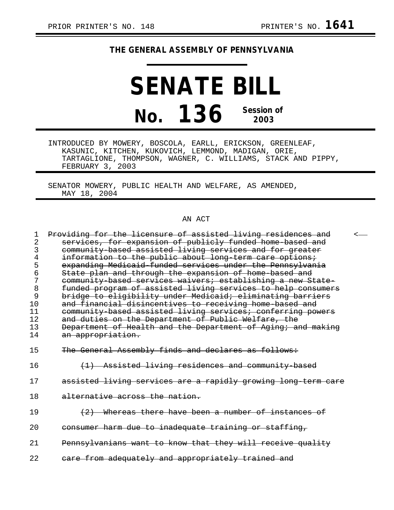## **THE GENERAL ASSEMBLY OF PENNSYLVANIA**

**SENATE BILL No. 136 Session of 2003**

INTRODUCED BY MOWERY, BOSCOLA, EARLL, ERICKSON, GREENLEAF, KASUNIC, KITCHEN, KUKOVICH, LEMMOND, MADIGAN, ORIE, TARTAGLIONE, THOMPSON, WAGNER, C. WILLIAMS, STACK AND PIPPY, FEBRUARY 3, 2003

SENATOR MOWERY, PUBLIC HEALTH AND WELFARE, AS AMENDED, MAY 18, 2004

## AN ACT

| 1    | Providing for the licensure of assisted living residences and |  |
|------|---------------------------------------------------------------|--|
| 2    | services, for expansion of publicly funded home based and     |  |
| 3    | community based assisted living services and for greater      |  |
| 4    | information to the public about long term care options;       |  |
|      | expanding Medicaid funded services under the Pennsylvania     |  |
| 6    | State plan and through the expansion of home based and        |  |
| 7    | community based services waivers; establishing a new State-   |  |
| 8    | funded program of assisted living services to help consumers  |  |
| 9    | bridge to eligibility under Medicaid; eliminating barriers    |  |
| 10   | and financial disincentives to receiving home based and       |  |
| 11   | community based assisted living services; conferring powers   |  |
| 12   | and duties on the Department of Public Welfare, the           |  |
| 13   | Department of Health and the Department of Aging; and making  |  |
| 14   | <del>an appropriation.</del>                                  |  |
|      |                                                               |  |
| 15   | The General Assembly finds and declares as follows:           |  |
|      |                                                               |  |
| 16   | (1) Assisted living residences and community based            |  |
|      |                                                               |  |
| 17   | assisted living services are a rapidly growing long term care |  |
|      |                                                               |  |
| 18   | alternative across the nation.                                |  |
| 19   | (2) Whereas there have been a number of instances of          |  |
|      |                                                               |  |
| 20   | consumer harm due to inadequate training or staffing,         |  |
|      |                                                               |  |
| 21   | Pennsylvanians want to know that they will receive quality    |  |
|      |                                                               |  |
| 2.2. | care from adequately and appropriately trained and            |  |
|      |                                                               |  |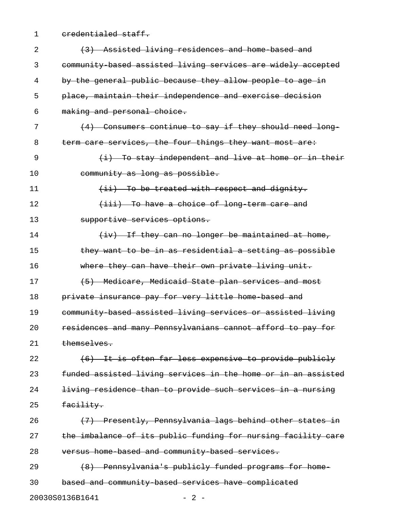1 credentialed staff.

| 2  | (3) Assisted living residences and home based and             |
|----|---------------------------------------------------------------|
| 3  | community based assisted living services are widely accepted  |
| 4  | by the general public because they allow people to age in     |
| 5  | place, maintain their independence and exercise decision      |
| 6  | making and personal choice.                                   |
| 7  | (4) Consumers continue to say if they should need long-       |
| 8  | term care services, the four things they want most are:       |
| 9  | (i) To stay independent and live at home or in their          |
| 10 | community as long as possible.                                |
| 11 | (ii) To be treated with respect and dignity.                  |
| 12 | (iii) To have a choice of long term care and                  |
| 13 | supportive services options.                                  |
| 14 | $(iv)$ If they can no longer be maintained at home,           |
| 15 | they want to be in as residential a setting as possible       |
| 16 | where they can have their own private living unit.            |
| 17 | (5) Medicare, Medicaid State plan services and most           |
| 18 | private insurance pay for very little home based and          |
| 19 | community based assisted living services or assisted living   |
| 20 | residences and many Pennsylvanians cannot afford to pay for   |
| 21 | themselves.                                                   |
| 22 | (6) It is often far less expensive to provide publicly        |
| 23 | funded assisted living services in the home or in an assisted |
| 24 | living residence than to provide such services in a nursing   |
| 25 | facility.                                                     |
| 26 | (7) Presently, Pennsylvania lags behind other states in       |
| 27 | the imbalance of its public funding for nursing facility care |
| 28 | versus home based and community based services.               |
| 29 | (8) Pennsylvania's publicly funded programs for home-         |
| 30 | based and community based services have complicated           |
|    | 20030S0136B1641<br>$-2-$                                      |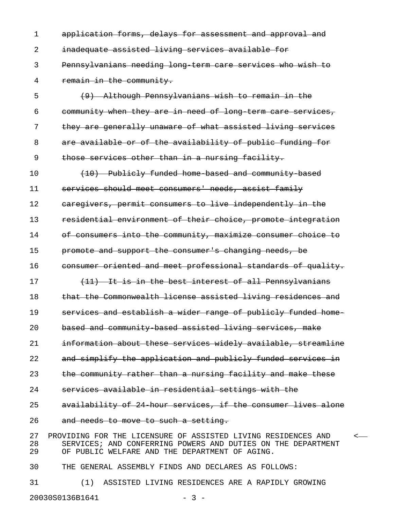1 application forms, delays for assessment and approval and 2 inadequate assisted living services available for 3 Pennsylvanians needing long-term care services who wish to 4 remain in the community.

5 (9) Although Pennsylvanians wish to remain in the 6 community when they are in need of long-term care services, 7 they are generally unaware of what assisted living services 8 are available or of the availability of public funding for 9 those services other than in a nursing facility.

10 (10) Publicly funded home based and community based 11 services should meet consumers' needs, assist family 12 caregivers, permit consumers to live independently in the 13 residential environment of their choice, promote integration 14 of consumers into the community, maximize consumer choice to 15 promote and support the consumer's changing needs, be 16 consumer oriented and meet professional standards of quality. 17 (11) It is in the best interest of all Pennsylvanians 18 that the Commonwealth license assisted living residences and 19 services and establish a wider range of publicly funded home-20 based and community-based assisted living services, make 21 information about these services widely available, streamline 22 and simplify the application and publicly funded services in 23 the community rather than a nursing facility and make these 24 services available in residential settings with the 25 availability of 24 hour services, if the consumer lives alone 26 and needs to move to such a setting.

27 PROVIDING FOR THE LICENSURE OF ASSISTED LIVING RESIDENCES AND < 28 SERVICES; AND CONFERRING POWERS AND DUTIES ON THE DEPARTMENT 29 OF PUBLIC WELFARE AND THE DEPARTMENT OF AGING.

30 THE GENERAL ASSEMBLY FINDS AND DECLARES AS FOLLOWS:

31 (1) ASSISTED LIVING RESIDENCES ARE A RAPIDLY GROWING 20030S0136B1641 - 3 -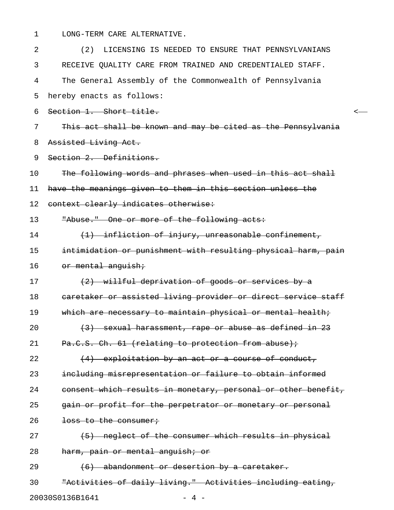1 LONG-TERM CARE ALTERNATIVE.

| 2  | LICENSING IS NEEDED TO ENSURE THAT PENNSYLVANIANS<br>(2)      |
|----|---------------------------------------------------------------|
| 3  | RECEIVE QUALITY CARE FROM TRAINED AND CREDENTIALED STAFF.     |
| 4  | The General Assembly of the Commonwealth of Pennsylvania      |
| 5  | hereby enacts as follows:                                     |
| 6  | Section 1. Short title.                                       |
| 7  | This act shall be known and may be cited as the Pennsylvania  |
| 8  | Assisted Living Act.                                          |
| 9  | Section 2. Definitions.                                       |
| 10 | The following words and phrases when used in this act shall   |
| 11 | have the meanings given to them in this section unless the    |
| 12 | context clearly indicates otherwise:                          |
| 13 | "Abuse." One or more of the following acts:                   |
| 14 | (1) infliction of injury, unreasonable confinement,           |
| 15 | intimidation or punishment with resulting physical harm, pain |
| 16 | or mental anguish;                                            |
| 17 | (2) willful deprivation of goods or services by a             |
| 18 | caretaker or assisted living provider or direct service staff |
| 19 | which are necessary to maintain physical or mental health;    |
| 20 | (3) sexual harassment, rape or abuse as defined in 23         |
| 21 | Pa.C.S. Ch. 61 (relating to protection from abuse);           |
| 22 | (4) exploitation by an act or a course of conduct,            |
| 23 | including misrepresentation or failure to obtain informed     |
| 24 | consent which results in monetary, personal or other benefit, |
| 25 | gain or profit for the perpetrator or monetary or personal    |
| 26 | loss to the consumer;                                         |
| 27 | (5) neglect of the consumer which results in physical         |
| 28 | harm, pain or mental anguish; or                              |
| 29 | (6) abandonment or desertion by a caretaker.                  |
| 30 | "Activities of daily living." Activities including eating,    |
|    | 20030S0136B1641<br>- 4 -                                      |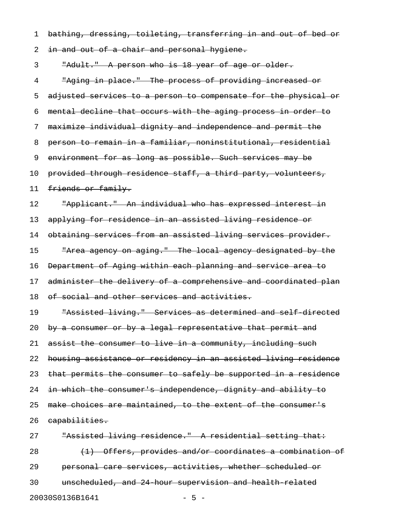1 bathing, dressing, toileting, transferring in and out of bed or

2 in and out of a chair and personal hygiene.

3 "Adult." A person who is 18 year of age or older.

4 "Aging in place." The process of providing increased or 5 adjusted services to a person to compensate for the physical or 6 mental decline that occurs with the aging process in order to 7 maximize individual dignity and independence and permit the 8 person to remain in a familiar, noninstitutional, residential 9 environment for as long as possible. Such services may be 10 provided through residence staff, a third party, volunteers, 11 friends or family. 12 Tapplicant." An individual who has expressed interest in 13 applying for residence in an assisted living residence or 14 obtaining services from an assisted living services provider. 15 The Tarea agency on aging." The local agency designated by the 16 Department of Aging within each planning and service area to 17 administer the delivery of a comprehensive and coordinated plan 18 of social and other services and activities. 19 "Assisted living." Services as determined and self-directed 20 by a consumer or by a legal representative that permit and 21 assist the consumer to live in a community, including such 22 housing assistance or residency in an assisted living residence 23 that permits the consumer to safely be supported in a residence 24 in which the consumer's independence, dignity and ability to 25 make choices are maintained, to the extent of the consumer's 26 capabilities. 27 "Assisted living residence." A residential setting that: 28 (1) Offers, provides and/or coordinates a combination of 29 personal care services, activities, whether scheduled or

20030S0136B1641 - 5 -

30 unscheduled, and 24-hour supervision and health-related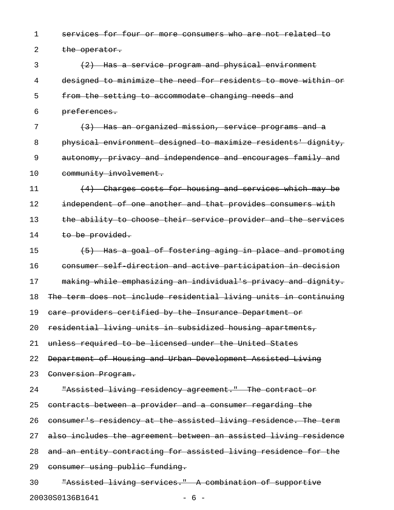1 services for four or more consumers who are not related to

2 the operator.

3 (2) Has a service program and physical environment 4 designed to minimize the need for residents to move within or 5 from the setting to accommodate changing needs and 6 preferences.

7 (3) Has an organized mission, service programs and a 8 physical environment designed to maximize residents' dignity, 9 autonomy, privacy and independence and encourages family and 10 community involvement.

11 (4) Charges costs for housing and services which may be 12 independent of one another and that provides consumers with 13 the ability to choose their service provider and the services 14 to be provided.

15 (5) Has a goal of fostering aging in place and promoting 16 consumer self-direction and active participation in decision 17 making while emphasizing an individual's privacy and dignity. 18 The term does not include residential living units in continuing 19 care providers certified by the Insurance Department or 20 residential living units in subsidized housing apartments, 21 unless required to be licensed under the United States 22 Department of Housing and Urban Development Assisted Living 23 Conversion Program. 24 "Assisted living residency agreement." The contract or 25 contracts between a provider and a consumer regarding the 26 consumer's residency at the assisted living residence. The term 27 also includes the agreement between an assisted living residence 28 and an entity contracting for assisted living residence for the 29 consumer using public funding. 30 "Assisted living services." A combination of supportive

20030S0136B1641 - 6 -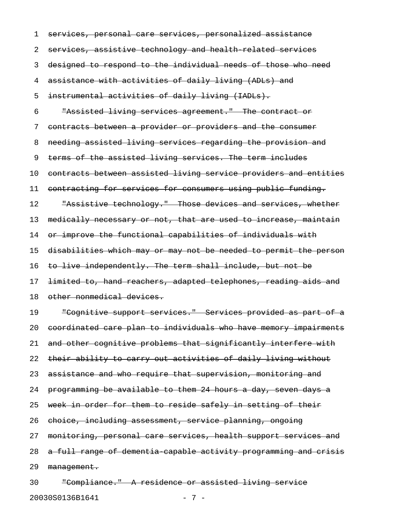1 services, personal care services, personalized assistance 2 services, assistive technology and health-related services 3 designed to respond to the individual needs of those who need 4 assistance with activities of daily living (ADLs) and 5 instrumental activities of daily living (IADLs). 6 "Assisted living services agreement." The contract or 7 contracts between a provider or providers and the consumer 8 needing assisted living services regarding the provision and 9 terms of the assisted living services. The term includes 10 contracts between assisted living service providers and entities 11 contracting for services for consumers using public funding. 12 "Assistive technology." Those devices and services, whether 13 medically necessary or not, that are used to increase, maintain 14 or improve the functional capabilities of individuals with 15 disabilities which may or may not be needed to permit the person 16 to live independently. The term shall include, but not be 17 limited to, hand reachers, adapted telephones, reading aids and 18 other nonmedical devices. 19 The Cognitive support services. The Services provided as part of a 20 coordinated care plan to individuals who have memory impairments 21 and other cognitive problems that significantly interfere with 22 their ability to carry out activities of daily living without 23 assistance and who require that supervision, monitoring and 24 programming be available to them 24 hours a day, seven days a 25 week in order for them to reside safely in setting of their 26 choice, including assessment, service planning, ongoing 27 monitoring, personal care services, health support services and 28 a full range of dementia-capable activity programming and crisis 29 management. 30 "Compliance." A residence or assisted living service

20030S0136B1641 - 7 -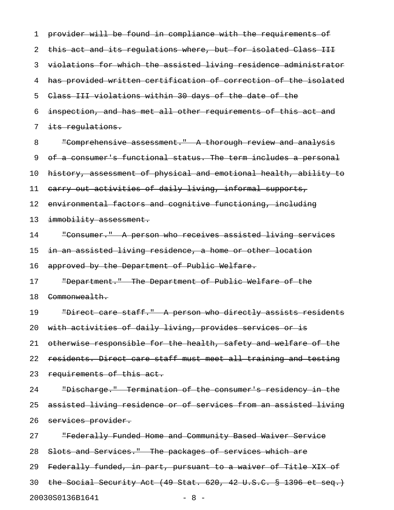| 1  | provider will be found in compliance with the requirements of    |
|----|------------------------------------------------------------------|
| 2  | this act and its regulations where, but for isolated Class III   |
| 3  | violations for which the assisted living residence administrator |
| 4  | has provided written certification of correction of the isolated |
| 5  | Class III violations within 30 days of the date of the           |
| 6  | inspection, and has met all other requirements of this act and   |
| 7  | its regulations.                                                 |
| 8  | "Comprehensive assessment." A thorough review and analysis       |
| 9  | of a consumer's functional status. The term includes a personal  |
| 10 | history, assessment of physical and emotional health, ability to |
| 11 | carry out activities of daily living, informal supports,         |
| 12 | environmental factors and cognitive functioning, including       |
| 13 | immobility assessment.                                           |
| 14 | "Consumer." A person who receives assisted living services       |
| 15 | in an assisted living residence, a home or other location        |
| 16 | approved by the Department of Public Welfare.                    |
| 17 | "Department." The Department of Public Welfare of the            |
| 18 | Commonwealth.                                                    |
| 19 | "Direct care staff." A person who directly assists residents     |
| 20 | with activities of daily living, provides services or is         |
| 21 | otherwise responsible for the health, safety and welfare of the  |
| 22 | residents. Direct care staff must meet all training and testing  |
| 23 | requirements of this act.                                        |
| 24 | "Discharge." Termination of the consumer's residency in the      |
| 25 | assisted living residence or of services from an assisted living |
| 26 | services provider.                                               |
| 27 | "Federally Funded Home and Community Based Waiver Service        |
| 28 | Slots and Services." The packages of services which are          |
| 29 | Federally funded, in part, pursuant to a waiver of Title XIX of  |
| 30 | the Social Security Act (49 Stat. 620, 42 U.S.C. § 1396 et seq.) |
|    | 20030S0136B1641<br>$-8-$                                         |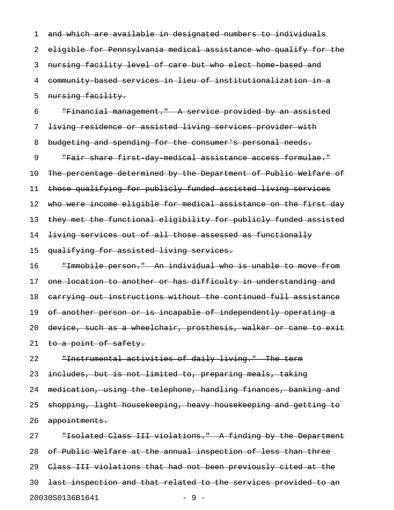1 and which are available in designated numbers to individuals 2 eligible for Pennsylvania medical assistance who qualify for the 3 nursing facility level of care but who elect home-based and 4 community-based services in lieu of institutionalization in a 5 nursing facility.

6 "Financial management." A service provided by an assisted 7 living residence or assisted living services provider with 8 budgeting and spending for the consumer's personal needs. 9 The Fair share first day medical assistance access formulae." 10 The percentage determined by the Department of Public Welfare of 11 those qualifying for publicly funded assisted living services 12 who were income eligible for medical assistance on the first day 13 they met the functional eligibility for publicly funded assisted 14 living services out of all those assessed as functionally 15 qualifying for assisted living services.

16 "Immobile person." An individual who is unable to move from 17 one location to another or has difficulty in understanding and 18 carrying out instructions without the continued full assistance 19 of another person or is incapable of independently operating a 20 device, such as a wheelchair, prosthesis, walker or cane to exit 21 to a point of safety.

22 "Instrumental activities of daily living." The term 23 includes, but is not limited to, preparing meals, taking 24 medication, using the telephone, handling finances, banking and 25 shopping, light housekeeping, heavy housekeeping and getting to 26 appointments.

27 "Isolated Class III violations." A finding by the Department 28 of Public Welfare at the annual inspection of less than three 29 Class III violations that had not been previously cited at the 30 last inspection and that related to the services provided to an 20030S0136B1641 - 9 -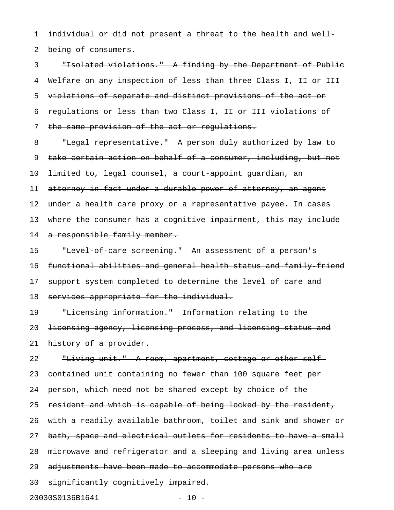1 individual or did not present a threat to the health and well-

2 being of consumers.

3 "Isolated violations." A finding by the Department of Public 4 Welfare on any inspection of less than three Class I, II or III 5 violations of separate and distinct provisions of the act or 6 regulations or less than two Class I, II or III violations of 7 the same provision of the act or regulations.

- 8 Thegal representative. A person duly authorized by law to 9 take certain action on behalf of a consumer, including, but not 10 <del>limited to, legal counsel, a court appoint guardian, an</del> 11 attorney in fact under a durable power of attorney, an agent 12 under a health care proxy or a representative payee. In cases 13 where the consumer has a cognitive impairment, this may include 14 a responsible family member. 15 - "Level of care screening." An assessment of a person's 16 functional abilities and general health status and family-friend
- 17 support system completed to determine the level of care and
- 18 services appropriate for the individual.

19 "Licensing information." Information relating to the

20 licensing agency, licensing process, and licensing status and

21 history of a provider.

22 Thiving unit." A room, apartment, cottage or other self-

23 contained unit containing no fewer than 100 square feet per

- 24 person, which need not be shared except by choice of the
- 25 resident and which is capable of being locked by the resident,
- 26 with a readily available bathroom, toilet and sink and shower or
- 27 bath, space and electrical outlets for residents to have a small
- 28 microwave and refrigerator and a sleeping and living area unless
- 29 adjustments have been made to accommodate persons who are
- 30 significantly cognitively impaired.

20030S0136B1641 - 10 -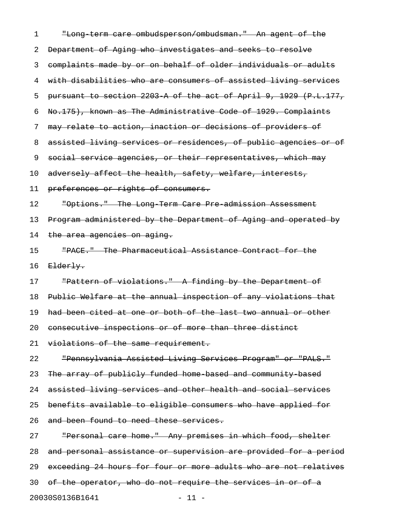| 1  | "Long term care ombudsperson/ombudsman." An agent of the         |
|----|------------------------------------------------------------------|
| 2  | Department of Aging who investigates and seeks to resolve        |
| 3  | complaints made by or on behalf of older individuals or adults   |
| 4  | with disabilities who are consumers of assisted living services  |
| 5  | pursuant to section 2203 A of the act of April 9, 1929 (P.L.177, |
| 6  | No.175), known as The Administrative Code of 1929. Complaints    |
| 7  | may relate to action, inaction or decisions of providers of      |
| 8  | assisted living services or residences, of public agencies or of |
| 9  | social service agencies, or their representatives, which may     |
| 10 | adversely affect the health, safety, welfare, interests,         |
| 11 | preferences or rights of consumers.                              |
| 12 | "Options." The Long Term Care Pre admission Assessment           |
| 13 | Program administered by the Department of Aging and operated by  |
| 14 | the area agencies on aging.                                      |
| 15 | "PACE." The Pharmaceutical Assistance Contract for the           |
| 16 | Elderly.                                                         |
| 17 | "Pattern of violations." A finding by the Department of          |
| 18 | Public Welfare at the annual inspection of any violations that   |
| 19 | had been cited at one or both of the last two annual or other    |
| 20 | consecutive inspections or of more than three distinct           |
| 21 | violations of the same requirement.                              |
| 22 | "Pennsylvania Assisted Living Services Program" or "PALS."       |
| 23 | The array of publicly funded home based and community based      |
| 24 | assisted living services and other health and social services    |
| 25 | benefits available to eligible consumers who have applied for    |
| 26 | and been found to need these services.                           |
| 27 | "Personal care home." Any premises in which food, shelter        |
| 28 | and personal assistance or supervision are provided for a period |
| 29 | exceeding 24 hours for four or more adults who are not relatives |
| 30 | of the operator, who do not require the services in or of a      |
|    | 20030S0136B1641<br>$11 -$                                        |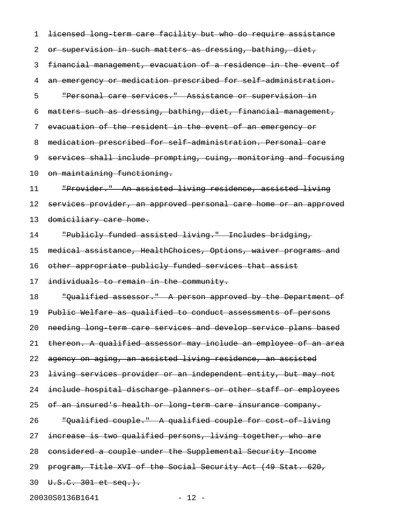1 <del>licensed long term care facility but who do require assistance</del> 2 or supervision in such matters as dressing, bathing, diet, 3 financial management, evacuation of a residence in the event of 4 an emergency or medication prescribed for self administration. 5 "Personal care services." Assistance or supervision in 6 matters such as dressing, bathing, diet, financial management, 7 evacuation of the resident in the event of an emergency or 8 medication prescribed for self-administration. Personal care 9 services shall include prompting, cuing, monitoring and focusing 10 on maintaining functioning. 11 "Provider." An assisted living residence, assisted living 12 services provider, an approved personal care home or an approved 13 domiciliary care home. 14 "Publicly funded assisted living." Includes bridging, 15 medical assistance, HealthChoices, Options, waiver programs and 16 other appropriate publicly funded services that assist 17 individuals to remain in the community. 18 "Qualified assessor." A person approved by the Department of 19 Public Welfare as qualified to conduct assessments of persons 20 needing long term care services and develop service plans based 21 thereon. A qualified assessor may include an employee of an area 22 agency on aging, an assisted living residence, an assisted 23 <del>living services provider or an independent entity, but may not</del> 24 include hospital discharge planners or other staff or employees 25 of an insured's health or long term care insurance company. 26 "Qualified couple." A qualified couple for cost-of-living 27 increase is two qualified persons, living together, who are 28 considered a couple under the Supplemental Security Income 29 program, Title XVI of the Social Security Act (49 Stat. 620, 30 U.S.C. 301 et seq.).

20030S0136B1641 - 12 -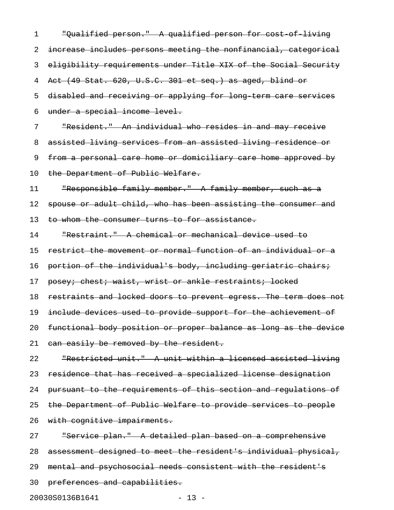1 "Qualified person." A qualified person for cost-of-living 2 increase includes persons meeting the nonfinancial, categorical 3 eligibility requirements under Title XIX of the Social Security 4 Act (49 Stat. 620, U.S.C. 301 et seq.) as aged, blind or 5 disabled and receiving or applying for long-term care services 6 under a special income level. 7 "Resident." An individual who resides in and may receive 8 assisted living services from an assisted living residence or 9 from a personal care home or domiciliary care home approved by 10 the Department of Public Welfare. 11 "Responsible family member." A family member, such as a 12 spouse or adult child, who has been assisting the consumer and 13 to whom the consumer turns to for assistance. 14 "Restraint." A chemical or mechanical device used to 15 restrict the movement or normal function of an individual or a 16 portion of the individual's body, including geriatric chairs; 17 posey; chest; waist, wrist or ankle restraints; locked 18 restraints and locked doors to prevent egress. The term does not 19 include devices used to provide support for the achievement of 20 functional body position or proper balance as long as the device 21 can easily be removed by the resident. 22 "Restricted unit." A unit within a licensed assisted living 23 residence that has received a specialized license designation 24 pursuant to the requirements of this section and regulations of 25 the Department of Public Welfare to provide services to people 26 with cognitive impairments. 27 "Service plan." A detailed plan based on a comprehensive 28 assessment designed to meet the resident's individual physical, 29 mental and psychosocial needs consistent with the resident's 30 preferences and capabilities.

20030S0136B1641 - 13 -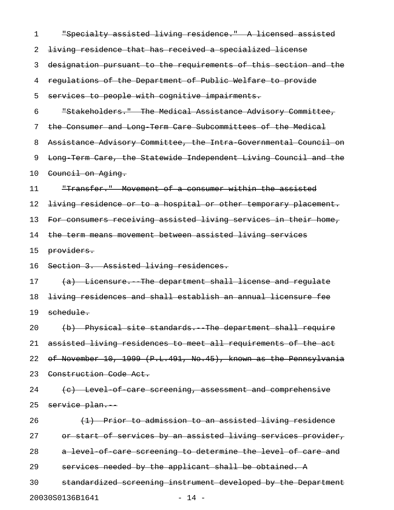| 1  | "Specialty assisted living residence." A licensed assisted       |
|----|------------------------------------------------------------------|
| 2  | living residence that has received a specialized license         |
| 3  | designation pursuant to the requirements of this section and the |
| 4  | regulations of the Department of Public Welfare to provide       |
| 5  | services to people with cognitive impairments.                   |
| 6  | "Stakeholders." The Medical Assistance Advisory Committee,       |
| 7  | the Consumer and Long Term Care Subcommittees of the Medical     |
| 8  | Assistance Advisory Committee, the Intra Governmental Council on |
| 9  | Long Term Care, the Statewide Independent Living Council and the |
| 10 | Council on Aging.                                                |
| 11 | "Transfer." Movement of a consumer within the assisted           |
| 12 | living residence or to a hospital or other temporary placement.  |
| 13 | For consumers receiving assisted living services in their home,  |
| 14 | the term means movement between assisted living services         |
| 15 | providers.                                                       |
| 16 | Section 3. Assisted living residences.                           |
| 17 | (a) Licensure. The department shall license and regulate         |
| 18 | living residences and shall establish an annual licensure fee    |
| 19 | schedule.                                                        |
| 20 | (b) Physical site standards. The department shall require        |
| 21 | assisted living residences to meet all requirements of the act   |
| 22 | of November 10, 1999 (P.L.491, No.45), known as the Pennsylvania |
| 23 | Construction Code Act.                                           |
| 24 | (c) Level of care screening, assessment and comprehensive        |
| 25 | service plan.                                                    |
| 26 | (1) Prior to admission to an assisted living residence           |
| 27 | or start of services by an assisted living services provider,    |
| 28 | a level of care screening to determine the level of care and     |
| 29 | services needed by the applicant shall be obtained. A            |
| 30 | standardized screening instrument developed by the Department    |
|    | 20030S0136B1641<br>$-14 -$                                       |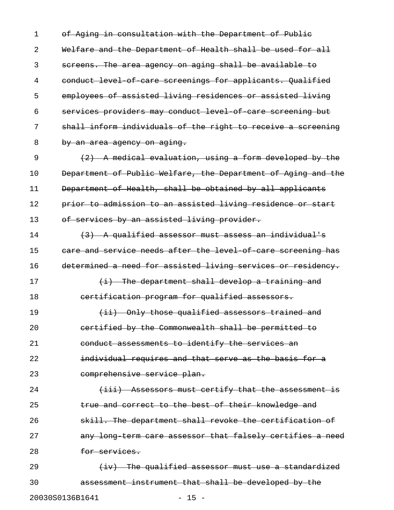1 of Aging in consultation with the Department of Public 2 Welfare and the Department of Health shall be used for all 3 screens. The area agency on aging shall be available to 4 conduct level of care screenings for applicants. Qualified 5 employees of assisted living residences or assisted living 6 services providers may conduct level-of-care screening but 7 shall inform individuals of the right to receive a screening 8 by an area agency on aging.

9  $(2)$  A medical evaluation, using a form developed by the 10 Department of Public Welfare, the Department of Aging and the 11 Department of Health, shall be obtained by all applicants 12 prior to admission to an assisted living residence or start 13 of services by an assisted living provider.

14  $(3)$  A qualified assessor must assess an individual's 15 care and service needs after the level of care screening has 16 determined a need for assisted living services or residency.

17 (i) The department shall develop a training and

18 certification program for qualified assessors. 19 (ii) Only those qualified assessors trained and 20 certified by the Commonwealth shall be permitted to

21 conduct assessments to identify the services an 22 **individual requires and that serve as the basis for a** 23 comprehensive service plan.

24 (iii) Assessors must certify that the assessment is 25 **true and correct to the best of their knowledge and** 26 3kill. The department shall revoke the certification of 27 any long-term care assessor that falsely certifies a need 28 for services.

29  $\{iv\}$  The qualified assessor must use a standardized 30 assessment instrument that shall be developed by the

20030S0136B1641 - 15 -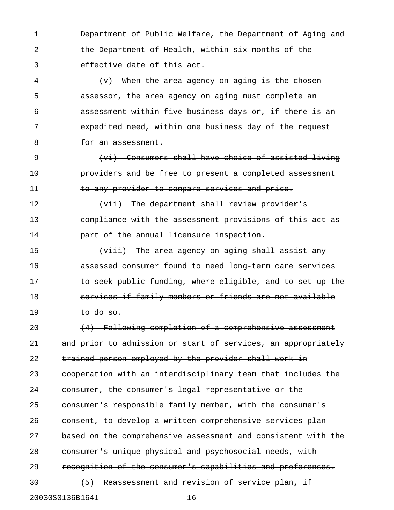1 **Department of Public Welfare, the Department of Aging and** 2 the Department of Health, within six months of the 3 effective date of this act. 4 (v) When the area agency on aging is the chosen 5 assessor, the area agency on aging must complete an 6 assessment within five business days or, if there is an 7 expedited need, within one business day of the request 8 **for an assessment.** 9 (vi) Consumers shall have choice of assisted living 10 **providers and be free to present a completed assessment** 11 to any provider to compare services and price. 12 **East Constructer (vii)** The department shall review provider's 13 compliance with the assessment provisions of this act as 14 **part of the annual licensure inspection.** 15 **15** (viii) The area agency on aging shall assist any 16 assessed consumer found to need long-term care services 17 **to seek public funding, where eligible, and to set up the** 18 **Souring and Services if family members or friends are not available** 19 to do so.  $20$  (4) Following completion of a comprehensive assessment 21 and prior to admission or start of services, an appropriately 22 trained person employed by the provider shall work in 23 cooperation with an interdisciplinary team that includes the 24 consumer, the consumer's legal representative or the 25 consumer's responsible family member, with the consumer's 26 consent, to develop a written comprehensive services plan 27 based on the comprehensive assessment and consistent with the

28 consumer's unique physical and psychosocial needs, with

29 recognition of the consumer's capabilities and preferences.

30 (5) Reassessment and revision of service plan, if

20030S0136B1641 - 16 -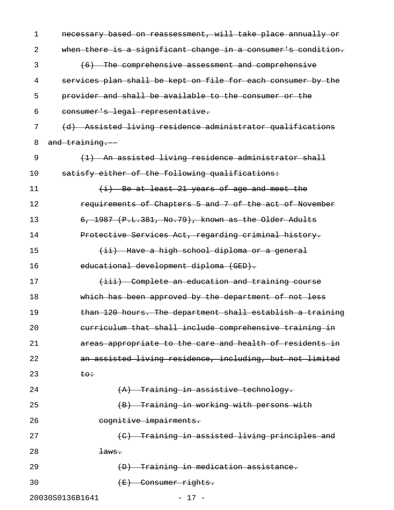| 1  | necessary based on reassessment, will take place annually or  |
|----|---------------------------------------------------------------|
| 2  | when there is a significant change in a consumer's condition. |
| 3  | (6) The comprehensive assessment and comprehensive            |
| 4  | services plan shall be kept on file for each consumer by the  |
| 5  | provider and shall be available to the consumer or the        |
| 6  | consumer's legal representative.                              |
| 7  | (d) Assisted living residence administrator qualifications    |
| 8  | and training.                                                 |
| 9  | (1) An assisted living residence administrator shall          |
| 10 | satisfy either of the following qualifications:               |
| 11 | $(i)$ Be at least 21 years of age and meet the                |
| 12 | requirements of Chapters 5 and 7 of the act of November       |
| 13 | 6, 1987 (P.L.381, No.79), known as the Older Adults           |
| 14 | Protective Services Act, regarding criminal history.          |
| 15 | (ii) Have a high school diploma or a general                  |
| 16 | educational development diploma (GED).                        |
| 17 | (iii) Complete an education and training course               |
| 18 | which has been approved by the department of not less         |
| 19 | than 120 hours. The department shall establish a training     |
| 20 | curriculum that shall include comprehensive training in       |
| 21 | areas appropriate to the care and health of residents in      |
| 22 | an assisted living residence, including, but not limited      |
| 23 | <del>to÷</del>                                                |
| 24 | (A) Training in assistive technology.                         |
| 25 | (B) Training in working with persons with                     |
| 26 | cognitive impairments.                                        |
| 27 | (C) Training in assisted living principles and                |
| 28 | <del>laws.</del>                                              |
| 29 | (D) Training in medication assistance.                        |
| 30 | $(E)$ Consumer rights.                                        |
|    | 20030S0136B1641<br>$-17 -$                                    |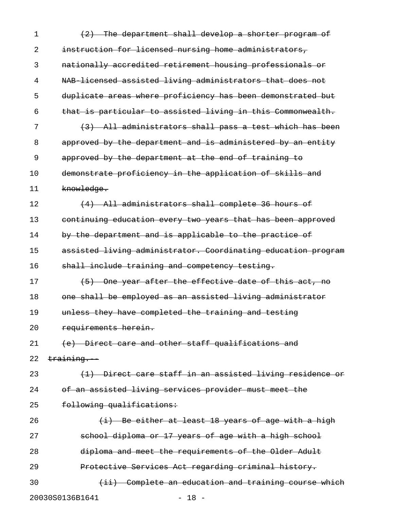1 (2) The department shall develop a shorter program of 2 instruction for licensed nursing home administrators, 3 nationally accredited retirement housing professionals or 4 NAB-licensed assisted living administrators that does not 5 duplicate areas where proficiency has been demonstrated but 6 that is particular to assisted living in this Commonwealth. 7 (3) All administrators shall pass a test which has been 8 approved by the department and is administered by an entity 9 approved by the department at the end of training to 10 demonstrate proficiency in the application of skills and 11 knowledge. 12 (4) All administrators shall complete 36 hours of 13 continuing education every two years that has been approved 14 by the department and is applicable to the practice of 15 assisted living administrator. Coordinating education program 16 shall include training and competency testing. 17 (5) One year after the effective date of this act, no 18 one shall be employed as an assisted living administrator 19 unless they have completed the training and testing 20 requirements herein. 21 (e) Direct care and other staff qualifications and 22 training. 23 (<del>1) Direct care staff in an assisted living residence or</del> 24 of an assisted living services provider must meet the 25 following qualifications: 26  $(i)$  Be either at least 18 years of age with a high 27 school diploma or 17 years of age with a high school 28 diploma and meet the requirements of the Older Adult 29 Protective Services Act regarding criminal history. 30 (ii) Complete an education and training course which 20030S0136B1641 - 18 -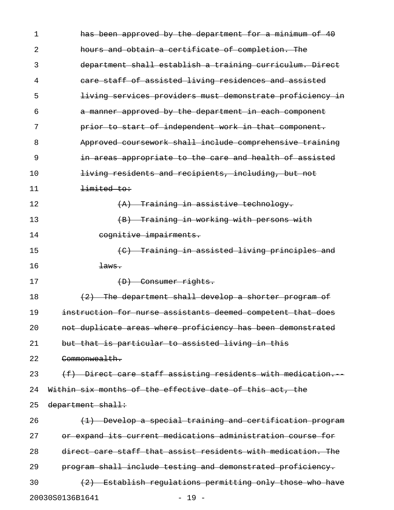| 1  | has been approved by the department for a minimum of 40      |
|----|--------------------------------------------------------------|
| 2  | hours and obtain a certificate of completion. The            |
| 3  | department shall establish a training curriculum. Direct     |
| 4  | care staff of assisted living residences and assisted        |
| 5  | living services providers must demonstrate proficiency in    |
| 6  | a manner approved by the department in each component        |
| 7  | prior to start of independent work in that component.        |
| 8  | Approved coursework shall include comprehensive training     |
| 9  | in areas appropriate to the care and health of assisted      |
| 10 | living residents and recipients, including, but not          |
| 11 | limited to:                                                  |
| 12 | (A) Training in assistive technology.                        |
| 13 | (B) Training in working with persons with                    |
| 14 | cognitive impairments.                                       |
| 15 | (C) Training in assisted living principles and               |
| 16 | $\frac{1}{2}$ aws.                                           |
| 17 | (D) Consumer rights.                                         |
| 18 | (2) The department shall develop a shorter program of        |
| 19 | instruction for nurse assistants deemed competent that does  |
| 20 | not duplicate areas where proficiency has been demonstrated  |
| 21 | but that is particular to assisted living in this            |
| 22 | Commonwealth.                                                |
| 23 | (f) Direct care staff assisting residents with medication.   |
| 24 | Within six months of the effective date of this act, the     |
| 25 | department shall:                                            |
| 26 | (1) Develop a special training and certification program     |
| 27 | or expand its current medications administration course for  |
| 28 | direct care staff that assist residents with medication. The |
| 29 | program shall include testing and demonstrated proficiency.  |
| 30 | (2) Establish regulations permitting only those who have     |
|    | 20030S0136B1641<br>$-19 -$                                   |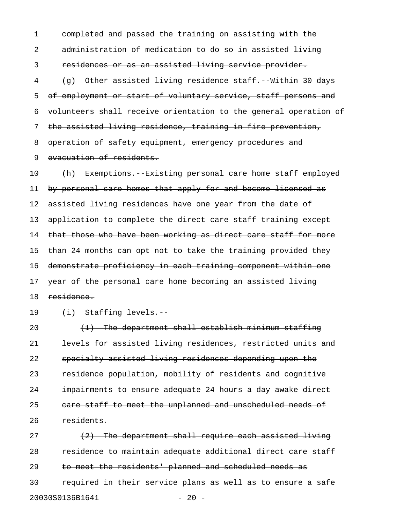1 completed and passed the training on assisting with the 2 administration of medication to do so in assisted living 3 residences or as an assisted living service provider. 4 (g) Other assisted living residence staff. Within 30 days 5 of employment or start of voluntary service, staff persons and 6 volunteers shall receive orientation to the general operation of 7 the assisted living residence, training in fire prevention, 8 operation of safety equipment, emergency procedures and 9 evacuation of residents.

10 (h) Exemptions. Existing personal care home staff employed 11 by personal care homes that apply for and become licensed as 12 assisted living residences have one year from the date of 13 application to complete the direct care staff training except 14 that those who have been working as direct care staff for more 15 than 24 months can opt not to take the training provided they 16 demonstrate proficiency in each training component within one 17 year of the personal care home becoming an assisted living 18 residence.

## 19 (i) Staffing levels.

20  $(1)$  The department shall establish minimum staffing 21 levels for assisted living residences, restricted units and 22 specialty assisted living residences depending upon the 23 residence population, mobility of residents and cognitive 24 impairments to ensure adequate 24 hours a day awake direct 25 care staff to meet the unplanned and unscheduled needs of 26 residents.

27 (2) The department shall require each assisted living 28 residence to maintain adequate additional direct care staff 29 to meet the residents' planned and scheduled needs as 30 required in their service plans as well as to ensure a safe 20030S0136B1641 - 20 -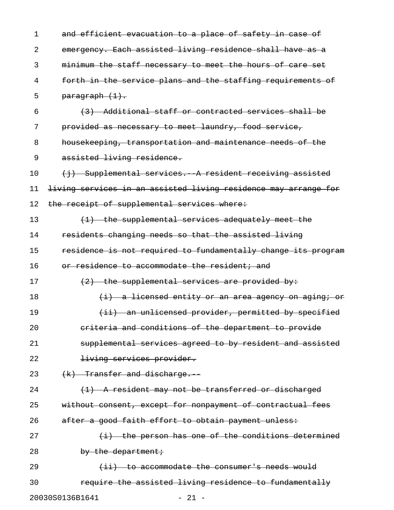| 1  | and efficient evacuation to a place of safety in case of        |
|----|-----------------------------------------------------------------|
| 2  | emergency. Each assisted living residence shall have as a       |
| 3  | minimum the staff necessary to meet the hours of care set       |
| 4  | forth in the service plans and the staffing requirements of     |
| 5  | paragraph (1).                                                  |
| 6  | (3) Additional staff or contracted services shall be            |
| 7  | provided as necessary to meet laundry, food service,            |
| 8  | housekeeping, transportation and maintenance needs of the       |
| 9  | assisted living residence.                                      |
| 10 | (i) Supplemental services. A resident receiving assisted        |
| 11 | living services in an assisted living residence may arrange for |
| 12 | the receipt of supplemental services where:                     |
| 13 | (1) the supplemental services adequately meet the               |
| 14 | residents changing needs so that the assisted living            |
| 15 | residence is not required to fundamentally change its program   |
| 16 | or residence to accommodate the resident; and                   |
| 17 | $(2)$ the supplemental services are provided by:                |
| 18 | (i) a licensed entity or an area agency on aging; or            |
| 19 | (ii) an unlicensed provider, permitted by specified             |
| 20 | eriteria and conditions of the department to provide            |
| 21 | supplemental services agreed to by resident and assisted        |
| 22 | living services provider.                                       |
| 23 | $(k)$ Transfer and discharge.                                   |
| 24 | (1) A resident may not be transferred or discharged             |
| 25 | without consent, except for nonpayment of contractual fees      |
| 26 | after a good faith effort to obtain payment unless:             |
| 27 | $(i)$ the person has one of the conditions determined           |
| 28 | by the department;                                              |
| 29 | $(iii)$ to accommodate the consumer's needs would               |
| 30 | require the assisted living residence to fundamentally          |
|    | 20030S0136B1641<br>$-21 -$                                      |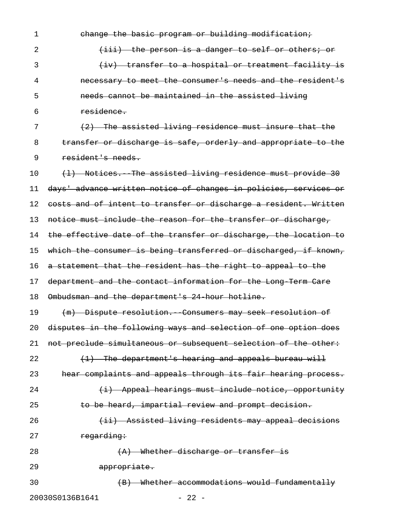| $\mathbf{1}$ | change the basic program or building modification;               |
|--------------|------------------------------------------------------------------|
| 2            | (iii) the person is a danger to self or others; or               |
| 3            | (iv) transfer to a hospital or treatment facility is             |
| 4            | necessary to meet the consumer's needs and the resident's        |
| 5            | needs cannot be maintained in the assisted living                |
| 6            | residence.                                                       |
| 7            | (2) The assisted living residence must insure that the           |
| 8            | transfer or discharge is safe, orderly and appropriate to the    |
| 9            | resident's needs.                                                |
| 10           | (1) Notices. The assisted living residence must provide 30       |
| 11           | days' advance written notice of changes in policies, services or |
| 12           | costs and of intent to transfer or discharge a resident. Written |
| 13           | notice must include the reason for the transfer or discharge,    |
| 14           | the effective date of the transfer or discharge, the location to |
| 15           | which the consumer is being transferred or discharged, if known, |
| 16           | a statement that the resident has the right to appeal to the     |
| 17           | department and the contact information for the Long Term Care    |
| 18           | Ombudsman and the department's 24 hour hotline.                  |
| 19           | (m) Dispute resolution. Consumers may seek resolution of         |
| 20           | disputes in the following ways and selection of one option does  |
| 21           | not preclude simultaneous or subsequent selection of the other:  |
| 22           | (1) The department's hearing and appeals bureau will             |
| 23           | hear complaints and appeals through its fair hearing process.    |
| 24           | (i) Appeal hearings must include notice, opportunity             |
| 25           | to be heard, impartial review and prompt decision.               |
| 26           | (ii) Assisted living residents may appeal decisions              |
| 27           | regarding:                                                       |
| 28           | (A) Whether discharge or transfer is                             |
| 29           | appropriate.                                                     |
| 30           | (B) Whether accommodations would fundamentally                   |
|              | 20030S0136B1641<br>$-22 -$                                       |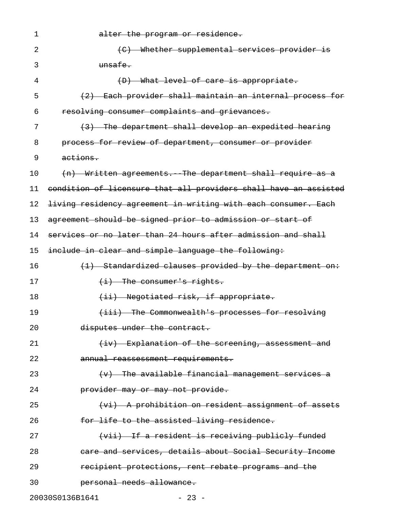| 1  | alter the program or residence.                                  |
|----|------------------------------------------------------------------|
| 2  | (C) Whether supplemental services provider is                    |
| 3  | unsafe.                                                          |
| 4  | (D) What level of care is appropriate.                           |
| 5  | (2) Each provider shall maintain an internal process for         |
| 6  | resolving consumer complaints and grievances.                    |
| 7  | (3) The department shall develop an expedited hearing            |
| 8  | process for review of department, consumer or provider           |
| 9  | actions.                                                         |
| 10 | (n) Written agreements. The department shall require as a        |
| 11 | condition of licensure that all providers shall have an assisted |
| 12 | living residency agreement in writing with each consumer. Each   |
| 13 | agreement should be signed prior to admission or start of        |
| 14 | services or no later than 24 hours after admission and shall     |
| 15 | include in clear and simple language the following:              |
| 16 | (1) Standardized clauses provided by the department on:          |
| 17 | $(i)$ The consumer's rights.                                     |
| 18 | (ii) Negotiated risk, if appropriate.                            |
| 19 | (iii) The Commonwealth's processes for resolving                 |
| 20 | disputes under the contract.                                     |
| 21 | $(iv)$ Explanation of the screening, assessment and              |
| 22 | annual reassessment requirements.                                |
| 23 | $(v)$ The available financial management services a              |
| 24 | provider may or may not provide.                                 |
| 25 | (vi) A prohibition on resident assignment of assets              |
| 26 | for life to the assisted living residence.                       |
| 27 | (vii) If a resident is receiving publicly funded                 |
| 28 | care and services, details about Social Security Income          |
| 29 | recipient protections, rent rebate programs and the              |
| 30 | personal needs allowance.                                        |
|    | 20030S0136B1641<br>$-23 -$                                       |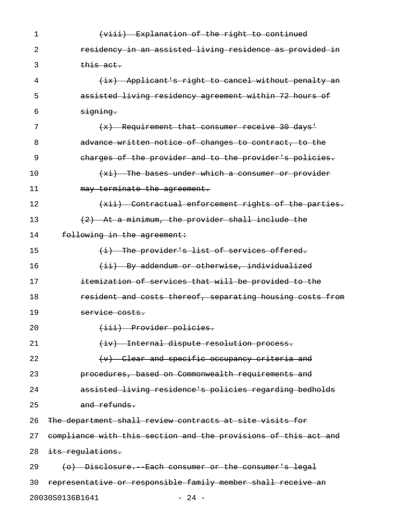| 1  | (viii) Explanation of the right to continued                    |
|----|-----------------------------------------------------------------|
| 2  | residency in an assisted living residence as provided in        |
| 3  | this act.                                                       |
| 4  | (ix) Applicant's right to cancel without penalty an             |
| 5  | assisted living residency agreement within 72 hours of          |
| 6  | signing.                                                        |
| 7  | $(x)$ Requirement that consumer receive 30 days'                |
| 8  | advance written notice of changes to contract, to the           |
| 9  | charges of the provider and to the provider's policies.         |
| 10 | $(xi)$ The bases under which a consumer or provider             |
| 11 | may terminate the agreement.                                    |
| 12 | (xii) Contractual enforcement rights of the parties.            |
| 13 | (2) At a minimum, the provider shall include the                |
| 14 | following in the agreement:                                     |
| 15 | $(i)$ The provider's list of services offered.                  |
| 16 | (ii) By addendum or otherwise, individualized                   |
| 17 | itemization of services that will be provided to the            |
| 18 | resident and costs thereof, separating housing costs from       |
| 19 | <del>service costs.</del>                                       |
| 20 | (iii) Provider policies.                                        |
| 21 | (iv) Internal dispute resolution process.                       |
| 22 | $(v)$ Clear and specific occupancy criteria and                 |
| 23 | procedures, based on Commonwealth requirements and              |
| 24 | assisted living residence's policies regarding bedholds         |
| 25 | and refunds.                                                    |
| 26 | The department shall review contracts at site visits for        |
| 27 | compliance with this section and the provisions of this act and |
| 28 | its regulations.                                                |
| 29 | (o) Disclosure. Each consumer or the consumer's legal           |
| 30 | representative or responsible family member shall receive an    |
|    | 20030S0136B1641<br>$-24 -$                                      |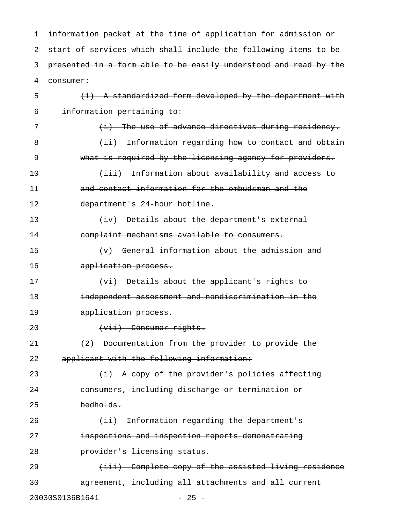| 1  | information packet at the time of application for admission or   |  |  |
|----|------------------------------------------------------------------|--|--|
| 2  | start of services which shall include the following items to be  |  |  |
| 3  | presented in a form able to be easily understood and read by the |  |  |
| 4  | consumer:                                                        |  |  |
| 5  | (1) A standardized form developed by the department with         |  |  |
| 6  | information pertaining to:                                       |  |  |
| 7  | (i) The use of advance directives during residency.              |  |  |
| 8  | (ii) Information regarding how to contact and obtain             |  |  |
| 9  | what is required by the licensing agency for providers.          |  |  |
| 10 | (iii) Information about availability and access to               |  |  |
| 11 | and contact information for the ombudsman and the                |  |  |
| 12 | department's 24 hour hotline.                                    |  |  |
| 13 | (iv) Details about the department's external                     |  |  |
| 14 | complaint mechanisms available to consumers.                     |  |  |
| 15 | $(v)$ General information about the admission and                |  |  |
| 16 | application process.                                             |  |  |
| 17 | (vi) Details about the applicant's rights to                     |  |  |
| 18 | independent assessment and nondiscrimination in the              |  |  |
| 19 | application process.                                             |  |  |
| 20 | $(vii)$ Consumer rights.                                         |  |  |
| 21 | (2) Documentation from the provider to provide the               |  |  |
| 22 | applicant with the following information:                        |  |  |
| 23 | $(i)$ A copy of the provider's policies affecting                |  |  |
| 24 | consumers, including discharge or termination or                 |  |  |
| 25 | bedholds.                                                        |  |  |
| 26 | (ii) Information regarding the department's                      |  |  |
| 27 | inspections and inspection reports demonstrating                 |  |  |
| 28 | provider's licensing status.                                     |  |  |
| 29 | (iii) Complete copy of the assisted living residence             |  |  |
| 30 | agreement, including all attachments and all current             |  |  |
|    | 20030S0136B1641<br>$-25 -$                                       |  |  |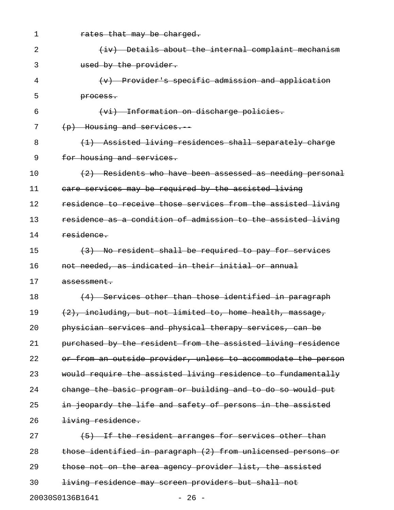| 1  | rates that may be charged.                                    |
|----|---------------------------------------------------------------|
| 2  | (iv) Details about the internal complaint mechanism           |
| 3  | used by the provider.                                         |
| 4  | (v) Provider's specific admission and application             |
| 5  | process.                                                      |
| 6  | (vi) Information on discharge policies.                       |
| 7  | $(p)$ Housing and services.                                   |
| 8  | (1) Assisted living residences shall separately charge        |
| 9  | for housing and services.                                     |
| 10 | $(2)$ Residents who have been assessed as needing personal    |
| 11 | care services may be required by the assisted living          |
| 12 | residence to receive those services from the assisted living  |
| 13 | residence as a condition of admission to the assisted living  |
| 14 | residence.                                                    |
| 15 | (3) No resident shall be required to pay for services         |
| 16 | not needed, as indicated in their initial or annual           |
| 17 | <del>assessment.</del>                                        |
| 18 | (4) Services other than those identified in paragraph         |
| 19 | $(2)$ , including, but not limited to, home health, massage,  |
| 20 | physician services and physical therapy services, can be      |
| 21 | purchased by the resident from the assisted living residence  |
| 22 | or from an outside provider, unless to accommodate the person |
| 23 | would require the assisted living residence to fundamentally  |
| 24 | change the basic program or building and to do so would put   |
| 25 | in jeopardy the life and safety of persons in the assisted    |
| 26 | living residence.                                             |
| 27 | (5) If the resident arranges for services other than          |
| 28 | those identified in paragraph (2) from unlicensed persons or  |
| 29 | those not on the area agency provider list, the assisted      |
| 30 | living residence may screen providers but shall not           |
|    | 20030S0136B1641<br>$-26 -$                                    |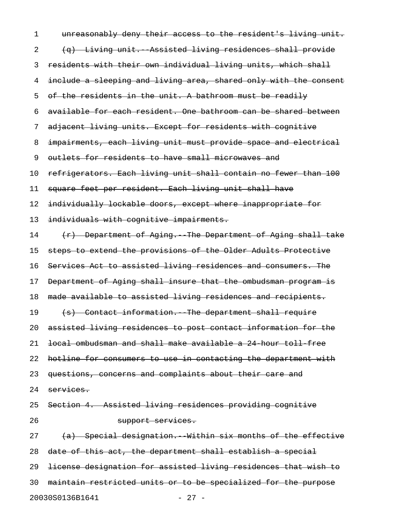1 unreasonably deny their access to the resident's living unit. 2 (q) Living unit. Assisted living residences shall provide 3 residents with their own individual living units, which shall 4 include a sleeping and living area, shared only with the consent 5 of the residents in the unit. A bathroom must be readily 6 available for each resident. One bathroom can be shared between 7 adjacent living units. Except for residents with cognitive 8 impairments, each living unit must provide space and electrical 9 outlets for residents to have small microwaves and 10 refrigerators. Each living unit shall contain no fewer than 100 11 square feet per resident. Each living unit shall have 12 individually lockable doors, except where inappropriate for 13 individuals with cognitive impairments. 14 (r) Department of Aging. The Department of Aging shall take 15 steps to extend the provisions of the Older Adults Protective 16 Services Act to assisted living residences and consumers. The 17 Department of Aging shall insure that the ombudsman program is 18 made available to assisted living residences and recipients. 19 (s) Contact information. The department shall require 20 assisted living residences to post contact information for the 21 local ombudsman and shall make available a 24-hour toll-free 22 hotline for consumers to use in contacting the department with 23 questions, concerns and complaints about their care and 24 services. 25 Section 4. Assisted living residences providing cognitive 26 **support services.**  $27$  (a) Special designation. Within six months of the effective 28 date of this act, the department shall establish a special 29 license designation for assisted living residences that wish to 30 maintain restricted units or to be specialized for the purpose 20030S0136B1641 - 27 -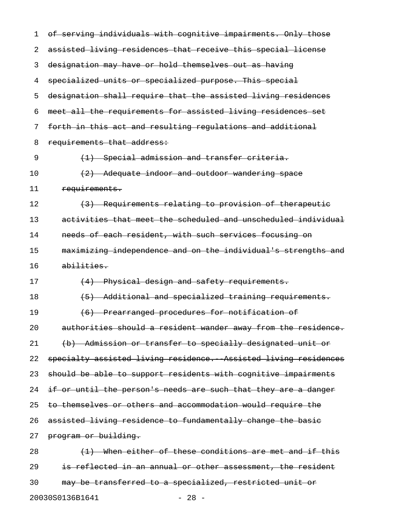| 1  | of serving individuals with cognitive impairments. Only those   |
|----|-----------------------------------------------------------------|
| 2  | assisted living residences that receive this special license    |
| 3  | designation may have or hold themselves out as having           |
| 4  | specialized units or specialized purpose. This special          |
| 5  | designation shall require that the assisted living residences   |
| 6  | meet all the requirements for assisted living residences set    |
| 7  | forth in this act and resulting regulations and additional      |
| 8  | requirements that address:                                      |
| 9  | (1) Special admission and transfer criteria.                    |
| 10 | $(2)$ Adequate indoor and outdoor wandering space               |
| 11 | requirements.                                                   |
| 12 | (3) Requirements relating to provision of therapeutic           |
| 13 | activities that meet the scheduled and unscheduled individual   |
| 14 | needs of each resident, with such services focusing on          |
| 15 | maximizing independence and on the individual's strengths and   |
| 16 | abilities.                                                      |
| 17 | (4) Physical design and safety requirements.                    |
| 18 | (5) Additional and specialized training requirements.           |
| 19 | (6) Prearranged procedures for notification of                  |
| 20 | authorities should a resident wander away from the residence.   |
| 21 | (b) Admission or transfer to specially designated unit or       |
| 22 | specialty assisted living residence. Assisted living residences |
| 23 | should be able to support residents with cognitive impairments  |
| 24 | if or until the person's needs are such that they are a danger  |
| 25 | to themselves or others and accommodation would require the     |
| 26 | assisted living residence to fundamentally change the basic     |
| 27 | program or building.                                            |
| 28 | (1) When either of these conditions are met and if this         |
| 29 | is reflected in an annual or other assessment, the resident     |
| 30 | may be transferred to a specialized, restricted unit or         |
|    |                                                                 |

20030S0136B1641 - 28 -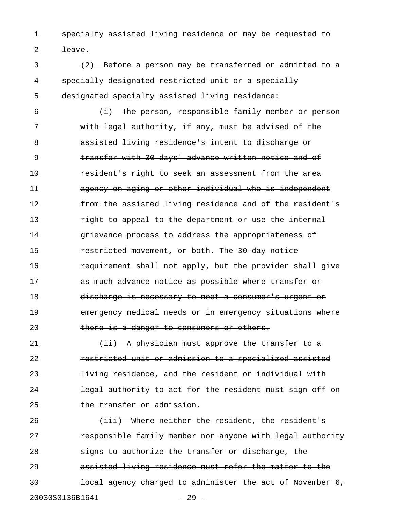1 specialty assisted living residence or may be requested to

2 <del>leave.</del>

3 (2) Before a person may be transferred or admitted to a 4 specially designated restricted unit or a specially 5 designated specialty assisted living residence:

6  $\leftarrow$   $\leftarrow$  The person, responsible family member or person 7 with legal authority, if any, must be advised of the 8 assisted living residence's intent to discharge or 9 **transfer with 30 days' advance written notice and of** 10 **resident's right to seek an assessment from the area** 11 agency on aging or other individual who is independent 12 **from the assisted living residence and of the resident's** 13 right to appeal to the department or use the internal 14 **grievance process to address the appropriateness of** 15 **restricted movement, or both. The 30 day notice** 16 **requirement shall not apply, but the provider shall give** 17 **as much advance notice as possible where transfer or** 18 discharge is necessary to meet a consumer's urgent or 19 **EXEC ENGLINE ENGLINE CONTENT** emergency situations where 20 there is a danger to consumers or others.

 $(i\texttt{i})$  A physician must approve the transfer to a **restricted unit or admission to a specialized assisted East of the individual interest of the resident or individual with legal authority to act for the resident must sign off on** 25 the transfer or admission.

26 (iii) Where neither the resident, the resident's 27 **responsible family member nor anyone with legal authority** 28 **signs to authorize the transfer or discharge, the** 29 assisted living residence must refer the matter to the 30 **local agency charged to administer the act of November 6,** 20030S0136B1641 - 29 -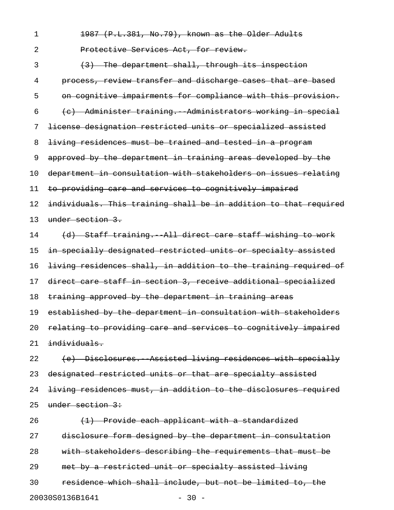1 1987 (P.L.381, No.79), known as the Older Adults 2 **Protective Services Act, for review.** 3 (3) The department shall, through its inspection 4 process, review transfer and discharge cases that are based 5 on cognitive impairments for compliance with this provision.  $6$  (c) Administer training. Administrators working in special 7 license designation restricted units or specialized assisted 8 living residences must be trained and tested in a program 9 approved by the department in training areas developed by the 10 department in consultation with stakeholders on issues relating 11 to providing care and services to cognitively impaired 12 individuals. This training shall be in addition to that required 13 under section 3. 14 (d) Staff training. All direct care staff wishing to work 15 in specially designated restricted units or specialty assisted 16 living residences shall, in addition to the training required of 17 direct care staff in section 3, receive additional specialized 18 training approved by the department in training areas 19 established by the department in consultation with stakeholders 20 relating to providing care and services to cognitively impaired 21 individuals. 22 (e) Disclosures. Assisted living residences with specially 23 designated restricted units or that are specialty assisted 24 living residences must, in addition to the disclosures required 25 under section 3: 26 (<del>1) Provide each applicant with a standardized</del> 27 disclosure form designed by the department in consultation 28 with stakeholders describing the requirements that must be

29 met by a restricted unit or specialty assisted living

30 residence which shall include, but not be limited to, the 20030S0136B1641 - 30 -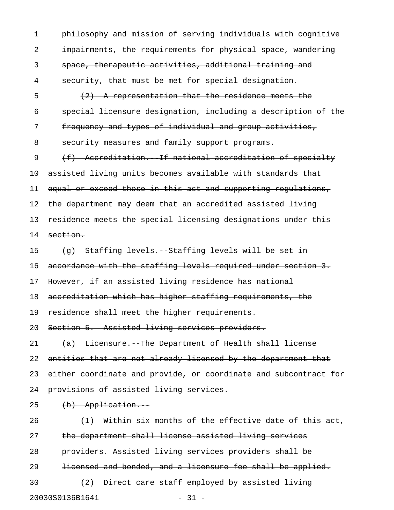1 philosophy and mission of serving individuals with cognitive 2 impairments, the requirements for physical space, wandering 3 space, therapeutic activities, additional training and 4 security, that must be met for special designation. 5 (2) A representation that the residence meets the 6 special licensure designation, including a description of the 7 frequency and types of individual and group activities, 8 security measures and family support programs. 9 (f) Accreditation. If national accreditation of specialty 10 assisted living units becomes available with standards that 11 equal or exceed those in this act and supporting regulations, 12 the department may deem that an accredited assisted living 13 residence meets the special licensing designations under this 14 section. 15 (g) Staffing levels. Staffing levels will be set in 16 accordance with the staffing levels required under section 3. 17 However, if an assisted living residence has national 18 accreditation which has higher staffing requirements, the 19 residence shall meet the higher requirements. 20 Section 5. Assisted living services providers. 21  $(a)$  Licensure. The Department of Health shall license 22 entities that are not already licensed by the department that 23 either coordinate and provide, or coordinate and subcontract for 24 provisions of assisted living services.  $25$   $(b)$  Application.  $26$  (1) Within six months of the effective date of this act, 27 the department shall license assisted living services 28 providers. Assisted living services providers shall be 29 **licensed and bonded, and a licensure fee shall be applied.** 30 (2) Direct care staff employed by assisted living

20030S0136B1641 - 31 -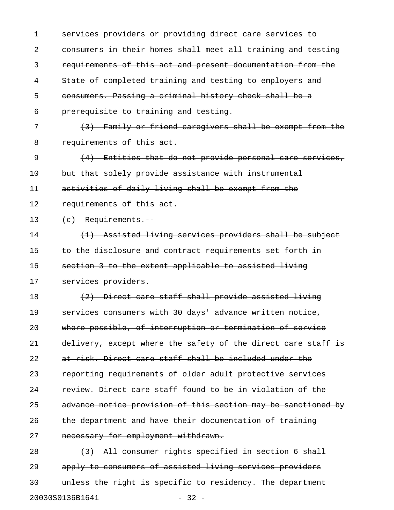| 1                          | services providers or providing direct care services to       |  |
|----------------------------|---------------------------------------------------------------|--|
| 2                          | consumers in their homes shall meet all training and testing  |  |
| 3                          | requirements of this act and present documentation from the   |  |
| 4                          | State of completed training and testing to employers and      |  |
| 5                          | consumers. Passing a criminal history check shall be a        |  |
| 6                          | prerequisite to training and testing.                         |  |
| 7                          | (3) Family or friend caregivers shall be exempt from the      |  |
| 8                          | requirements of this act.                                     |  |
| 9                          | $(4)$ Entities that do not provide personal care services,    |  |
| 10                         | but that solely provide assistance with instrumental          |  |
| 11                         | activities of daily living shall be exempt from the           |  |
| 12                         | requirements of this act.                                     |  |
| 13                         | (c) Requirements.                                             |  |
| 14                         | (1) Assisted living services providers shall be subject       |  |
| 15                         | to the disclosure and contract requirements set forth in      |  |
| 16                         | section 3 to the extent applicable to assisted living         |  |
| 17                         | services providers.                                           |  |
| 18                         | (2) Direct care staff shall provide assisted living           |  |
| 19                         | services consumers with 30 days' advance written notice,      |  |
| 20                         | where possible, of interruption or termination of service     |  |
| 21                         | delivery, except where the safety of the direct care staff is |  |
| 22                         | at risk. Direct care staff shall be included under the        |  |
| 23                         | reporting requirements of older adult protective services     |  |
| 24                         | review. Direct care staff found to be in violation of the     |  |
| 25                         | advance notice provision of this section may be sanctioned by |  |
| 26                         | the department and have their documentation of training       |  |
| 27                         | necessary for employment withdrawn.                           |  |
| 28                         | (3) All consumer rights specified in section 6 shall          |  |
| 29                         | apply to consumers of assisted living services providers      |  |
| 30                         | unless the right is specific to residency. The department     |  |
| 20030S0136B1641<br>$-32 -$ |                                                               |  |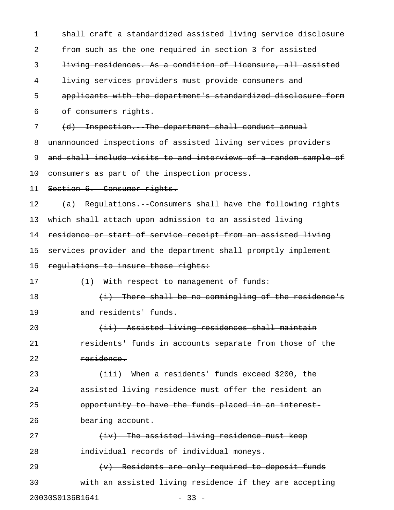| 1                          | shall craft a standardized assisted living service disclosure    |  |
|----------------------------|------------------------------------------------------------------|--|
| 2                          | from such as the one required in section 3 for assisted          |  |
| 3                          | living residences. As a condition of licensure, all assisted     |  |
| 4                          | living services providers must provide consumers and             |  |
| 5                          | applicants with the department's standardized disclosure form    |  |
| 6                          | of consumers rights.                                             |  |
| 7                          | (d) Inspection. The department shall conduct annual              |  |
| 8                          | unannounced inspections of assisted living services providers    |  |
| 9                          | and shall include visits to and interviews of a random sample of |  |
| 10                         | consumers as part of the inspection process.                     |  |
| 11                         | Section 6. Consumer rights.                                      |  |
| 12                         | (a) Regulations. Consumers shall have the following rights       |  |
| 13                         | which shall attach upon admission to an assisted living          |  |
| 14                         | residence or start of service receipt from an assisted living    |  |
| 15                         | services provider and the department shall promptly implement    |  |
| 16                         | requlations to insure these rights:                              |  |
| 17                         | (1) With respect to management of funds:                         |  |
| 18                         | $(i)$ There shall be no commingling of the residence's           |  |
| 19                         | and residents' funds.                                            |  |
| 20                         | (ii) Assisted living residences shall maintain                   |  |
| 21                         | residents' funds in accounts separate from those of the          |  |
| 22                         | residence.                                                       |  |
| 23                         | (iii) When a residents' funds exceed \$200, the                  |  |
| 24                         | assisted living residence must offer the resident an             |  |
| 25                         | opportunity to have the funds placed in an interest-             |  |
| 26                         | bearing account.                                                 |  |
| 27                         | (iv) The assisted living residence must keep                     |  |
| 28                         | individual records of individual moneys.                         |  |
| 29                         | $(v)$ Residents are only required to deposit funds               |  |
| 30                         | with an assisted living residence if they are accepting          |  |
| 20030S0136B1641<br>$-33 -$ |                                                                  |  |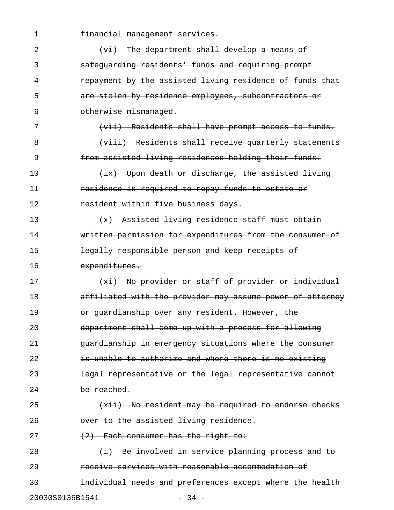| 1               | financial management services.                            |
|-----------------|-----------------------------------------------------------|
| 2               | $(v_i)$ The department shall develop a means of           |
| 3               | safequarding residents' funds and requiring prompt        |
| 4               | repayment by the assisted living residence of funds that  |
| 5               | are stolen by residence employees, subcontractors or      |
| 6               | otherwise mismanaged.                                     |
| 7               | (vii) Residents shall have prompt access to funds.        |
| 8               | (viii) Residents shall receive quarterly statements       |
| 9               | from assisted living residences holding their funds.      |
| 10              | (ix) Upon death or discharge, the assisted living         |
| 11              | residence is required to repay funds to estate or         |
| 12              | resident within five business days.                       |
| 13              | (x) Assisted living residence staff must obtain           |
| 14              | written permission for expenditures from the consumer of  |
| 15              | legally responsible person and keep receipts of           |
| 16              | expenditures.                                             |
| 17              | (xi) No provider or staff of provider or individual       |
| 18              | affiliated with the provider may assume power of attorney |
| 19              | or quardianship over any resident. However, the           |
| 20              | department shall come up with a process for allowing      |
| 21              | guardianship in emergency situations where the consumer   |
| 22              | is unable to authorize and where there is no existing     |
| 23              | legal representative or the legal representative cannot   |
| 24              | be reached.                                               |
| 25              | (xii) No resident may be required to endorse checks       |
| 26              | over to the assisted living residence.                    |
| 27              | $(2)$ Each consumer has the right to:                     |
| 28              | (i) Be involved in service planning process and to        |
| 29              | receive services with reasonable accommodation of         |
| 30              | individual needs and preferences except where the health  |
| 20030S0136B1641 | $-34 -$                                                   |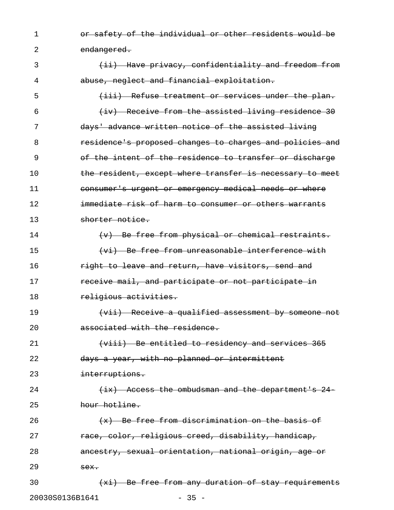1 or safety of the individual or other residents would be 2 endangered.

3 (ii) Have privacy, confidentiality and freedom from 4 abuse, neglect and financial exploitation. 5 (iii) Refuse treatment or services under the plan.  $\frac{1}{1}$  (iv) Receive from the assisted living residence 30 7 days' advance written notice of the assisted living 8 residence's proposed changes to charges and policies and 9 of the intent of the residence to transfer or discharge 10 the resident, except where transfer is necessary to meet 11 consumer's urgent or emergency medical needs or where 12 **immediate risk of harm to consumer or others warrants** 13 shorter notice. 14 (v) Be free from physical or chemical restraints. 15 (vi) Be free from unreasonable interference with 16 **right to leave and return, have visitors, send and** 17 receive mail, and participate or not participate in 18 religious activities. 19 (vii) Receive a qualified assessment by someone not 20 associated with the residence. 21 (viii) Be entitled to residency and services 365 22 days a year, with no planned or intermittent 23 interruptions. 24 (ix) Access the ombudsman and the department's 24-25 hour hotline. 26 (x) Be free from discrimination on the basis of 27 race, color, religious creed, disability, handicap, 28 **ancestry, sexual orientation, national origin, age or**  $29$   $\overline{sex.}$ 30 (xi) Be free from any duration of stay requirements 20030S0136B1641 - 35 -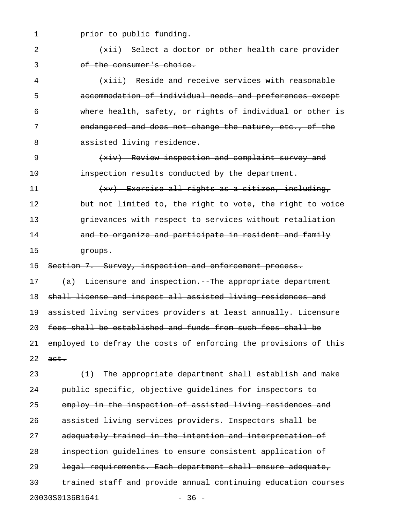1 **prior to public funding.** 2 (xii) Select a doctor or other health care provider 3 of the consumer's choice. 4 (xiii) Reside and receive services with reasonable 5 accommodation of individual needs and preferences except 6 where health, safety, or rights of individual or other is 7 endangered and does not change the nature, etc., of the 8 assisted living residence. 9 (xiv) Review inspection and complaint survey and 10 **inspection results conducted by the department.** 11 (xv) Exercise all rights as a citizen, including, 12 but not limited to, the right to vote, the right to voice 13 grievances with respect to services without retaliation 14 **and to organize and participate in resident and family** 15 groups. 16 Section 7. Survey, inspection and enforcement process. 17 (a) Licensure and inspection. The appropriate department 18 shall license and inspect all assisted living residences and 19 assisted living services providers at least annually. Licensure 20 fees shall be established and funds from such fees shall be 21 employed to defray the costs of enforcing the provisions of this  $22$  act. 23 (1) The appropriate department shall establish and make 24 public specific, objective guidelines for inspectors to 25 employ in the inspection of assisted living residences and 26 assisted living services providers. Inspectors shall be 27 adequately trained in the intention and interpretation of

28 inspection guidelines to ensure consistent application of 29 legal requirements. Each department shall ensure adequate,

30 trained staff and provide annual continuing education courses 20030S0136B1641 - 36 -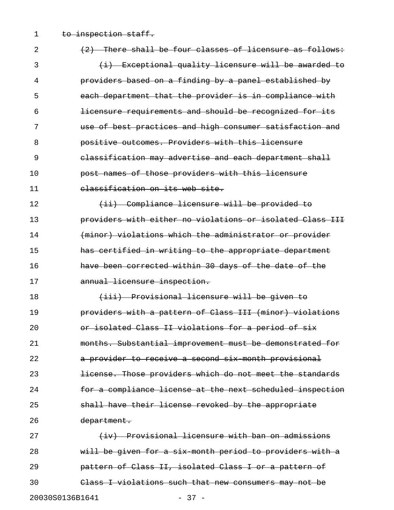1 to inspection staff.

| $\overline{2}$  | (2) There shall be four classes of licensure as follows:  |
|-----------------|-----------------------------------------------------------|
| 3               | (i) Exceptional quality licensure will be awarded to      |
| 4               | providers based on a finding by a panel established by    |
| 5               | each department that the provider is in compliance with   |
| 6               | licensure requirements and should be recognized for its   |
| 7               | use of best practices and high consumer satisfaction and  |
| 8               | positive outcomes. Providers with this licensure          |
| 9               | classification may advertise and each department shall    |
| 10              | post names of those providers with this licensure         |
| 11              | classification on its web site.                           |
| 12              | (ii) Compliance licensure will be provided to             |
| 13              | providers with either no violations or isolated Class III |
| 14              | (minor) violations which the administrator or provider    |
| 15              | has certified in writing to the appropriate department    |
| 16              | have been corrected within 30 days of the date of the     |
| 17              | annual licensure inspection.                              |
| 18              | (iii) Provisional licensure will be given to              |
| 19              | providers with a pattern of Class III (minor) violations  |
| 20              | or isolated Class II violations for a period of six       |
| 21              | months. Substantial improvement must be demonstrated for  |
| 22              | a provider to receive a second six month provisional      |
| 23              | license. Those providers which do not meet the standards  |
| 24              | for a compliance license at the next scheduled inspection |
| 25              | shall have their license revoked by the appropriate       |
| 26              | department.                                               |
| 27              | (iv) Provisional licensure with ban on admissions         |
| 28              | will be given for a six month period to providers with a  |
| 29              | pattern of Class II, isolated Class I or a pattern of     |
| 30              | Class I violations such that new consumers may not be     |
| 20030S0136B1641 | $-37 -$                                                   |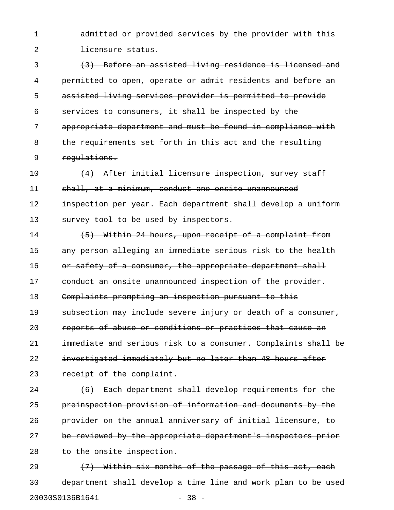1 admitted or provided services by the provider with this 2 <del>licensure status.</del>

3 (3) Before an assisted living residence is licensed and 4 permitted to open, operate or admit residents and before an 5 assisted living services provider is permitted to provide 6 services to consumers, it shall be inspected by the 7 appropriate department and must be found in compliance with 8 the requirements set forth in this act and the resulting 9 regulations.

10 (4) After initial licensure inspection, survey staff 11 shall, at a minimum, conduct one onsite unannounced 12 inspection per year. Each department shall develop a uniform 13 survey tool to be used by inspectors.

14 (5) Within 24 hours, upon receipt of a complaint from 15 any person alleging an immediate serious risk to the health 16 or safety of a consumer, the appropriate department shall 17 conduct an onsite unannounced inspection of the provider. 18 Complaints prompting an inspection pursuant to this 19 subsection may include severe injury or death of a consumer, 20 **reports of abuse or conditions or practices that cause an** 21 immediate and serious risk to a consumer. Complaints shall be 22 investigated immediately but no later than 48 hours after 23 receipt of the complaint.

24 (6) Each department shall develop requirements for the 25 preinspection provision of information and documents by the 26 provider on the annual anniversary of initial licensure, to 27 be reviewed by the appropriate department's inspectors prior 28 to the onsite inspection.

29  $(7)$  Within six months of the passage of this act, each 30 department shall develop a time line and work plan to be used 20030S0136B1641 - 38 -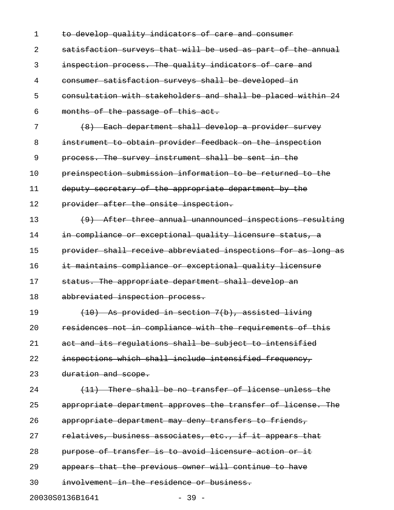| $\mathbf 1$ | to develop quality indicators of care and consumer            |
|-------------|---------------------------------------------------------------|
| 2           | satisfaction surveys that will be used as part of the annual  |
| 3           | inspection process. The quality indicators of care and        |
| 4           | consumer satisfaction surveys shall be developed in           |
| 5           | consultation with stakeholders and shall be placed within 24  |
| 6           | months of the passage of this act.                            |
| 7           | (8) Each department shall develop a provider survey           |
| 8           | instrument to obtain provider feedback on the inspection      |
| 9           | process. The survey instrument shall be sent in the           |
| 10          | preinspection submission information to be returned to the    |
| 11          | deputy secretary of the appropriate department by the         |
| 12          | provider after the onsite inspection.                         |
| 13          | (9) After three annual unannounced inspections resulting      |
| 14          | in compliance or exceptional quality licensure status, a      |
| 15          | provider shall receive abbreviated inspections for as long as |
| 16          | it maintains compliance or exceptional quality licensure      |
| 17          | status. The appropriate department shall develop an           |
| 18          | abbreviated inspection process.                               |
| 19          | $(10)$ As provided in section 7(b), assisted living           |
| 20          | residences not in compliance with the requirements of this    |
| 21          | act and its regulations shall be subject to intensified       |
| 22          | inspections which shall include intensified frequency,        |
| 23          | duration and scope.                                           |
| 24          | (11) There shall be no transfer of license unless the         |
| 25          | appropriate department approves the transfer of license. The  |
| 26          | appropriate department may deny transfers to friends,         |
| 27          | relatives, business associates, etc., if it appears that      |
| 28          | purpose of transfer is to avoid licensure action or it        |
| 29          | appears that the previous owner will continue to have         |
| 30          | involvement in the residence or business.                     |
|             | 20030S0136B1641<br>$-39 -$                                    |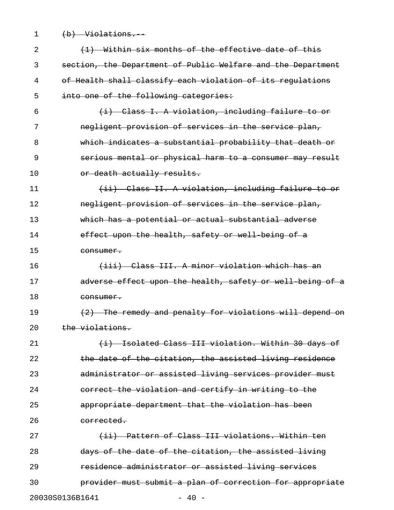1 (b) Violations.

| 2  | (1) Within six months of the effective date of this          |
|----|--------------------------------------------------------------|
| 3  | section, the Department of Public Welfare and the Department |
| 4  | of Health shall classify each violation of its regulations   |
| 5  | into one of the following categories:                        |
| 6  | (i) Class I. A violation, including failure to or            |
| 7  | negligent provision of services in the service plan,         |
| 8  | which indicates a substantial probability that death or      |
| 9  | serious mental or physical harm to a consumer may result     |
| 10 | or death actually results.                                   |
| 11 | (ii) Class II. A violation, including failure to or          |
| 12 | negligent provision of services in the service plan,         |
| 13 | which has a potential or actual substantial adverse          |
| 14 | effect upon the health, safety or well being of a            |
| 15 | consumer.                                                    |
| 16 | (iii) Class III. A minor violation which has an              |
| 17 | adverse effect upon the health, safety or well being of a    |
| 18 | consumer.                                                    |
| 19 | (2) The remedy and penalty for violations will depend on     |
| 20 | the violations.                                              |
| 21 | (i) Isolated Class III violation. Within 30 days of          |
| 22 | the date of the citation, the assisted living residence      |
| 23 | administrator or assisted living services provider must      |
| 24 | correct the violation and certify in writing to the          |
| 25 | appropriate department that the violation has been           |
| 26 | corrected.                                                   |
| 27 | (ii) Pattern of Class III violations. Within ten             |
| 28 | days of the date of the citation, the assisted living        |
| 29 | residence administrator or assisted living services          |
| 30 | provider must submit a plan of correction for appropriate    |
|    | 20030S0136B1641<br>$-40 -$                                   |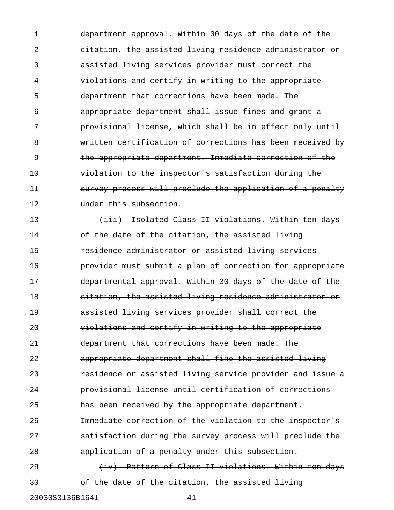1 department approval. Within 30 days of the date of the 2 citation, the assisted living residence administrator or 3 assisted living services provider must correct the 4 violations and certify in writing to the appropriate 5 department that corrections have been made. The 6 appropriate department shall issue fines and grant a 7 provisional license, which shall be in effect only until 8 written certification of corrections has been received by 9 the appropriate department. Immediate correction of the 10 **violation to the inspector's satisfaction during the** 11 survey process will preclude the application of a penalty 12 **under this subsection.** 

13 (iii) Isolated Class II violations. Within ten days 14 of the date of the citation, the assisted living 15 residence administrator or assisted living services 16 **provider must submit a plan of correction for appropriate** 17 departmental approval. Within 30 days of the date of the 18 **citation, the assisted living residence administrator or** 19 assisted living services provider shall correct the 20 violations and certify in writing to the appropriate 21 department that corrections have been made. The 22 **appropriate department shall fine the assisted living** 23 **residence or assisted living service provider and issue a** 24 provisional license until certification of corrections 25 **has been received by the appropriate department.** 26 **Immediate correction of the violation to the inspector's** 27 **satisfaction during the survey process will preclude the** 28 **application of a penalty under this subsection.** 29 (iv) Pattern of Class II violations. Within ten days

30 of the date of the citation, the assisted living

20030S0136B1641 - 41 -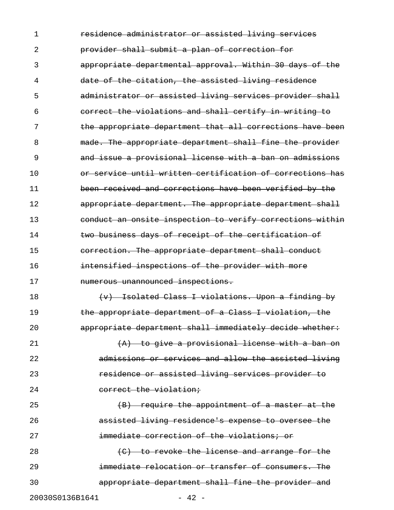1 **residence administrator or assisted living services** 2 provider shall submit a plan of correction for 3 appropriate departmental approval. Within 30 days of the 4 date of the citation, the assisted living residence 5 administrator or assisted living services provider shall 6 correct the violations and shall certify in writing to 7 the appropriate department that all corrections have been 8 **made. The appropriate department shall fine the provider** 9 and issue a provisional license with a ban on admissions 10 **10 Or service until written certification of corrections has** 11 been received and corrections have been verified by the 12 **appropriate department. The appropriate department shall** 13 conduct an onsite inspection to verify corrections within 14 **two business days of receipt of the certification of** 15 **correction. The appropriate department shall conduct** 16 **intensified inspections of the provider with more** 17 numerous unannounced inspections. 18 (v) Isolated Class I violations. Upon a finding by 19 **the appropriate department of a Class I violation, the** 20 **appropriate department shall immediately decide whether:** 21 (A) to give a provisional license with a ban on 22 admissions or services and allow the assisted living 23 **residence or assisted living services provider to** 24 correct the violation; 25 (B) require the appointment of a master at the 26 assisted living residence's expense to oversee the 27 **immediate correction of the violations; or** 28 (C) to revoke the license and arrange for the 29 immediate relocation or transfer of consumers. The 30 appropriate department shall fine the provider and 20030S0136B1641 - 42 -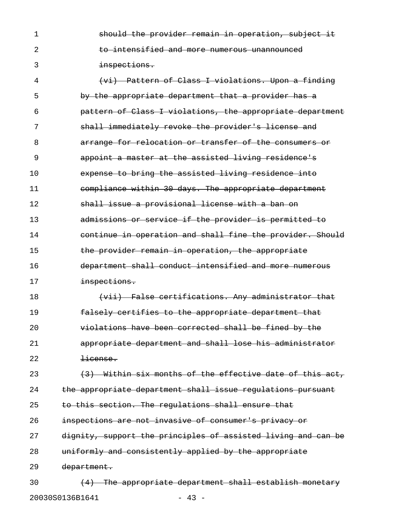1 **should the provider remain in operation, subject it** 2 to intensified and more numerous unannounced 3 inspections.

4 (vi) Pattern of Class I violations. Upon a finding 5 by the appropriate department that a provider has a 6 pattern of Class I violations, the appropriate department 7 shall immediately revoke the provider's license and 8 arrange for relocation or transfer of the consumers or 9 appoint a master at the assisted living residence's 10 expense to bring the assisted living residence into 11 compliance within 30 days. The appropriate department 12 **shall issue a provisional license with a ban on** 13 admissions or service if the provider is permitted to 14 continue in operation and shall fine the provider. Should 15 **the provider remain in operation, the appropriate** 16 **department shall conduct intensified and more numerous** 17 **inspections.** 

18 (vii) False certifications. Any administrator that 19 falsely certifies to the appropriate department that 20 violations have been corrected shall be fined by the 21 appropriate department and shall lose his administrator 22 <del>license.</del>

23  $(3)$  Within six months of the effective date of this act, 24 the appropriate department shall issue regulations pursuant 25 to this section. The requlations shall ensure that 26 **inspections are not invasive of consumer's privacy or** 27 dignity, support the principles of assisted living and can be

28 uniformly and consistently applied by the appropriate

29 department.

 $30$  (4) The appropriate department shall establish monetary 20030S0136B1641 - 43 -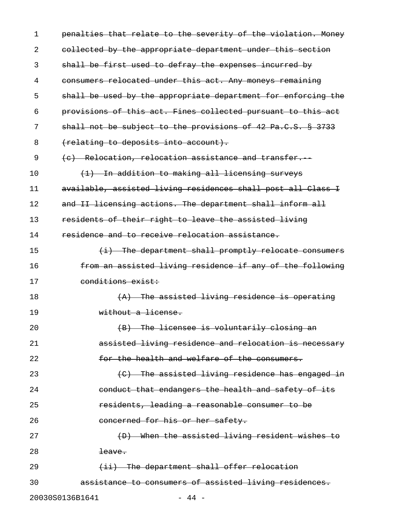| 1  | penalties that relate to the severity of the violation. Money |
|----|---------------------------------------------------------------|
| 2  | collected by the appropriate department under this section    |
| 3  | shall be first used to defray the expenses incurred by        |
| 4  | consumers relocated under this act. Any moneys remaining      |
| 5  | shall be used by the appropriate department for enforcing the |
| 6  | provisions of this act. Fines collected pursuant to this act  |
| 7  | shall not be subject to the provisions of 42 Pa.C.S. § 3733   |
| 8  | (relating to deposits into account).                          |
| 9  | (c) Relocation, relocation assistance and transfer.           |
| 10 | (1) In addition to making all licensing surveys               |
| 11 | available, assisted living residences shall post all Class I  |
| 12 | and II licensing actions. The department shall inform all     |
| 13 | residents of their right to leave the assisted living         |
| 14 | residence and to receive relocation assistance.               |
| 15 | (i) The department shall promptly relocate consumers          |
| 16 | from an assisted living residence if any of the following     |
| 17 | conditions exist:                                             |
| 18 | $(A)$ The assisted living residence is operating              |
| 19 | without a license.                                            |
| 20 | (B) The licensee is voluntarily closing an                    |
| 21 | assisted living residence and relocation is necessary         |
| 22 | for the health and welfare of the consumers.                  |
| 23 | (C) The assisted living residence has engaged in              |
| 24 | conduct that endangers the health and safety of its           |
| 25 | residents, leading a reasonable consumer to be                |
| 26 | concerned for his or her safety.                              |
| 27 | (D) When the assisted living resident wishes to               |
| 28 | <del>leave.</del>                                             |
| 29 | (ii) The department shall offer relocation                    |
| 30 | assistance to consumers of assisted living residences.        |
|    | 20030S0136B1641<br>$-44 -$                                    |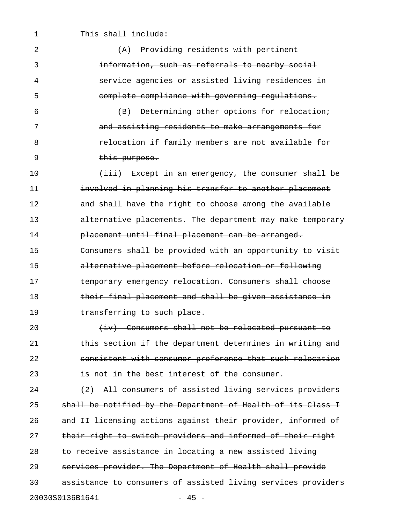1 This shall include:

| 2  | (A) Providing residents with pertinent                        |
|----|---------------------------------------------------------------|
| 3  | information, such as referrals to nearby social               |
| 4  | service agencies or assisted living residences in             |
| 5  | complete compliance with governing regulations.               |
| 6  | (B) Determining other options for relocation;                 |
| 7  | and assisting residents to make arrangements for              |
| 8  | relocation if family members are not available for            |
| 9  | this purpose.                                                 |
| 10 | (iii) Except in an emergency, the consumer shall be           |
| 11 | involved in planning his transfer to another placement        |
| 12 | and shall have the right to choose among the available        |
| 13 | alternative placements. The department may make temporary     |
| 14 | placement until final placement can be arranged.              |
| 15 | Consumers shall be provided with an opportunity to visit      |
| 16 | alternative placement before relocation or following          |
| 17 | temporary emergency relocation. Consumers shall choose        |
| 18 | their final placement and shall be given assistance in        |
| 19 | transferring to such place.                                   |
| 20 | (iv) Consumers shall not be relocated pursuant to             |
| 21 | this section if the department determines in writing and      |
| 22 | consistent with consumer preference that such relocation      |
| 23 | is not in the best interest of the consumer.                  |
| 24 | (2) All consumers of assisted living services providers       |
| 25 | shall be notified by the Department of Health of its Class I  |
| 26 | and II licensing actions against their provider, informed of  |
| 27 | their right to switch providers and informed of their right   |
| 28 | to receive assistance in locating a new assisted living       |
| 29 | services provider. The Department of Health shall provide     |
| 30 | assistance to consumers of assisted living services providers |
|    | 20030S0136B1641<br>$-45 -$                                    |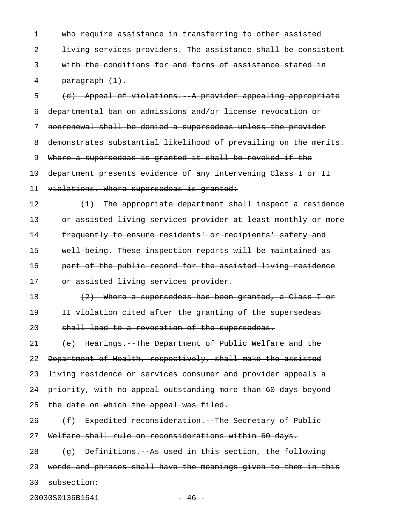1 who require assistance in transferring to other assisted 2 living services providers. The assistance shall be consistent 3 with the conditions for and forms of assistance stated in 4 paragraph (1). 5 (d) Appeal of violations. A provider appealing appropriate 6 departmental ban on admissions and/or license revocation or 7 nonrenewal shall be denied a supersedeas unless the provider 8 demonstrates substantial likelihood of prevailing on the merits. 9 Where a supersedeas is granted it shall be revoked if the 10 department presents evidence of any intervening Class I or II 11 violations. Where supersedeas is granted: 12  $(1)$  The appropriate department shall inspect a residence 13 or assisted living services provider at least monthly or more 14 frequently to ensure residents' or recipients' safety and 15 well-being. These inspection reports will be maintained as 16 **part of the public record for the assisted living residence** 17 or assisted living services provider. 18  $(2)$  Where a supersedeas has been granted, a Class I or 19 II violation cited after the granting of the supersedeas 20 shall lead to a revocation of the supersedeas. 21 (e) Hearings. The Department of Public Welfare and the 22 Department of Health, respectively, shall make the assisted 23 <del>living residence or services consumer and provider appeals a</del> 24 priority, with no appeal outstanding more than 60 days beyond 25 the date on which the appeal was filed.  $26$  (f) Expedited reconsideration. The Secretary of Public 27 Welfare shall rule on reconsiderations within 60 days.  $28$  (q) Definitions. As used in this section, the following 29 words and phrases shall have the meanings given to them in this 30 subsection:

20030S0136B1641 - 46 -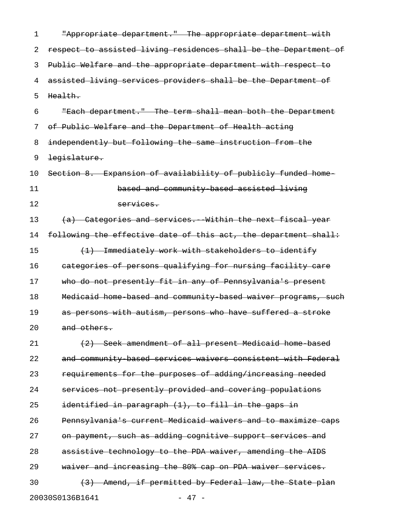| 1  | "Appropriate department." The appropriate department with        |
|----|------------------------------------------------------------------|
| 2  | respect to assisted living residences shall be the Department of |
| 3  | Public Welfare and the appropriate department with respect to    |
| 4  | assisted living services providers shall be the Department of    |
| 5  | Health.                                                          |
| 6  | "Each department." The term shall mean both the Department       |
| 7  | of Public Welfare and the Department of Health acting            |
| 8  | independently but following the same instruction from the        |
| 9  | legislature.                                                     |
| 10 | Section 8. Expansion of availability of publicly funded home     |
| 11 | based and community based assisted living                        |
| 12 | services.                                                        |
| 13 | (a) Categories and services. Within the next fiscal year         |
| 14 | following the effective date of this act, the department shall:  |
| 15 | (1) Immediately work with stakeholders to identify               |
| 16 | categories of persons qualifying for nursing facility care       |
| 17 | who do not presently fit in any of Pennsylvania's present        |
| 18 | Medicaid home based and community based waiver programs, such    |
| 19 | as persons with autism, persons who have suffered a stroke       |
| 20 | and others.                                                      |
| 21 | (2) Seek amendment of all present Medicaid home based            |
| 22 | and community based services waivers consistent with Federal     |
| 23 | requirements for the purposes of adding/increasing needed        |
| 24 | services not presently provided and covering populations         |
| 25 | identified in paragraph (1), to fill in the gaps in              |
| 26 | Pennsylvania's current Medicaid waivers and to maximize caps     |
| 27 | on payment, such as adding cognitive support services and        |
| 28 | assistive technology to the PDA waiver, amending the AIDS        |
| 29 | waiver and increasing the 80% cap on PDA waiver services.        |
| 30 | (3) Amend, if permitted by Federal law, the State plan           |
|    | 20030S0136B1641<br>$47 -$                                        |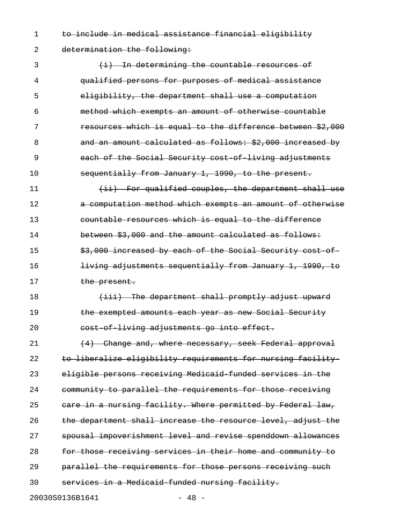1 to include in medical assistance financial eligibility 2 determination the following:

3 (i) In determining the countable resources of 4 qualified persons for purposes of medical assistance 5 eligibility, the department shall use a computation 6 method which exempts an amount of otherwise countable 7 resources which is equal to the difference between \$2,000 8 and an amount calculated as follows: \$2,000 increased by 9 each of the Social Security cost of living adjustments 10 sequentially from January 1, 1990, to the present. 11 (ii) For qualified couples, the department shall use 12 **a computation method which exempts an amount of otherwise** 13 countable resources which is equal to the difference 14 between \$3,000 and the amount calculated as follows: 15  $\frac{15}{7000}$  increased by each of the Social Security cost of 16 **living adjustments sequentially from January 1, 1990, to** 17 the present. 18 (iii) The department shall promptly adjust upward 19 **the exempted amounts each year as new Social Security** 20 cost of living adjustments go into effect. 21 (4) Change and, where necessary, seek Federal approval 22 to liberalize eligibility requirements for nursing facility 23 eligible persons receiving Medicaid-funded services in the 24 community to parallel the requirements for those receiving 25 care in a nursing facility. Where permitted by Federal law, 26 the department shall increase the resource level, adjust the 27 spousal impoverishment level and revise spenddown allowances 28 for those receiving services in their home and community to 29 parallel the requirements for those persons receiving such 30 services in a Medicaid funded nursing facility.

20030S0136B1641 - 48 -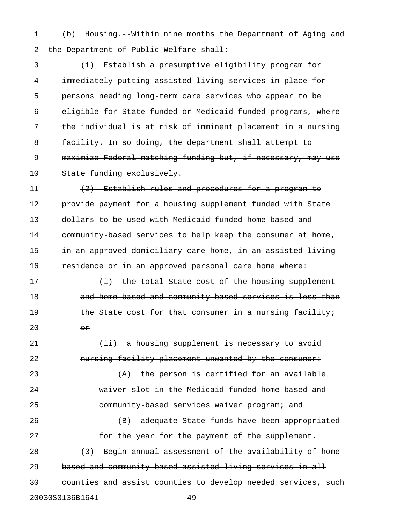1 (b) Housing. Within nine months the Department of Aging and 2 the Department of Public Welfare shall:

3 (1) Establish a presumptive eligibility program for 4 immediately putting assisted living services in place for 5 persons needing long-term care services who appear to be 6 eligible for State-funded or Medicaid-funded programs, where 7 the individual is at risk of imminent placement in a nursing 8 facility. In so doing, the department shall attempt to 9 maximize Federal matching funding but, if necessary, may use 10 State funding exclusively.

11  $(2)$  Establish rules and procedures for a program to 12 provide payment for a housing supplement funded with State 13 dollars to be used with Medicaid funded home based and 14 community based services to help keep the consumer at home, 15 in an approved domiciliary care home, in an assisted living 16 residence or in an approved personal care home where:

17  $\leftarrow$   $\leftarrow$   $\leftarrow$  the total State cost of the housing supplement 18 and home based and community based services is less than 19 the State cost for that consumer in a nursing facility; 20  $\theta$ 

21 (ii) a housing supplement is necessary to avoid 22 **nursing facility placement unwanted by the consumer:** 23  $(A)$  the person is certified for an available 24 waiver slot in the Medicaid-funded home-based and 25 community based services waiver program; and 26 (B) adequate State funds have been appropriated 27 **for the year for the payment of the supplement.** 28 (3) Begin annual assessment of the availability of home-29 based and community-based assisted living services in all 30 counties and assist counties to develop needed services, such

20030S0136B1641 - 49 -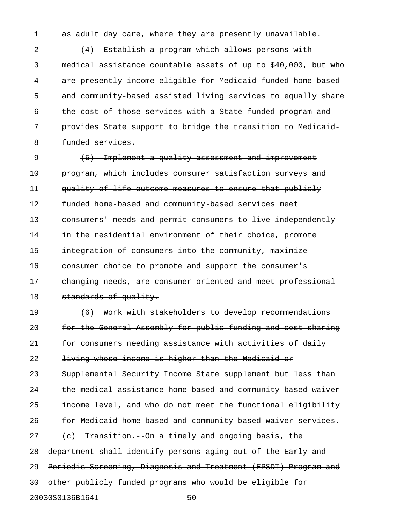1 as adult day care, where they are presently unavailable.

2 (4) Establish a program which allows persons with 3 medical assistance countable assets of up to \$40,000, but who 4 are presently income eligible for Medicaid-funded home-based 5 and community-based assisted living services to equally share 6 the cost of those services with a State-funded program and 7 provides State support to bridge the transition to Medicaid-8 **funded services.** 

9 (5) Implement a quality assessment and improvement 10 program, which includes consumer satisfaction surveys and 11 quality-of-life outcome measures to ensure that publicly 12 funded home-based and community-based services meet 13 consumers' needs and permit consumers to live independently 14 in the residential environment of their choice, promote 15 integration of consumers into the community, maximize 16 consumer choice to promote and support the consumer's 17 changing needs, are consumer oriented and meet professional 18 standards of quality.

19 (6) Work with stakeholders to develop recommendations 20 for the General Assembly for public funding and cost sharing 21 for consumers needing assistance with activities of daily 22 living whose income is higher than the Medicaid or 23 Supplemental Security Income State supplement but less than 24 the medical assistance home based and community based waiver 25 income level, and who do not meet the functional eligibility 26 **for Medicaid home based and community based waiver services.**  $27$  (c) Transition. On a timely and ongoing basis, the 28 department shall identify persons aging out of the Early and 29 Periodic Screening, Diagnosis and Treatment (EPSDT) Program and 30 other publicly funded programs who would be eligible for 20030S0136B1641 - 50 -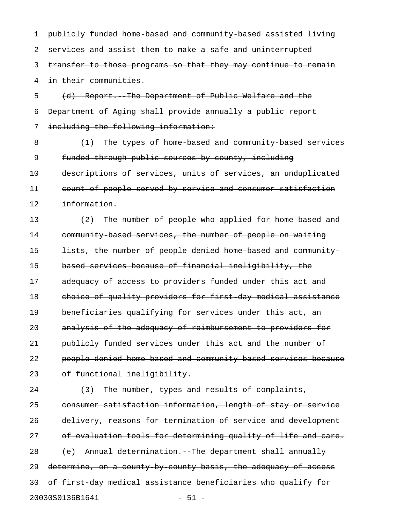1 publicly funded home-based and community-based assisted living 2 services and assist them to make a safe and uninterrupted 3 transfer to those programs so that they may continue to remain 4 in their communities. 5 (d) Report.--The Department of Public Welfare and the 6 Department of Aging shall provide annually a public report

7 including the following information:

8 (1) The types of home based and community based services 9 funded through public sources by county, including 10 descriptions of services, units of services, an unduplicated 11 count of people served by service and consumer satisfaction 12 information.

13 (2) The number of people who applied for home based and 14 community-based services, the number of people on waiting 15 **lists, the number of people denied home based and community** 16 based services because of financial ineligibility, the 17 adequacy of access to providers funded under this act and 18 choice of quality providers for first-day medical assistance 19 beneficiaries qualifying for services under this act, an 20 analysis of the adequacy of reimbursement to providers for 21 publicly funded services under this act and the number of 22 people denied home-based and community-based services because 23 of functional ineligibility.

24  $(3)$  The number, types and results of complaints, 25 consumer satisfaction information, length of stay or service 26 delivery, reasons for termination of service and development 27 of evaluation tools for determining quality of life and care. 28 (e) Annual determination. The department shall annually 29 determine, on a county-by-county basis, the adequacy of access 30 of first-day medical assistance beneficiaries who qualify for 20030S0136B1641 - 51 -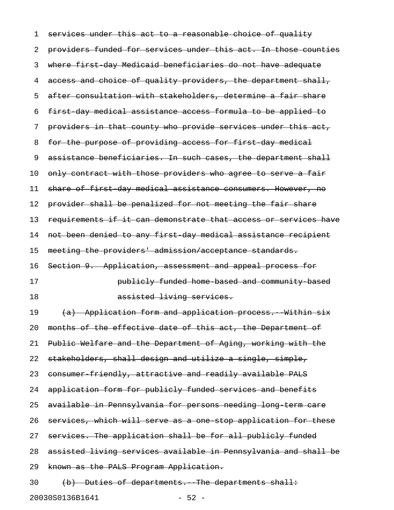1 services under this act to a reasonable choice of quality 2 providers funded for services under this act. In those counties 3 where first-day Medicaid beneficiaries do not have adequate 4 access and choice of quality providers, the department shall, 5 after consultation with stakeholders, determine a fair share 6 first-day medical assistance access formula to be applied to 7 providers in that county who provide services under this act, 8 for the purpose of providing access for first day medical 9 assistance beneficiaries. In such cases, the department shall 10 only contract with those providers who agree to serve a fair 11 share of first day medical assistance consumers. However, no 12 provider shall be penalized for not meeting the fair share 13 requirements if it can demonstrate that access or services have 14 not been denied to any first day medical assistance recipient 15 meeting the providers' admission/acceptance standards. 16 Section 9. Application, assessment and appeal process for 17 **bublicly funded home based and community based** 18 assisted living services. 19 (a) Application form and application process. Within six 20 months of the effective date of this act, the Department of 21 Public Welfare and the Department of Aging, working with the 22 stakeholders, shall design and utilize a single, simple, 23 consumer friendly, attractive and readily available PALS 24 application form for publicly funded services and benefits 25 available in Pennsylvania for persons needing long term care 26 services, which will serve as a one stop application for these 27 services. The application shall be for all publicly funded 28 assisted living services available in Pennsylvania and shall be 29 known as the PALS Program Application. 30 (b) Duties of departments. The departments shall:

20030S0136B1641 - 52 -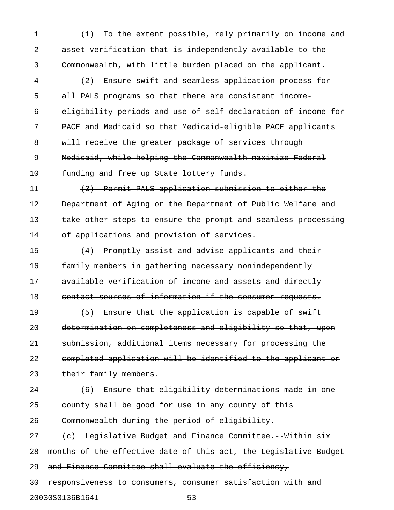1 (1) To the extent possible, rely primarily on income and 2 asset verification that is independently available to the 3 Commonwealth, with little burden placed on the applicant. 4 (2) Ensure swift and seamless application process for 5 all PALS programs so that there are consistent income-6 eligibility periods and use of self-declaration of income for 7 PACE and Medicaid so that Medicaid-eligible PACE applicants 8 will receive the greater package of services through 9 Medicaid, while helping the Commonwealth maximize Federal 10 funding and free up State lottery funds. 11 (3) Permit PALS application submission to either the 12 Department of Aging or the Department of Public Welfare and 13 take other steps to ensure the prompt and seamless processing 14 of applications and provision of services. 15  $(4)$  Promptly assist and advise applicants and their 16 **family members in gathering necessary nonindependently** 17 available verification of income and assets and directly 18 contact sources of information if the consumer requests. 19  $(5)$  Ensure that the application is capable of swift 20 determination on completeness and eligibility so that, upon 21 submission, additional items necessary for processing the 22 completed application will be identified to the applicant or 23 their family members. 24 (6) Ensure that eligibility determinations made in one 25 county shall be good for use in any county of this 26 Commonwealth during the period of eligibility.  $27$  (c) Legislative Budget and Finance Committee. Within six 28 months of the effective date of this act, the Legislative Budget 29 and Finance Committee shall evaluate the efficiency, 30 responsiveness to consumers, consumer satisfaction with and 20030S0136B1641 - 53 -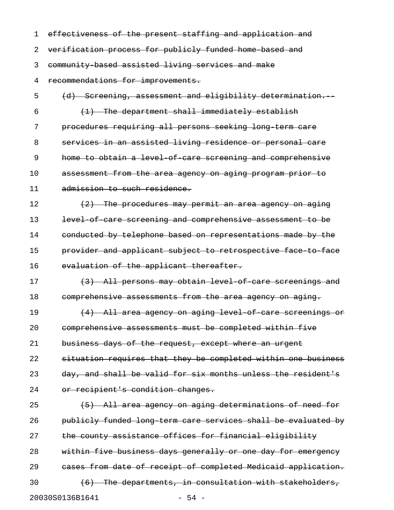| 1  | effectiveness of the present staffing and application and              |
|----|------------------------------------------------------------------------|
| 2  | verification process for publicly funded home based and                |
| 3  | community based assisted living services and make                      |
| 4  | recommendations for improvements.                                      |
| 5  | Sereening, assessment and eligibility determination.<br><del>(d)</del> |
| 6  | The department shall immediately establish                             |
| 7  | procedures requiring all persons seeking long term care                |
| 8  | services in an assisted living residence or personal care              |
| 9  | home to obtain a level of care screening and comprehensive             |
| 10 | assessment from the area agency on aging program prior to              |
| 11 | admission to such residence.                                           |
| 12 | <u>The procedures may permit an area agency on aging</u>               |
| 13 | level of care screening and comprehensive assessment to be             |
| 14 | conducted by telephone based on representations made by the            |
| 15 | provider and applicant subject to retrospective face to face           |
| 16 | evaluation of the applicant thereafter.                                |
| 17 | (3) All persons may obtain level of care screenings and                |
| 18 | comprehensive assessments from the area agency on aging.               |
| 19 | All area agency on aging level of care screenings<br>(4)               |
| 20 | comprehensive assessments must be completed within five                |
| 21 | business days of the request, except where an urgent                   |
| 22 | situation requires that they be completed within one business          |
| 23 | day, and shall be valid for six months unless the resident's           |
| 24 | or recipient's condition changes.                                      |
| 25 | (5) All area agency on aging determinations of need for                |
| 26 | publicly funded long term care services shall be evaluated by          |
| 27 | the county assistance offices for financial eligibility                |
| 28 | within five business days generally or one day for emergency           |
| 29 | cases from date of receipt of completed Medicaid application.          |
| 30 | (6) The departments, in consultation with stakeholders,                |
|    | 20030S0136B1641<br>$-54 -$                                             |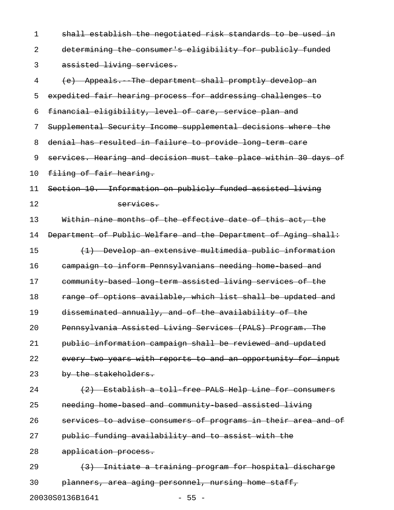1 shall establish the negotiated risk standards to be used in 2 determining the consumer's eligibility for publicly funded 3 assisted living services.

4 (e) Appeals. The department shall promptly develop an 5 expedited fair hearing process for addressing challenges to 6 financial eligibility, level of care, service plan and 7 Supplemental Security Income supplemental decisions where the 8 denial has resulted in failure to provide long term care 9 services. Hearing and decision must take place within 30 days of 10 filing of fair hearing. 11 Section 10. Information on publicly funded assisted living 12 services. 13 Within nine months of the effective date of this act, the 14 Department of Public Welfare and the Department of Aging shall: 15 (1) Develop an extensive multimedia public information 16 campaign to inform Pennsylvanians needing home-based and 17 community-based long-term assisted living services of the 18 range of options available, which list shall be updated and 19 disseminated annually, and of the availability of the 20 Pennsylvania Assisted Living Services (PALS) Program. The 21 public information campaign shall be reviewed and updated 22 every two years with reports to and an opportunity for input 23 by the stakeholders.  $24$  (2) Establish a toll-free PALS Help Line for consumers 25 needing home-based and community-based assisted living 26 services to advise consumers of programs in their area and of 27 public funding availability and to assist with the 28 application process. 29 (3) Initiate a training program for hospital discharge

30 planners, area aging personnel, nursing home staff,

20030S0136B1641 - 55 -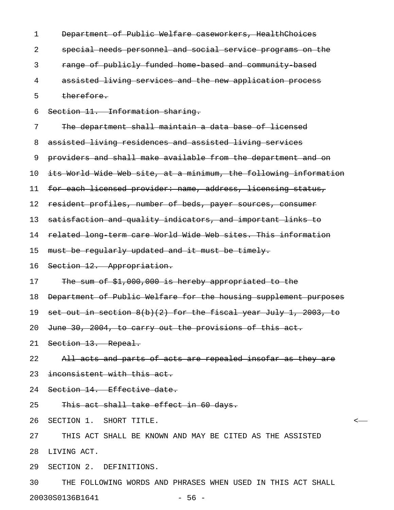| 1  | Department of Public Welfare caseworkers, HealthChoices           |
|----|-------------------------------------------------------------------|
| 2  | special needs personnel and social service programs on the        |
| 3  | range of publicly funded home based and community based           |
| 4  | assisted living services and the new application process          |
| 5  | therefore.                                                        |
| 6  | Section 11. Information sharing.                                  |
| 7  | The department shall maintain a data base of licensed             |
| 8  | assisted living residences and assisted living services           |
| 9  | providers and shall make available from the department and on     |
| 10 | its World Wide Web site, at a minimum, the following information  |
| 11 | for each licensed provider: name, address, licensing status,      |
| 12 | resident profiles, number of beds, payer sources, consumer        |
| 13 | satisfaction and quality indicators, and important links to       |
| 14 | related long term care World Wide Web sites. This information     |
| 15 | must be regularly updated and it must be timely.                  |
| 16 | Section 12. Appropriation.                                        |
| 17 | The sum of \$1,000,000 is hereby appropriated to the              |
| 18 | Department of Public Welfare for the housing supplement purposes  |
| 19 | set out in section $8(b)(2)$ for the fiscal year July 1, 2003, to |
|    | 20 June 30, 2004, to carry out the provisions of this act.        |
|    | 21 Section 13. Repeal.                                            |
| 22 | All acts and parts of acts are repealed insofar as they are       |
| 23 | inconsistent with this act.                                       |
| 24 | Section 14. Effective date.                                       |
| 25 | This act shall take effect in 60 days.                            |
| 26 | SECTION 1. SHORT TITLE.                                           |
| 27 | THIS ACT SHALL BE KNOWN AND MAY BE CITED AS THE ASSISTED          |
| 28 | LIVING ACT.                                                       |
| 29 | SECTION 2. DEFINITIONS.                                           |
| 30 | THE FOLLOWING WORDS AND PHRASES WHEN USED IN THIS ACT SHALL       |

20030S0136B1641 - 56 -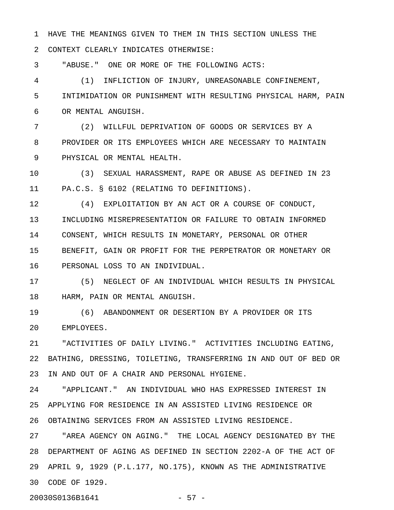1 HAVE THE MEANINGS GIVEN TO THEM IN THIS SECTION UNLESS THE

2 CONTEXT CLEARLY INDICATES OTHERWISE:

3 "ABUSE." ONE OR MORE OF THE FOLLOWING ACTS:

4 (1) INFLICTION OF INJURY, UNREASONABLE CONFINEMENT, 5 INTIMIDATION OR PUNISHMENT WITH RESULTING PHYSICAL HARM, PAIN 6 OR MENTAL ANGUISH.

7 (2) WILLFUL DEPRIVATION OF GOODS OR SERVICES BY A 8 PROVIDER OR ITS EMPLOYEES WHICH ARE NECESSARY TO MAINTAIN 9 PHYSICAL OR MENTAL HEALTH.

10 (3) SEXUAL HARASSMENT, RAPE OR ABUSE AS DEFINED IN 23 11 PA.C.S. § 6102 (RELATING TO DEFINITIONS).

12 (4) EXPLOITATION BY AN ACT OR A COURSE OF CONDUCT, 13 INCLUDING MISREPRESENTATION OR FAILURE TO OBTAIN INFORMED 14 CONSENT, WHICH RESULTS IN MONETARY, PERSONAL OR OTHER 15 BENEFIT, GAIN OR PROFIT FOR THE PERPETRATOR OR MONETARY OR 16 PERSONAL LOSS TO AN INDIVIDUAL.

17 (5) NEGLECT OF AN INDIVIDUAL WHICH RESULTS IN PHYSICAL 18 HARM, PAIN OR MENTAL ANGUISH.

19 (6) ABANDONMENT OR DESERTION BY A PROVIDER OR ITS 20 EMPLOYEES.

21 "ACTIVITIES OF DAILY LIVING." ACTIVITIES INCLUDING EATING, 22 BATHING, DRESSING, TOILETING, TRANSFERRING IN AND OUT OF BED OR 23 IN AND OUT OF A CHAIR AND PERSONAL HYGIENE.

24 "APPLICANT." AN INDIVIDUAL WHO HAS EXPRESSED INTEREST IN 25 APPLYING FOR RESIDENCE IN AN ASSISTED LIVING RESIDENCE OR 26 OBTAINING SERVICES FROM AN ASSISTED LIVING RESIDENCE.

27 "AREA AGENCY ON AGING." THE LOCAL AGENCY DESIGNATED BY THE 28 DEPARTMENT OF AGING AS DEFINED IN SECTION 2202-A OF THE ACT OF 29 APRIL 9, 1929 (P.L.177, NO.175), KNOWN AS THE ADMINISTRATIVE 30 CODE OF 1929.

20030S0136B1641 - 57 -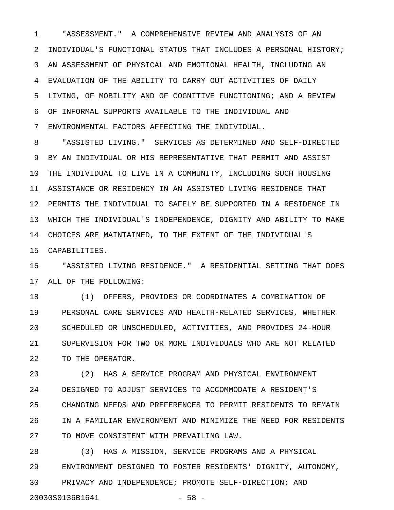1 "ASSESSMENT." A COMPREHENSIVE REVIEW AND ANALYSIS OF AN 2 INDIVIDUAL'S FUNCTIONAL STATUS THAT INCLUDES A PERSONAL HISTORY; 3 AN ASSESSMENT OF PHYSICAL AND EMOTIONAL HEALTH, INCLUDING AN 4 EVALUATION OF THE ABILITY TO CARRY OUT ACTIVITIES OF DAILY 5 LIVING, OF MOBILITY AND OF COGNITIVE FUNCTIONING; AND A REVIEW 6 OF INFORMAL SUPPORTS AVAILABLE TO THE INDIVIDUAL AND

7 ENVIRONMENTAL FACTORS AFFECTING THE INDIVIDUAL.

8 "ASSISTED LIVING." SERVICES AS DETERMINED AND SELF-DIRECTED 9 BY AN INDIVIDUAL OR HIS REPRESENTATIVE THAT PERMIT AND ASSIST 10 THE INDIVIDUAL TO LIVE IN A COMMUNITY, INCLUDING SUCH HOUSING 11 ASSISTANCE OR RESIDENCY IN AN ASSISTED LIVING RESIDENCE THAT 12 PERMITS THE INDIVIDUAL TO SAFELY BE SUPPORTED IN A RESIDENCE IN 13 WHICH THE INDIVIDUAL'S INDEPENDENCE, DIGNITY AND ABILITY TO MAKE 14 CHOICES ARE MAINTAINED, TO THE EXTENT OF THE INDIVIDUAL'S 15 CAPABILITIES.

16 "ASSISTED LIVING RESIDENCE." A RESIDENTIAL SETTING THAT DOES 17 ALL OF THE FOLLOWING:

18 (1) OFFERS, PROVIDES OR COORDINATES A COMBINATION OF 19 PERSONAL CARE SERVICES AND HEALTH-RELATED SERVICES, WHETHER 20 SCHEDULED OR UNSCHEDULED, ACTIVITIES, AND PROVIDES 24-HOUR 21 SUPERVISION FOR TWO OR MORE INDIVIDUALS WHO ARE NOT RELATED 22 TO THE OPERATOR.

23 (2) HAS A SERVICE PROGRAM AND PHYSICAL ENVIRONMENT 24 DESIGNED TO ADJUST SERVICES TO ACCOMMODATE A RESIDENT'S 25 CHANGING NEEDS AND PREFERENCES TO PERMIT RESIDENTS TO REMAIN 26 IN A FAMILIAR ENVIRONMENT AND MINIMIZE THE NEED FOR RESIDENTS 27 TO MOVE CONSISTENT WITH PREVAILING LAW.

28 (3) HAS A MISSION, SERVICE PROGRAMS AND A PHYSICAL 29 ENVIRONMENT DESIGNED TO FOSTER RESIDENTS' DIGNITY, AUTONOMY, 30 PRIVACY AND INDEPENDENCE; PROMOTE SELF-DIRECTION; AND 20030S0136B1641 - 58 -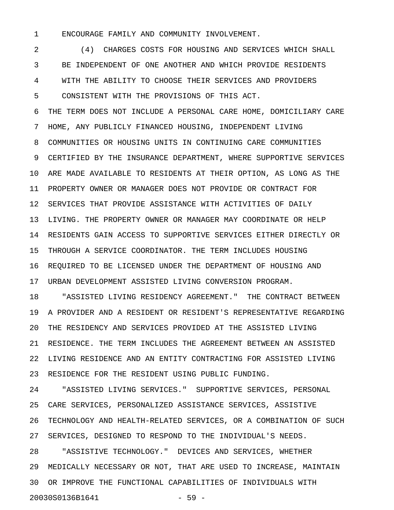1 ENCOURAGE FAMILY AND COMMUNITY INVOLVEMENT.

2 (4) CHARGES COSTS FOR HOUSING AND SERVICES WHICH SHALL 3 BE INDEPENDENT OF ONE ANOTHER AND WHICH PROVIDE RESIDENTS 4 WITH THE ABILITY TO CHOOSE THEIR SERVICES AND PROVIDERS 5 CONSISTENT WITH THE PROVISIONS OF THIS ACT.

6 THE TERM DOES NOT INCLUDE A PERSONAL CARE HOME, DOMICILIARY CARE 7 HOME, ANY PUBLICLY FINANCED HOUSING, INDEPENDENT LIVING 8 COMMUNITIES OR HOUSING UNITS IN CONTINUING CARE COMMUNITIES 9 CERTIFIED BY THE INSURANCE DEPARTMENT, WHERE SUPPORTIVE SERVICES 10 ARE MADE AVAILABLE TO RESIDENTS AT THEIR OPTION, AS LONG AS THE 11 PROPERTY OWNER OR MANAGER DOES NOT PROVIDE OR CONTRACT FOR 12 SERVICES THAT PROVIDE ASSISTANCE WITH ACTIVITIES OF DAILY 13 LIVING. THE PROPERTY OWNER OR MANAGER MAY COORDINATE OR HELP 14 RESIDENTS GAIN ACCESS TO SUPPORTIVE SERVICES EITHER DIRECTLY OR 15 THROUGH A SERVICE COORDINATOR. THE TERM INCLUDES HOUSING 16 REQUIRED TO BE LICENSED UNDER THE DEPARTMENT OF HOUSING AND 17 URBAN DEVELOPMENT ASSISTED LIVING CONVERSION PROGRAM.

18 "ASSISTED LIVING RESIDENCY AGREEMENT." THE CONTRACT BETWEEN 19 A PROVIDER AND A RESIDENT OR RESIDENT'S REPRESENTATIVE REGARDING 20 THE RESIDENCY AND SERVICES PROVIDED AT THE ASSISTED LIVING 21 RESIDENCE. THE TERM INCLUDES THE AGREEMENT BETWEEN AN ASSISTED 22 LIVING RESIDENCE AND AN ENTITY CONTRACTING FOR ASSISTED LIVING 23 RESIDENCE FOR THE RESIDENT USING PUBLIC FUNDING.

24 "ASSISTED LIVING SERVICES." SUPPORTIVE SERVICES, PERSONAL 25 CARE SERVICES, PERSONALIZED ASSISTANCE SERVICES, ASSISTIVE 26 TECHNOLOGY AND HEALTH-RELATED SERVICES, OR A COMBINATION OF SUCH 27 SERVICES, DESIGNED TO RESPOND TO THE INDIVIDUAL'S NEEDS.

28 "ASSISTIVE TECHNOLOGY." DEVICES AND SERVICES, WHETHER 29 MEDICALLY NECESSARY OR NOT, THAT ARE USED TO INCREASE, MAINTAIN 30 OR IMPROVE THE FUNCTIONAL CAPABILITIES OF INDIVIDUALS WITH 20030S0136B1641 - 59 -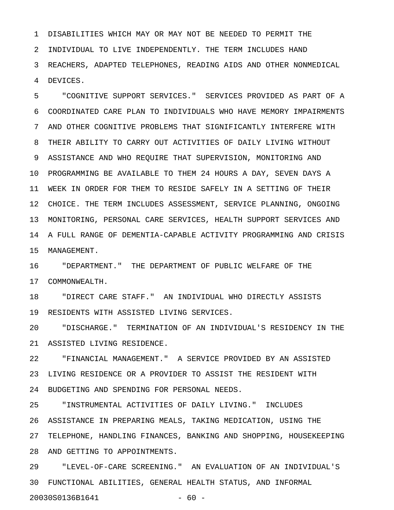1 DISABILITIES WHICH MAY OR MAY NOT BE NEEDED TO PERMIT THE 2 INDIVIDUAL TO LIVE INDEPENDENTLY. THE TERM INCLUDES HAND 3 REACHERS, ADAPTED TELEPHONES, READING AIDS AND OTHER NONMEDICAL 4 DEVICES.

5 "COGNITIVE SUPPORT SERVICES." SERVICES PROVIDED AS PART OF A 6 COORDINATED CARE PLAN TO INDIVIDUALS WHO HAVE MEMORY IMPAIRMENTS 7 AND OTHER COGNITIVE PROBLEMS THAT SIGNIFICANTLY INTERFERE WITH 8 THEIR ABILITY TO CARRY OUT ACTIVITIES OF DAILY LIVING WITHOUT 9 ASSISTANCE AND WHO REQUIRE THAT SUPERVISION, MONITORING AND 10 PROGRAMMING BE AVAILABLE TO THEM 24 HOURS A DAY, SEVEN DAYS A 11 WEEK IN ORDER FOR THEM TO RESIDE SAFELY IN A SETTING OF THEIR 12 CHOICE. THE TERM INCLUDES ASSESSMENT, SERVICE PLANNING, ONGOING 13 MONITORING, PERSONAL CARE SERVICES, HEALTH SUPPORT SERVICES AND 14 A FULL RANGE OF DEMENTIA-CAPABLE ACTIVITY PROGRAMMING AND CRISIS 15 MANAGEMENT.

16 "DEPARTMENT." THE DEPARTMENT OF PUBLIC WELFARE OF THE 17 COMMONWEALTH.

18 "DIRECT CARE STAFF." AN INDIVIDUAL WHO DIRECTLY ASSISTS 19 RESIDENTS WITH ASSISTED LIVING SERVICES.

20 "DISCHARGE." TERMINATION OF AN INDIVIDUAL'S RESIDENCY IN THE 21 ASSISTED LIVING RESIDENCE.

22 "FINANCIAL MANAGEMENT." A SERVICE PROVIDED BY AN ASSISTED 23 LIVING RESIDENCE OR A PROVIDER TO ASSIST THE RESIDENT WITH 24 BUDGETING AND SPENDING FOR PERSONAL NEEDS.

25 "INSTRUMENTAL ACTIVITIES OF DAILY LIVING." INCLUDES 26 ASSISTANCE IN PREPARING MEALS, TAKING MEDICATION, USING THE 27 TELEPHONE, HANDLING FINANCES, BANKING AND SHOPPING, HOUSEKEEPING 28 AND GETTING TO APPOINTMENTS.

29 "LEVEL-OF-CARE SCREENING." AN EVALUATION OF AN INDIVIDUAL'S 30 FUNCTIONAL ABILITIES, GENERAL HEALTH STATUS, AND INFORMAL

20030S0136B1641 - 60 -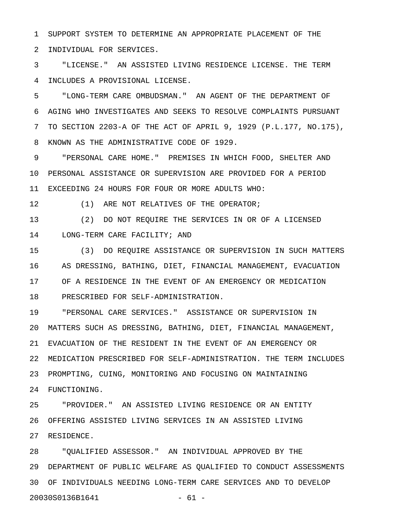1 SUPPORT SYSTEM TO DETERMINE AN APPROPRIATE PLACEMENT OF THE 2 INDIVIDUAL FOR SERVICES.

3 "LICENSE." AN ASSISTED LIVING RESIDENCE LICENSE. THE TERM 4 INCLUDES A PROVISIONAL LICENSE.

5 "LONG-TERM CARE OMBUDSMAN." AN AGENT OF THE DEPARTMENT OF 6 AGING WHO INVESTIGATES AND SEEKS TO RESOLVE COMPLAINTS PURSUANT 7 TO SECTION 2203-A OF THE ACT OF APRIL 9, 1929 (P.L.177, NO.175), 8 KNOWN AS THE ADMINISTRATIVE CODE OF 1929.

9 "PERSONAL CARE HOME." PREMISES IN WHICH FOOD, SHELTER AND 10 PERSONAL ASSISTANCE OR SUPERVISION ARE PROVIDED FOR A PERIOD 11 EXCEEDING 24 HOURS FOR FOUR OR MORE ADULTS WHO:

12 (1) ARE NOT RELATIVES OF THE OPERATOR;

13 (2) DO NOT REQUIRE THE SERVICES IN OR OF A LICENSED 14 LONG-TERM CARE FACILITY; AND

15 (3) DO REQUIRE ASSISTANCE OR SUPERVISION IN SUCH MATTERS 16 AS DRESSING, BATHING, DIET, FINANCIAL MANAGEMENT, EVACUATION 17 OF A RESIDENCE IN THE EVENT OF AN EMERGENCY OR MEDICATION 18 PRESCRIBED FOR SELF-ADMINISTRATION.

19 "PERSONAL CARE SERVICES." ASSISTANCE OR SUPERVISION IN 20 MATTERS SUCH AS DRESSING, BATHING, DIET, FINANCIAL MANAGEMENT, 21 EVACUATION OF THE RESIDENT IN THE EVENT OF AN EMERGENCY OR 22 MEDICATION PRESCRIBED FOR SELF-ADMINISTRATION. THE TERM INCLUDES 23 PROMPTING, CUING, MONITORING AND FOCUSING ON MAINTAINING 24 FUNCTIONING.

25 "PROVIDER." AN ASSISTED LIVING RESIDENCE OR AN ENTITY 26 OFFERING ASSISTED LIVING SERVICES IN AN ASSISTED LIVING 27 RESIDENCE.

28 "QUALIFIED ASSESSOR." AN INDIVIDUAL APPROVED BY THE 29 DEPARTMENT OF PUBLIC WELFARE AS QUALIFIED TO CONDUCT ASSESSMENTS 30 OF INDIVIDUALS NEEDING LONG-TERM CARE SERVICES AND TO DEVELOP 20030S0136B1641 - 61 -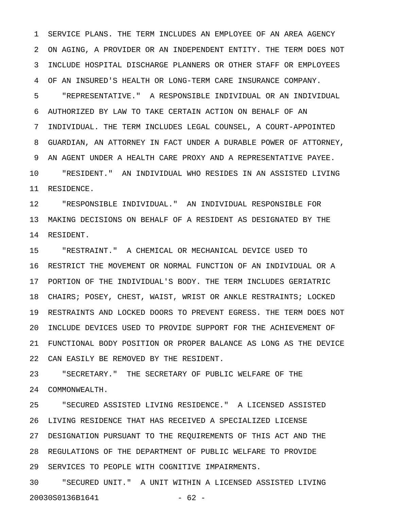1 SERVICE PLANS. THE TERM INCLUDES AN EMPLOYEE OF AN AREA AGENCY 2 ON AGING, A PROVIDER OR AN INDEPENDENT ENTITY. THE TERM DOES NOT 3 INCLUDE HOSPITAL DISCHARGE PLANNERS OR OTHER STAFF OR EMPLOYEES 4 OF AN INSURED'S HEALTH OR LONG-TERM CARE INSURANCE COMPANY.

5 "REPRESENTATIVE." A RESPONSIBLE INDIVIDUAL OR AN INDIVIDUAL 6 AUTHORIZED BY LAW TO TAKE CERTAIN ACTION ON BEHALF OF AN 7 INDIVIDUAL. THE TERM INCLUDES LEGAL COUNSEL, A COURT-APPOINTED 8 GUARDIAN, AN ATTORNEY IN FACT UNDER A DURABLE POWER OF ATTORNEY, 9 AN AGENT UNDER A HEALTH CARE PROXY AND A REPRESENTATIVE PAYEE. 10 "RESIDENT." AN INDIVIDUAL WHO RESIDES IN AN ASSISTED LIVING 11 RESIDENCE.

12 "RESPONSIBLE INDIVIDUAL." AN INDIVIDUAL RESPONSIBLE FOR 13 MAKING DECISIONS ON BEHALF OF A RESIDENT AS DESIGNATED BY THE 14 RESIDENT.

15 "RESTRAINT." A CHEMICAL OR MECHANICAL DEVICE USED TO 16 RESTRICT THE MOVEMENT OR NORMAL FUNCTION OF AN INDIVIDUAL OR A 17 PORTION OF THE INDIVIDUAL'S BODY. THE TERM INCLUDES GERIATRIC 18 CHAIRS; POSEY, CHEST, WAIST, WRIST OR ANKLE RESTRAINTS; LOCKED 19 RESTRAINTS AND LOCKED DOORS TO PREVENT EGRESS. THE TERM DOES NOT 20 INCLUDE DEVICES USED TO PROVIDE SUPPORT FOR THE ACHIEVEMENT OF 21 FUNCTIONAL BODY POSITION OR PROPER BALANCE AS LONG AS THE DEVICE 22 CAN EASILY BE REMOVED BY THE RESIDENT.

23 "SECRETARY." THE SECRETARY OF PUBLIC WELFARE OF THE 24 COMMONWEALTH.

25 "SECURED ASSISTED LIVING RESIDENCE." A LICENSED ASSISTED 26 LIVING RESIDENCE THAT HAS RECEIVED A SPECIALIZED LICENSE 27 DESIGNATION PURSUANT TO THE REQUIREMENTS OF THIS ACT AND THE 28 REGULATIONS OF THE DEPARTMENT OF PUBLIC WELFARE TO PROVIDE 29 SERVICES TO PEOPLE WITH COGNITIVE IMPAIRMENTS.

30 "SECURED UNIT." A UNIT WITHIN A LICENSED ASSISTED LIVING 20030S0136B1641 - 62 -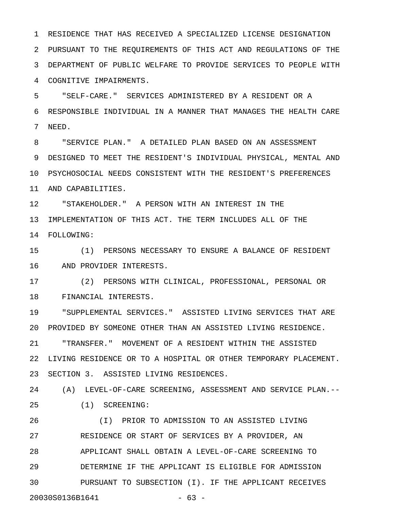1 RESIDENCE THAT HAS RECEIVED A SPECIALIZED LICENSE DESIGNATION 2 PURSUANT TO THE REQUIREMENTS OF THIS ACT AND REGULATIONS OF THE 3 DEPARTMENT OF PUBLIC WELFARE TO PROVIDE SERVICES TO PEOPLE WITH 4 COGNITIVE IMPAIRMENTS.

5 "SELF-CARE." SERVICES ADMINISTERED BY A RESIDENT OR A 6 RESPONSIBLE INDIVIDUAL IN A MANNER THAT MANAGES THE HEALTH CARE 7 NEED.

8 "SERVICE PLAN." A DETAILED PLAN BASED ON AN ASSESSMENT 9 DESIGNED TO MEET THE RESIDENT'S INDIVIDUAL PHYSICAL, MENTAL AND 10 PSYCHOSOCIAL NEEDS CONSISTENT WITH THE RESIDENT'S PREFERENCES 11 AND CAPABILITIES.

12 "STAKEHOLDER." A PERSON WITH AN INTEREST IN THE 13 IMPLEMENTATION OF THIS ACT. THE TERM INCLUDES ALL OF THE 14 FOLLOWING:

15 (1) PERSONS NECESSARY TO ENSURE A BALANCE OF RESIDENT 16 AND PROVIDER INTERESTS.

17 (2) PERSONS WITH CLINICAL, PROFESSIONAL, PERSONAL OR 18 FINANCIAL INTERESTS.

19 "SUPPLEMENTAL SERVICES." ASSISTED LIVING SERVICES THAT ARE 20 PROVIDED BY SOMEONE OTHER THAN AN ASSISTED LIVING RESIDENCE.

21 "TRANSFER." MOVEMENT OF A RESIDENT WITHIN THE ASSISTED 22 LIVING RESIDENCE OR TO A HOSPITAL OR OTHER TEMPORARY PLACEMENT. 23 SECTION 3. ASSISTED LIVING RESIDENCES.

24 (A) LEVEL-OF-CARE SCREENING, ASSESSMENT AND SERVICE PLAN.-- 25 (1) SCREENING:

26 (I) PRIOR TO ADMISSION TO AN ASSISTED LIVING 27 RESIDENCE OR START OF SERVICES BY A PROVIDER, AN 28 APPLICANT SHALL OBTAIN A LEVEL-OF-CARE SCREENING TO 29 DETERMINE IF THE APPLICANT IS ELIGIBLE FOR ADMISSION 30 PURSUANT TO SUBSECTION (I). IF THE APPLICANT RECEIVES 20030S0136B1641 - 63 -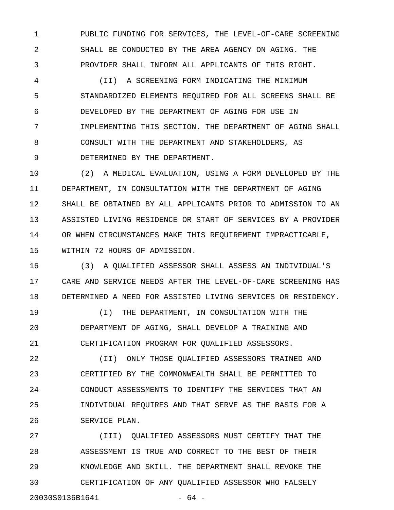1 PUBLIC FUNDING FOR SERVICES, THE LEVEL-OF-CARE SCREENING 2 SHALL BE CONDUCTED BY THE AREA AGENCY ON AGING. THE 3 PROVIDER SHALL INFORM ALL APPLICANTS OF THIS RIGHT.

4 (II) A SCREENING FORM INDICATING THE MINIMUM 5 STANDARDIZED ELEMENTS REQUIRED FOR ALL SCREENS SHALL BE 6 DEVELOPED BY THE DEPARTMENT OF AGING FOR USE IN 7 IMPLEMENTING THIS SECTION. THE DEPARTMENT OF AGING SHALL 8 CONSULT WITH THE DEPARTMENT AND STAKEHOLDERS, AS 9 DETERMINED BY THE DEPARTMENT.

10 (2) A MEDICAL EVALUATION, USING A FORM DEVELOPED BY THE 11 DEPARTMENT, IN CONSULTATION WITH THE DEPARTMENT OF AGING 12 SHALL BE OBTAINED BY ALL APPLICANTS PRIOR TO ADMISSION TO AN 13 ASSISTED LIVING RESIDENCE OR START OF SERVICES BY A PROVIDER 14 OR WHEN CIRCUMSTANCES MAKE THIS REQUIREMENT IMPRACTICABLE, 15 WITHIN 72 HOURS OF ADMISSION.

16 (3) A QUALIFIED ASSESSOR SHALL ASSESS AN INDIVIDUAL'S 17 CARE AND SERVICE NEEDS AFTER THE LEVEL-OF-CARE SCREENING HAS 18 DETERMINED A NEED FOR ASSISTED LIVING SERVICES OR RESIDENCY.

19 (I) THE DEPARTMENT, IN CONSULTATION WITH THE 20 DEPARTMENT OF AGING, SHALL DEVELOP A TRAINING AND 21 CERTIFICATION PROGRAM FOR QUALIFIED ASSESSORS.

22 (II) ONLY THOSE QUALIFIED ASSESSORS TRAINED AND 23 CERTIFIED BY THE COMMONWEALTH SHALL BE PERMITTED TO 24 CONDUCT ASSESSMENTS TO IDENTIFY THE SERVICES THAT AN 25 INDIVIDUAL REQUIRES AND THAT SERVE AS THE BASIS FOR A 26 SERVICE PLAN.

27 (III) QUALIFIED ASSESSORS MUST CERTIFY THAT THE 28 ASSESSMENT IS TRUE AND CORRECT TO THE BEST OF THEIR 29 KNOWLEDGE AND SKILL. THE DEPARTMENT SHALL REVOKE THE 30 CERTIFICATION OF ANY QUALIFIED ASSESSOR WHO FALSELY 20030S0136B1641 - 64 -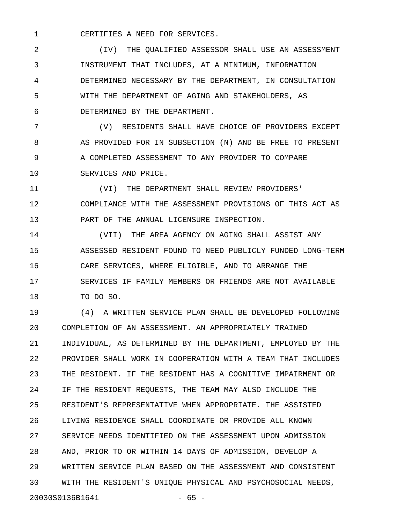1 CERTIFIES A NEED FOR SERVICES.

2 (IV) THE QUALIFIED ASSESSOR SHALL USE AN ASSESSMENT 3 INSTRUMENT THAT INCLUDES, AT A MINIMUM, INFORMATION 4 DETERMINED NECESSARY BY THE DEPARTMENT, IN CONSULTATION 5 WITH THE DEPARTMENT OF AGING AND STAKEHOLDERS, AS 6 DETERMINED BY THE DEPARTMENT.

7 (V) RESIDENTS SHALL HAVE CHOICE OF PROVIDERS EXCEPT 8 AS PROVIDED FOR IN SUBSECTION (N) AND BE FREE TO PRESENT 9 A COMPLETED ASSESSMENT TO ANY PROVIDER TO COMPARE 10 SERVICES AND PRICE.

11 (VI) THE DEPARTMENT SHALL REVIEW PROVIDERS' 12 COMPLIANCE WITH THE ASSESSMENT PROVISIONS OF THIS ACT AS 13 PART OF THE ANNUAL LICENSURE INSPECTION.

14 (VII) THE AREA AGENCY ON AGING SHALL ASSIST ANY 15 ASSESSED RESIDENT FOUND TO NEED PUBLICLY FUNDED LONG-TERM 16 CARE SERVICES, WHERE ELIGIBLE, AND TO ARRANGE THE 17 SERVICES IF FAMILY MEMBERS OR FRIENDS ARE NOT AVAILABLE 18 TO DO SO.

19 (4) A WRITTEN SERVICE PLAN SHALL BE DEVELOPED FOLLOWING 20 COMPLETION OF AN ASSESSMENT. AN APPROPRIATELY TRAINED 21 INDIVIDUAL, AS DETERMINED BY THE DEPARTMENT, EMPLOYED BY THE 22 PROVIDER SHALL WORK IN COOPERATION WITH A TEAM THAT INCLUDES 23 THE RESIDENT. IF THE RESIDENT HAS A COGNITIVE IMPAIRMENT OR 24 IF THE RESIDENT REQUESTS, THE TEAM MAY ALSO INCLUDE THE 25 RESIDENT'S REPRESENTATIVE WHEN APPROPRIATE. THE ASSISTED 26 LIVING RESIDENCE SHALL COORDINATE OR PROVIDE ALL KNOWN 27 SERVICE NEEDS IDENTIFIED ON THE ASSESSMENT UPON ADMISSION 28 AND, PRIOR TO OR WITHIN 14 DAYS OF ADMISSION, DEVELOP A 29 WRITTEN SERVICE PLAN BASED ON THE ASSESSMENT AND CONSISTENT 30 WITH THE RESIDENT'S UNIQUE PHYSICAL AND PSYCHOSOCIAL NEEDS, 20030S0136B1641 - 65 -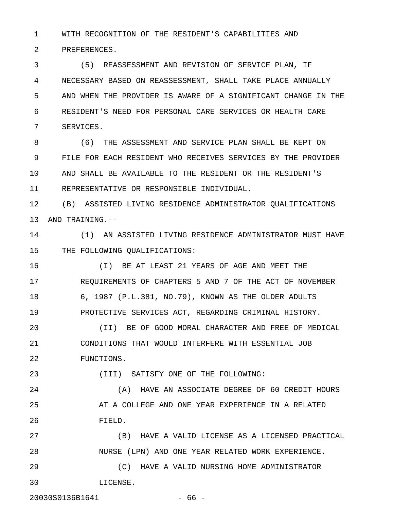1 WITH RECOGNITION OF THE RESIDENT'S CAPABILITIES AND

2 PREFERENCES.

3 (5) REASSESSMENT AND REVISION OF SERVICE PLAN, IF 4 NECESSARY BASED ON REASSESSMENT, SHALL TAKE PLACE ANNUALLY 5 AND WHEN THE PROVIDER IS AWARE OF A SIGNIFICANT CHANGE IN THE 6 RESIDENT'S NEED FOR PERSONAL CARE SERVICES OR HEALTH CARE 7 SERVICES.

8 (6) THE ASSESSMENT AND SERVICE PLAN SHALL BE KEPT ON 9 FILE FOR EACH RESIDENT WHO RECEIVES SERVICES BY THE PROVIDER 10 AND SHALL BE AVAILABLE TO THE RESIDENT OR THE RESIDENT'S 11 REPRESENTATIVE OR RESPONSIBLE INDIVIDUAL.

12 (B) ASSISTED LIVING RESIDENCE ADMINISTRATOR QUALIFICATIONS 13 AND TRAINING.--

14 (1) AN ASSISTED LIVING RESIDENCE ADMINISTRATOR MUST HAVE 15 THE FOLLOWING QUALIFICATIONS:

16 (I) BE AT LEAST 21 YEARS OF AGE AND MEET THE 17 REQUIREMENTS OF CHAPTERS 5 AND 7 OF THE ACT OF NOVEMBER 18 6, 1987 (P.L.381, NO.79), KNOWN AS THE OLDER ADULTS 19 PROTECTIVE SERVICES ACT, REGARDING CRIMINAL HISTORY.

20 (II) BE OF GOOD MORAL CHARACTER AND FREE OF MEDICAL 21 CONDITIONS THAT WOULD INTERFERE WITH ESSENTIAL JOB 22 FUNCTIONS.

23 (III) SATISFY ONE OF THE FOLLOWING:

24 (A) HAVE AN ASSOCIATE DEGREE OF 60 CREDIT HOURS 25 **AT A COLLEGE AND ONE YEAR EXPERIENCE IN A RELATED** 26 FIELD.

27 (B) HAVE A VALID LICENSE AS A LICENSED PRACTICAL 28 NURSE (LPN) AND ONE YEAR RELATED WORK EXPERIENCE.

29 (C) HAVE A VALID NURSING HOME ADMINISTRATOR 30 LICENSE.

20030S0136B1641 - 66 -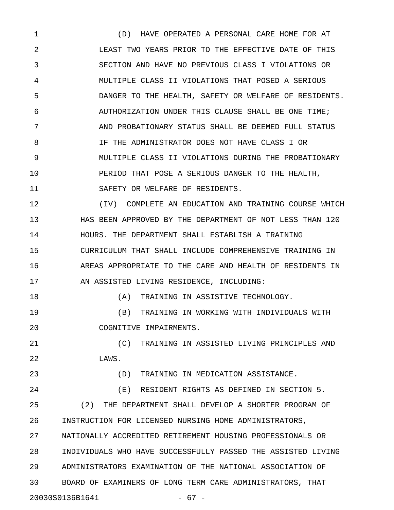1 (D) HAVE OPERATED A PERSONAL CARE HOME FOR AT 2 LEAST TWO YEARS PRIOR TO THE EFFECTIVE DATE OF THIS 3 SECTION AND HAVE NO PREVIOUS CLASS I VIOLATIONS OR 4 MULTIPLE CLASS II VIOLATIONS THAT POSED A SERIOUS 5 DANGER TO THE HEALTH, SAFETY OR WELFARE OF RESIDENTS. 6 AUTHORIZATION UNDER THIS CLAUSE SHALL BE ONE TIME; 7 AND PROBATIONARY STATUS SHALL BE DEEMED FULL STATUS 8 IF THE ADMINISTRATOR DOES NOT HAVE CLASS I OR 9 MULTIPLE CLASS II VIOLATIONS DURING THE PROBATIONARY 10 PERIOD THAT POSE A SERIOUS DANGER TO THE HEALTH, 11 SAFETY OR WELFARE OF RESIDENTS.

12 (IV) COMPLETE AN EDUCATION AND TRAINING COURSE WHICH 13 HAS BEEN APPROVED BY THE DEPARTMENT OF NOT LESS THAN 120 14 HOURS. THE DEPARTMENT SHALL ESTABLISH A TRAINING 15 CURRICULUM THAT SHALL INCLUDE COMPREHENSIVE TRAINING IN 16 AREAS APPROPRIATE TO THE CARE AND HEALTH OF RESIDENTS IN 17 AN ASSISTED LIVING RESIDENCE, INCLUDING:

18 (A) TRAINING IN ASSISTIVE TECHNOLOGY.

19 (B) TRAINING IN WORKING WITH INDIVIDUALS WITH 20 COGNITIVE IMPAIRMENTS.

21 (C) TRAINING IN ASSISTED LIVING PRINCIPLES AND 22 LAWS.

23 (D) TRAINING IN MEDICATION ASSISTANCE.

24 (E) RESIDENT RIGHTS AS DEFINED IN SECTION 5. 25 (2) THE DEPARTMENT SHALL DEVELOP A SHORTER PROGRAM OF 26 INSTRUCTION FOR LICENSED NURSING HOME ADMINISTRATORS, 27 NATIONALLY ACCREDITED RETIREMENT HOUSING PROFESSIONALS OR 28 INDIVIDUALS WHO HAVE SUCCESSFULLY PASSED THE ASSISTED LIVING 29 ADMINISTRATORS EXAMINATION OF THE NATIONAL ASSOCIATION OF 30 BOARD OF EXAMINERS OF LONG TERM CARE ADMINISTRATORS, THAT 20030S0136B1641 - 67 -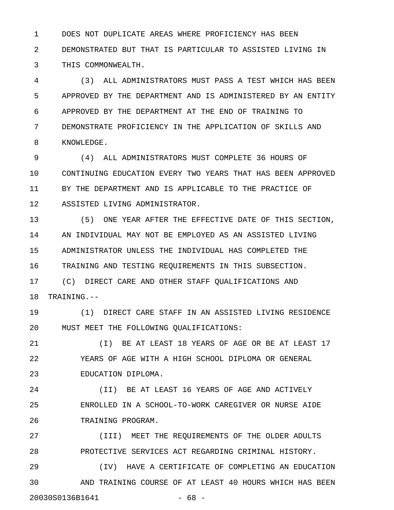1 DOES NOT DUPLICATE AREAS WHERE PROFICIENCY HAS BEEN 2 DEMONSTRATED BUT THAT IS PARTICULAR TO ASSISTED LIVING IN 3 THIS COMMONWEALTH.

4 (3) ALL ADMINISTRATORS MUST PASS A TEST WHICH HAS BEEN 5 APPROVED BY THE DEPARTMENT AND IS ADMINISTERED BY AN ENTITY 6 APPROVED BY THE DEPARTMENT AT THE END OF TRAINING TO 7 DEMONSTRATE PROFICIENCY IN THE APPLICATION OF SKILLS AND 8 KNOWLEDGE.

9 (4) ALL ADMINISTRATORS MUST COMPLETE 36 HOURS OF 10 CONTINUING EDUCATION EVERY TWO YEARS THAT HAS BEEN APPROVED 11 BY THE DEPARTMENT AND IS APPLICABLE TO THE PRACTICE OF 12 ASSISTED LIVING ADMINISTRATOR.

13 (5) ONE YEAR AFTER THE EFFECTIVE DATE OF THIS SECTION, 14 AN INDIVIDUAL MAY NOT BE EMPLOYED AS AN ASSISTED LIVING 15 ADMINISTRATOR UNLESS THE INDIVIDUAL HAS COMPLETED THE 16 TRAINING AND TESTING REQUIREMENTS IN THIS SUBSECTION.

17 (C) DIRECT CARE AND OTHER STAFF QUALIFICATIONS AND 18 TRAINING.--

19 (1) DIRECT CARE STAFF IN AN ASSISTED LIVING RESIDENCE 20 MUST MEET THE FOLLOWING QUALIFICATIONS:

21 (I) BE AT LEAST 18 YEARS OF AGE OR BE AT LEAST 17 22 YEARS OF AGE WITH A HIGH SCHOOL DIPLOMA OR GENERAL 23 EDUCATION DIPLOMA.

24 (II) BE AT LEAST 16 YEARS OF AGE AND ACTIVELY 25 ENROLLED IN A SCHOOL-TO-WORK CAREGIVER OR NURSE AIDE 26 TRAINING PROGRAM.

27 (III) MEET THE REQUIREMENTS OF THE OLDER ADULTS 28 PROTECTIVE SERVICES ACT REGARDING CRIMINAL HISTORY.

29 (IV) HAVE A CERTIFICATE OF COMPLETING AN EDUCATION 30 AND TRAINING COURSE OF AT LEAST 40 HOURS WHICH HAS BEEN 20030S0136B1641 - 68 -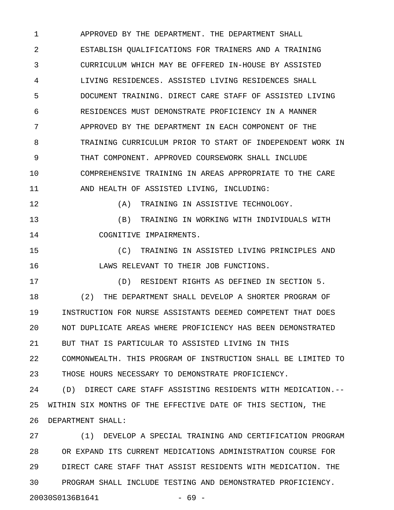1 APPROVED BY THE DEPARTMENT. THE DEPARTMENT SHALL 2 ESTABLISH QUALIFICATIONS FOR TRAINERS AND A TRAINING 3 CURRICULUM WHICH MAY BE OFFERED IN-HOUSE BY ASSISTED 4 LIVING RESIDENCES. ASSISTED LIVING RESIDENCES SHALL 5 DOCUMENT TRAINING. DIRECT CARE STAFF OF ASSISTED LIVING 6 RESIDENCES MUST DEMONSTRATE PROFICIENCY IN A MANNER 7 APPROVED BY THE DEPARTMENT IN EACH COMPONENT OF THE 8 TRAINING CURRICULUM PRIOR TO START OF INDEPENDENT WORK IN 9 THAT COMPONENT. APPROVED COURSEWORK SHALL INCLUDE 10 COMPREHENSIVE TRAINING IN AREAS APPROPRIATE TO THE CARE 11 AND HEALTH OF ASSISTED LIVING, INCLUDING:

12 (A) TRAINING IN ASSISTIVE TECHNOLOGY.

13 (B) TRAINING IN WORKING WITH INDIVIDUALS WITH 14 COGNITIVE IMPAIRMENTS.

15 (C) TRAINING IN ASSISTED LIVING PRINCIPLES AND 16 LAWS RELEVANT TO THEIR JOB FUNCTIONS.

17 (D) RESIDENT RIGHTS AS DEFINED IN SECTION 5. 18 (2) THE DEPARTMENT SHALL DEVELOP A SHORTER PROGRAM OF 19 INSTRUCTION FOR NURSE ASSISTANTS DEEMED COMPETENT THAT DOES 20 NOT DUPLICATE AREAS WHERE PROFICIENCY HAS BEEN DEMONSTRATED 21 BUT THAT IS PARTICULAR TO ASSISTED LIVING IN THIS 22 COMMONWEALTH. THIS PROGRAM OF INSTRUCTION SHALL BE LIMITED TO 23 THOSE HOURS NECESSARY TO DEMONSTRATE PROFICIENCY.

24 (D) DIRECT CARE STAFF ASSISTING RESIDENTS WITH MEDICATION.-- 25 WITHIN SIX MONTHS OF THE EFFECTIVE DATE OF THIS SECTION, THE 26 DEPARTMENT SHALL:

27 (1) DEVELOP A SPECIAL TRAINING AND CERTIFICATION PROGRAM 28 OR EXPAND ITS CURRENT MEDICATIONS ADMINISTRATION COURSE FOR 29 DIRECT CARE STAFF THAT ASSIST RESIDENTS WITH MEDICATION. THE 30 PROGRAM SHALL INCLUDE TESTING AND DEMONSTRATED PROFICIENCY. 20030S0136B1641 - 69 -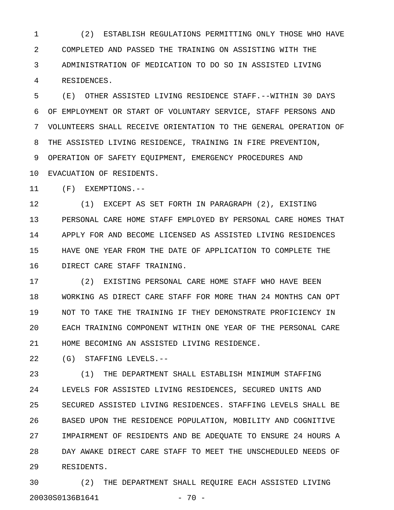1 (2) ESTABLISH REGULATIONS PERMITTING ONLY THOSE WHO HAVE 2 COMPLETED AND PASSED THE TRAINING ON ASSISTING WITH THE 3 ADMINISTRATION OF MEDICATION TO DO SO IN ASSISTED LIVING 4 RESIDENCES.

5 (E) OTHER ASSISTED LIVING RESIDENCE STAFF.--WITHIN 30 DAYS 6 OF EMPLOYMENT OR START OF VOLUNTARY SERVICE, STAFF PERSONS AND 7 VOLUNTEERS SHALL RECEIVE ORIENTATION TO THE GENERAL OPERATION OF 8 THE ASSISTED LIVING RESIDENCE, TRAINING IN FIRE PREVENTION, 9 OPERATION OF SAFETY EQUIPMENT, EMERGENCY PROCEDURES AND 10 EVACUATION OF RESIDENTS.

11 (F) EXEMPTIONS.--

12 (1) EXCEPT AS SET FORTH IN PARAGRAPH (2), EXISTING 13 PERSONAL CARE HOME STAFF EMPLOYED BY PERSONAL CARE HOMES THAT 14 APPLY FOR AND BECOME LICENSED AS ASSISTED LIVING RESIDENCES 15 HAVE ONE YEAR FROM THE DATE OF APPLICATION TO COMPLETE THE 16 DIRECT CARE STAFF TRAINING.

17 (2) EXISTING PERSONAL CARE HOME STAFF WHO HAVE BEEN 18 WORKING AS DIRECT CARE STAFF FOR MORE THAN 24 MONTHS CAN OPT 19 NOT TO TAKE THE TRAINING IF THEY DEMONSTRATE PROFICIENCY IN 20 EACH TRAINING COMPONENT WITHIN ONE YEAR OF THE PERSONAL CARE 21 HOME BECOMING AN ASSISTED LIVING RESIDENCE.

22 (G) STAFFING LEVELS.--

23 (1) THE DEPARTMENT SHALL ESTABLISH MINIMUM STAFFING 24 LEVELS FOR ASSISTED LIVING RESIDENCES, SECURED UNITS AND 25 SECURED ASSISTED LIVING RESIDENCES. STAFFING LEVELS SHALL BE 26 BASED UPON THE RESIDENCE POPULATION, MOBILITY AND COGNITIVE 27 IMPAIRMENT OF RESIDENTS AND BE ADEQUATE TO ENSURE 24 HOURS A 28 DAY AWAKE DIRECT CARE STAFF TO MEET THE UNSCHEDULED NEEDS OF 29 RESIDENTS.

30 (2) THE DEPARTMENT SHALL REQUIRE EACH ASSISTED LIVING 20030S0136B1641 - 70 -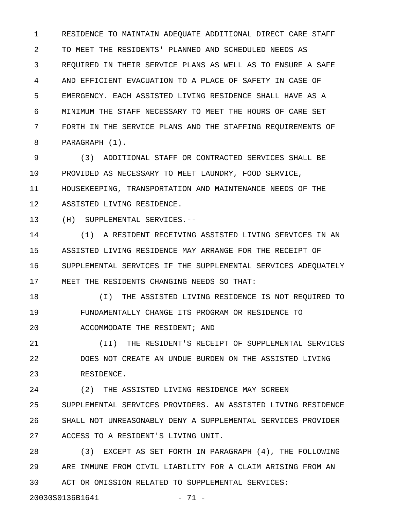1 RESIDENCE TO MAINTAIN ADEQUATE ADDITIONAL DIRECT CARE STAFF 2 TO MEET THE RESIDENTS' PLANNED AND SCHEDULED NEEDS AS 3 REQUIRED IN THEIR SERVICE PLANS AS WELL AS TO ENSURE A SAFE 4 AND EFFICIENT EVACUATION TO A PLACE OF SAFETY IN CASE OF 5 EMERGENCY. EACH ASSISTED LIVING RESIDENCE SHALL HAVE AS A 6 MINIMUM THE STAFF NECESSARY TO MEET THE HOURS OF CARE SET 7 FORTH IN THE SERVICE PLANS AND THE STAFFING REQUIREMENTS OF 8 PARAGRAPH (1).

9 (3) ADDITIONAL STAFF OR CONTRACTED SERVICES SHALL BE 10 PROVIDED AS NECESSARY TO MEET LAUNDRY, FOOD SERVICE, 11 HOUSEKEEPING, TRANSPORTATION AND MAINTENANCE NEEDS OF THE 12 ASSISTED LIVING RESIDENCE.

13 (H) SUPPLEMENTAL SERVICES.--

14 (1) A RESIDENT RECEIVING ASSISTED LIVING SERVICES IN AN 15 ASSISTED LIVING RESIDENCE MAY ARRANGE FOR THE RECEIPT OF 16 SUPPLEMENTAL SERVICES IF THE SUPPLEMENTAL SERVICES ADEQUATELY 17 MEET THE RESIDENTS CHANGING NEEDS SO THAT:

18 (I) THE ASSISTED LIVING RESIDENCE IS NOT REQUIRED TO 19 FUNDAMENTALLY CHANGE ITS PROGRAM OR RESIDENCE TO 20 ACCOMMODATE THE RESIDENT; AND

21 (II) THE RESIDENT'S RECEIPT OF SUPPLEMENTAL SERVICES 22 DOES NOT CREATE AN UNDUE BURDEN ON THE ASSISTED LIVING 23 RESIDENCE.

24 (2) THE ASSISTED LIVING RESIDENCE MAY SCREEN 25 SUPPLEMENTAL SERVICES PROVIDERS. AN ASSISTED LIVING RESIDENCE 26 SHALL NOT UNREASONABLY DENY A SUPPLEMENTAL SERVICES PROVIDER 27 ACCESS TO A RESIDENT'S LIVING UNIT.

28 (3) EXCEPT AS SET FORTH IN PARAGRAPH (4), THE FOLLOWING 29 ARE IMMUNE FROM CIVIL LIABILITY FOR A CLAIM ARISING FROM AN 30 ACT OR OMISSION RELATED TO SUPPLEMENTAL SERVICES:

20030S0136B1641 - 71 -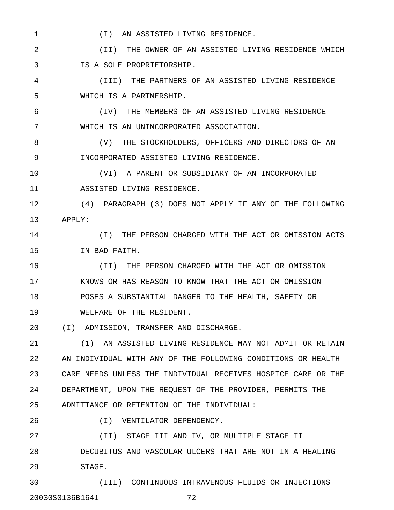1 (I) AN ASSISTED LIVING RESIDENCE.

2 (II) THE OWNER OF AN ASSISTED LIVING RESIDENCE WHICH 3 IS A SOLE PROPRIETORSHIP.

4 (III) THE PARTNERS OF AN ASSISTED LIVING RESIDENCE 5 WHICH IS A PARTNERSHIP.

6 (IV) THE MEMBERS OF AN ASSISTED LIVING RESIDENCE 7 WHICH IS AN UNINCORPORATED ASSOCIATION.

8 (V) THE STOCKHOLDERS, OFFICERS AND DIRECTORS OF AN 9 INCORPORATED ASSISTED LIVING RESIDENCE.

10 (VI) A PARENT OR SUBSIDIARY OF AN INCORPORATED 11 ASSISTED LIVING RESIDENCE.

12 (4) PARAGRAPH (3) DOES NOT APPLY IF ANY OF THE FOLLOWING 13 APPLY:

14 (I) THE PERSON CHARGED WITH THE ACT OR OMISSION ACTS 15 IN BAD FAITH.

16 (II) THE PERSON CHARGED WITH THE ACT OR OMISSION 17 KNOWS OR HAS REASON TO KNOW THAT THE ACT OR OMISSION 18 POSES A SUBSTANTIAL DANGER TO THE HEALTH, SAFETY OR 19 WELFARE OF THE RESIDENT.

20 (I) ADMISSION, TRANSFER AND DISCHARGE.--

21 (1) AN ASSISTED LIVING RESIDENCE MAY NOT ADMIT OR RETAIN 22 AN INDIVIDUAL WITH ANY OF THE FOLLOWING CONDITIONS OR HEALTH 23 CARE NEEDS UNLESS THE INDIVIDUAL RECEIVES HOSPICE CARE OR THE 24 DEPARTMENT, UPON THE REQUEST OF THE PROVIDER, PERMITS THE 25 ADMITTANCE OR RETENTION OF THE INDIVIDUAL:

26 (I) VENTILATOR DEPENDENCY.

27 (II) STAGE III AND IV, OR MULTIPLE STAGE II 28 DECUBITUS AND VASCULAR ULCERS THAT ARE NOT IN A HEALING 29 STAGE.

30 (III) CONTINUOUS INTRAVENOUS FLUIDS OR INJECTIONS 20030S0136B1641 - 72 -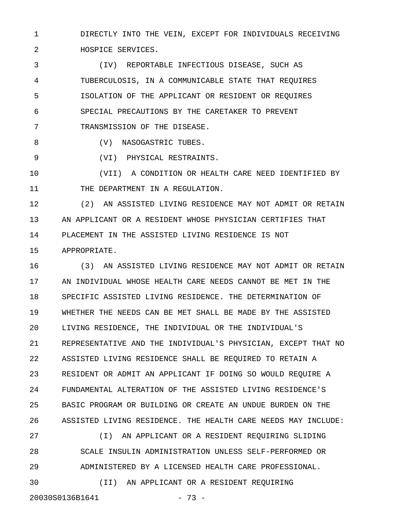1 DIRECTLY INTO THE VEIN, EXCEPT FOR INDIVIDUALS RECEIVING 2 HOSPICE SERVICES.

3 (IV) REPORTABLE INFECTIOUS DISEASE, SUCH AS 4 TUBERCULOSIS, IN A COMMUNICABLE STATE THAT REQUIRES 5 ISOLATION OF THE APPLICANT OR RESIDENT OR REQUIRES 6 SPECIAL PRECAUTIONS BY THE CARETAKER TO PREVENT 7 TRANSMISSION OF THE DISEASE.

8 (V) NASOGASTRIC TUBES.

9 (VI) PHYSICAL RESTRAINTS.

10 (VII) A CONDITION OR HEALTH CARE NEED IDENTIFIED BY 11 THE DEPARTMENT IN A REGULATION.

12 (2) AN ASSISTED LIVING RESIDENCE MAY NOT ADMIT OR RETAIN 13 AN APPLICANT OR A RESIDENT WHOSE PHYSICIAN CERTIFIES THAT 14 PLACEMENT IN THE ASSISTED LIVING RESIDENCE IS NOT 15 APPROPRIATE.

16 (3) AN ASSISTED LIVING RESIDENCE MAY NOT ADMIT OR RETAIN 17 AN INDIVIDUAL WHOSE HEALTH CARE NEEDS CANNOT BE MET IN THE 18 SPECIFIC ASSISTED LIVING RESIDENCE. THE DETERMINATION OF 19 WHETHER THE NEEDS CAN BE MET SHALL BE MADE BY THE ASSISTED 20 LIVING RESIDENCE, THE INDIVIDUAL OR THE INDIVIDUAL'S 21 REPRESENTATIVE AND THE INDIVIDUAL'S PHYSICIAN, EXCEPT THAT NO 22 ASSISTED LIVING RESIDENCE SHALL BE REQUIRED TO RETAIN A 23 RESIDENT OR ADMIT AN APPLICANT IF DOING SO WOULD REQUIRE A 24 FUNDAMENTAL ALTERATION OF THE ASSISTED LIVING RESIDENCE'S 25 BASIC PROGRAM OR BUILDING OR CREATE AN UNDUE BURDEN ON THE 26 ASSISTED LIVING RESIDENCE. THE HEALTH CARE NEEDS MAY INCLUDE: 27 (I) AN APPLICANT OR A RESIDENT REQUIRING SLIDING

28 SCALE INSULIN ADMINISTRATION UNLESS SELF-PERFORMED OR 29 ADMINISTERED BY A LICENSED HEALTH CARE PROFESSIONAL.

30 (II) AN APPLICANT OR A RESIDENT REQUIRING 20030S0136B1641 - 73 -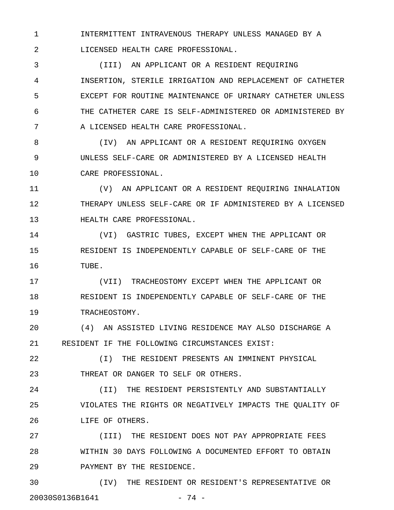1 INTERMITTENT INTRAVENOUS THERAPY UNLESS MANAGED BY A 2 LICENSED HEALTH CARE PROFESSIONAL.

3 (III) AN APPLICANT OR A RESIDENT REQUIRING 4 INSERTION, STERILE IRRIGATION AND REPLACEMENT OF CATHETER 5 EXCEPT FOR ROUTINE MAINTENANCE OF URINARY CATHETER UNLESS 6 THE CATHETER CARE IS SELF-ADMINISTERED OR ADMINISTERED BY 7 A LICENSED HEALTH CARE PROFESSIONAL.

8 (IV) AN APPLICANT OR A RESIDENT REQUIRING OXYGEN 9 UNLESS SELF-CARE OR ADMINISTERED BY A LICENSED HEALTH 10 CARE PROFESSIONAL.

11 (V) AN APPLICANT OR A RESIDENT REQUIRING INHALATION 12 THERAPY UNLESS SELF-CARE OR IF ADMINISTERED BY A LICENSED 13 HEALTH CARE PROFESSIONAL.

14 (VI) GASTRIC TUBES, EXCEPT WHEN THE APPLICANT OR 15 RESIDENT IS INDEPENDENTLY CAPABLE OF SELF-CARE OF THE 16 TUBE.

17 (VII) TRACHEOSTOMY EXCEPT WHEN THE APPLICANT OR 18 RESIDENT IS INDEPENDENTLY CAPABLE OF SELF-CARE OF THE 19 TRACHEOSTOMY.

20 (4) AN ASSISTED LIVING RESIDENCE MAY ALSO DISCHARGE A 21 RESIDENT IF THE FOLLOWING CIRCUMSTANCES EXIST:

22 (I) THE RESIDENT PRESENTS AN IMMINENT PHYSICAL 23 THREAT OR DANGER TO SELF OR OTHERS.

24 (II) THE RESIDENT PERSISTENTLY AND SUBSTANTIALLY 25 VIOLATES THE RIGHTS OR NEGATIVELY IMPACTS THE QUALITY OF 26 LIFE OF OTHERS.

27 (III) THE RESIDENT DOES NOT PAY APPROPRIATE FEES 28 WITHIN 30 DAYS FOLLOWING A DOCUMENTED EFFORT TO OBTAIN 29 PAYMENT BY THE RESIDENCE.

30 (IV) THE RESIDENT OR RESIDENT'S REPRESENTATIVE OR 20030S0136B1641 - 74 -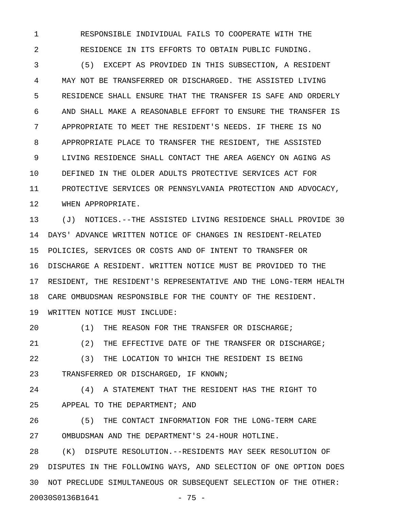1 RESPONSIBLE INDIVIDUAL FAILS TO COOPERATE WITH THE 2 RESIDENCE IN ITS EFFORTS TO OBTAIN PUBLIC FUNDING.

3 (5) EXCEPT AS PROVIDED IN THIS SUBSECTION, A RESIDENT 4 MAY NOT BE TRANSFERRED OR DISCHARGED. THE ASSISTED LIVING 5 RESIDENCE SHALL ENSURE THAT THE TRANSFER IS SAFE AND ORDERLY 6 AND SHALL MAKE A REASONABLE EFFORT TO ENSURE THE TRANSFER IS 7 APPROPRIATE TO MEET THE RESIDENT'S NEEDS. IF THERE IS NO 8 APPROPRIATE PLACE TO TRANSFER THE RESIDENT, THE ASSISTED 9 LIVING RESIDENCE SHALL CONTACT THE AREA AGENCY ON AGING AS 10 DEFINED IN THE OLDER ADULTS PROTECTIVE SERVICES ACT FOR 11 PROTECTIVE SERVICES OR PENNSYLVANIA PROTECTION AND ADVOCACY, 12 WHEN APPROPRIATE.

13 (J) NOTICES.--THE ASSISTED LIVING RESIDENCE SHALL PROVIDE 30 14 DAYS' ADVANCE WRITTEN NOTICE OF CHANGES IN RESIDENT-RELATED 15 POLICIES, SERVICES OR COSTS AND OF INTENT TO TRANSFER OR 16 DISCHARGE A RESIDENT. WRITTEN NOTICE MUST BE PROVIDED TO THE 17 RESIDENT, THE RESIDENT'S REPRESENTATIVE AND THE LONG-TERM HEALTH 18 CARE OMBUDSMAN RESPONSIBLE FOR THE COUNTY OF THE RESIDENT. 19 WRITTEN NOTICE MUST INCLUDE:

20 (1) THE REASON FOR THE TRANSFER OR DISCHARGE; 21 (2) THE EFFECTIVE DATE OF THE TRANSFER OR DISCHARGE;

22 (3) THE LOCATION TO WHICH THE RESIDENT IS BEING 23 TRANSFERRED OR DISCHARGED, IF KNOWN;

24 (4) A STATEMENT THAT THE RESIDENT HAS THE RIGHT TO 25 APPEAL TO THE DEPARTMENT; AND

26 (5) THE CONTACT INFORMATION FOR THE LONG-TERM CARE 27 OMBUDSMAN AND THE DEPARTMENT'S 24-HOUR HOTLINE.

28 (K) DISPUTE RESOLUTION.--RESIDENTS MAY SEEK RESOLUTION OF 29 DISPUTES IN THE FOLLOWING WAYS, AND SELECTION OF ONE OPTION DOES 30 NOT PRECLUDE SIMULTANEOUS OR SUBSEQUENT SELECTION OF THE OTHER: 20030S0136B1641 - 75 -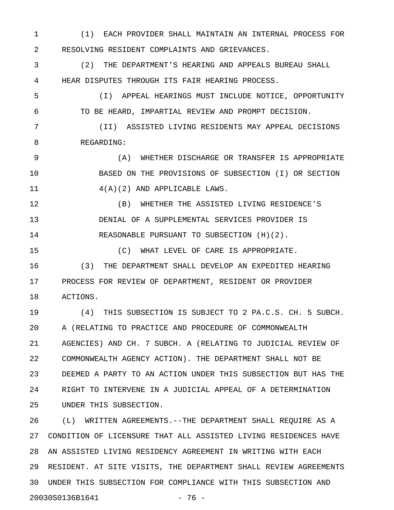1 (1) EACH PROVIDER SHALL MAINTAIN AN INTERNAL PROCESS FOR 2 RESOLVING RESIDENT COMPLAINTS AND GRIEVANCES.

3 (2) THE DEPARTMENT'S HEARING AND APPEALS BUREAU SHALL 4 HEAR DISPUTES THROUGH ITS FAIR HEARING PROCESS.

5 (I) APPEAL HEARINGS MUST INCLUDE NOTICE, OPPORTUNITY 6 TO BE HEARD, IMPARTIAL REVIEW AND PROMPT DECISION.

7 (II) ASSISTED LIVING RESIDENTS MAY APPEAL DECISIONS 8 REGARDING:

9 (A) WHETHER DISCHARGE OR TRANSFER IS APPROPRIATE 10 BASED ON THE PROVISIONS OF SUBSECTION (I) OR SECTION 11 4(A)(2) AND APPLICABLE LAWS.

12 (B) WHETHER THE ASSISTED LIVING RESIDENCE'S 13 DENIAL OF A SUPPLEMENTAL SERVICES PROVIDER IS 14 REASONABLE PURSUANT TO SUBSECTION (H)(2).

15 (C) WHAT LEVEL OF CARE IS APPROPRIATE. 16 (3) THE DEPARTMENT SHALL DEVELOP AN EXPEDITED HEARING 17 PROCESS FOR REVIEW OF DEPARTMENT, RESIDENT OR PROVIDER 18 ACTIONS.

19 (4) THIS SUBSECTION IS SUBJECT TO 2 PA.C.S. CH. 5 SUBCH. 20 A (RELATING TO PRACTICE AND PROCEDURE OF COMMONWEALTH 21 AGENCIES) AND CH. 7 SUBCH. A (RELATING TO JUDICIAL REVIEW OF 22 COMMONWEALTH AGENCY ACTION). THE DEPARTMENT SHALL NOT BE 23 DEEMED A PARTY TO AN ACTION UNDER THIS SUBSECTION BUT HAS THE 24 RIGHT TO INTERVENE IN A JUDICIAL APPEAL OF A DETERMINATION 25 UNDER THIS SUBSECTION.

26 (L) WRITTEN AGREEMENTS.--THE DEPARTMENT SHALL REQUIRE AS A 27 CONDITION OF LICENSURE THAT ALL ASSISTED LIVING RESIDENCES HAVE 28 AN ASSISTED LIVING RESIDENCY AGREEMENT IN WRITING WITH EACH 29 RESIDENT. AT SITE VISITS, THE DEPARTMENT SHALL REVIEW AGREEMENTS 30 UNDER THIS SUBSECTION FOR COMPLIANCE WITH THIS SUBSECTION AND 20030S0136B1641 - 76 -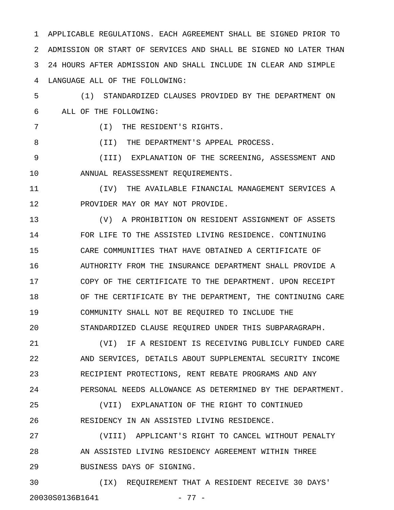1 APPLICABLE REGULATIONS. EACH AGREEMENT SHALL BE SIGNED PRIOR TO 2 ADMISSION OR START OF SERVICES AND SHALL BE SIGNED NO LATER THAN 3 24 HOURS AFTER ADMISSION AND SHALL INCLUDE IN CLEAR AND SIMPLE 4 LANGUAGE ALL OF THE FOLLOWING:

5 (1) STANDARDIZED CLAUSES PROVIDED BY THE DEPARTMENT ON 6 ALL OF THE FOLLOWING:

7 (I) THE RESIDENT'S RIGHTS.

8 (II) THE DEPARTMENT'S APPEAL PROCESS.

9 (III) EXPLANATION OF THE SCREENING, ASSESSMENT AND 10 ANNUAL REASSESSMENT REQUIREMENTS.

11 (IV) THE AVAILABLE FINANCIAL MANAGEMENT SERVICES A 12 PROVIDER MAY OR MAY NOT PROVIDE.

13 (V) A PROHIBITION ON RESIDENT ASSIGNMENT OF ASSETS 14 FOR LIFE TO THE ASSISTED LIVING RESIDENCE. CONTINUING 15 CARE COMMUNITIES THAT HAVE OBTAINED A CERTIFICATE OF 16 AUTHORITY FROM THE INSURANCE DEPARTMENT SHALL PROVIDE A 17 COPY OF THE CERTIFICATE TO THE DEPARTMENT. UPON RECEIPT 18 OF THE CERTIFICATE BY THE DEPARTMENT, THE CONTINUING CARE 19 COMMUNITY SHALL NOT BE REQUIRED TO INCLUDE THE 20 STANDARDIZED CLAUSE REQUIRED UNDER THIS SUBPARAGRAPH.

21 (VI) IF A RESIDENT IS RECEIVING PUBLICLY FUNDED CARE 22 AND SERVICES, DETAILS ABOUT SUPPLEMENTAL SECURITY INCOME 23 RECIPIENT PROTECTIONS, RENT REBATE PROGRAMS AND ANY 24 PERSONAL NEEDS ALLOWANCE AS DETERMINED BY THE DEPARTMENT.

25 (VII) EXPLANATION OF THE RIGHT TO CONTINUED 26 RESIDENCY IN AN ASSISTED LIVING RESIDENCE.

27 (VIII) APPLICANT'S RIGHT TO CANCEL WITHOUT PENALTY 28 AN ASSISTED LIVING RESIDENCY AGREEMENT WITHIN THREE 29 BUSINESS DAYS OF SIGNING.

30 (IX) REQUIREMENT THAT A RESIDENT RECEIVE 30 DAYS' 20030S0136B1641 - 77 -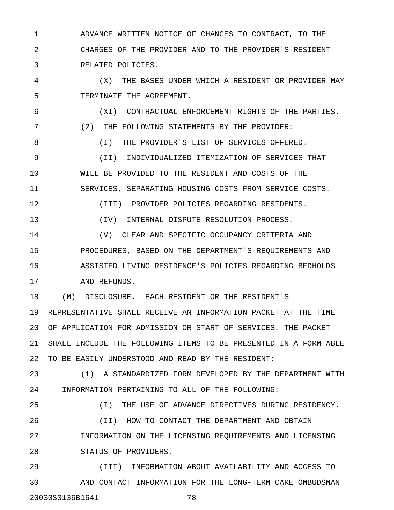1 ADVANCE WRITTEN NOTICE OF CHANGES TO CONTRACT, TO THE 2 CHARGES OF THE PROVIDER AND TO THE PROVIDER'S RESIDENT-3 RELATED POLICIES.

4 (X) THE BASES UNDER WHICH A RESIDENT OR PROVIDER MAY 5 TERMINATE THE AGREEMENT.

6 (XI) CONTRACTUAL ENFORCEMENT RIGHTS OF THE PARTIES. 7 (2) THE FOLLOWING STATEMENTS BY THE PROVIDER: 8 (I) THE PROVIDER'S LIST OF SERVICES OFFERED. 9 (II) INDIVIDUALIZED ITEMIZATION OF SERVICES THAT 10 WILL BE PROVIDED TO THE RESIDENT AND COSTS OF THE

11 SERVICES, SEPARATING HOUSING COSTS FROM SERVICE COSTS.

12 (III) PROVIDER POLICIES REGARDING RESIDENTS.

13 (IV) INTERNAL DISPUTE RESOLUTION PROCESS.

14 (V) CLEAR AND SPECIFIC OCCUPANCY CRITERIA AND 15 PROCEDURES, BASED ON THE DEPARTMENT'S REQUIREMENTS AND 16 ASSISTED LIVING RESIDENCE'S POLICIES REGARDING BEDHOLDS 17 AND REFUNDS.

18 (M) DISCLOSURE.--EACH RESIDENT OR THE RESIDENT'S 19 REPRESENTATIVE SHALL RECEIVE AN INFORMATION PACKET AT THE TIME 20 OF APPLICATION FOR ADMISSION OR START OF SERVICES. THE PACKET 21 SHALL INCLUDE THE FOLLOWING ITEMS TO BE PRESENTED IN A FORM ABLE 22 TO BE EASILY UNDERSTOOD AND READ BY THE RESIDENT:

23 (1) A STANDARDIZED FORM DEVELOPED BY THE DEPARTMENT WITH 24 INFORMATION PERTAINING TO ALL OF THE FOLLOWING:

25 (I) THE USE OF ADVANCE DIRECTIVES DURING RESIDENCY. 26 (II) HOW TO CONTACT THE DEPARTMENT AND OBTAIN 27 INFORMATION ON THE LICENSING REQUIREMENTS AND LICENSING 28 STATUS OF PROVIDERS.

29 (III) INFORMATION ABOUT AVAILABILITY AND ACCESS TO 30 AND CONTACT INFORMATION FOR THE LONG-TERM CARE OMBUDSMAN 20030S0136B1641 - 78 -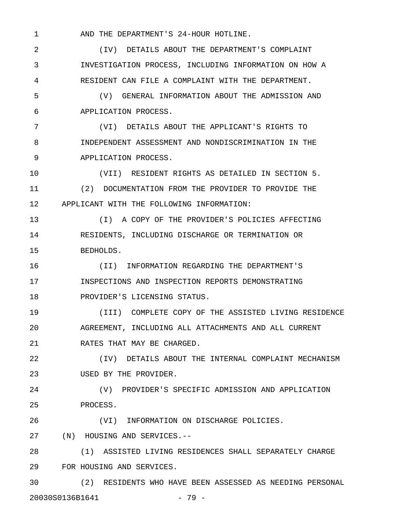1 AND THE DEPARTMENT'S 24-HOUR HOTLINE.

2 (IV) DETAILS ABOUT THE DEPARTMENT'S COMPLAINT 3 INVESTIGATION PROCESS, INCLUDING INFORMATION ON HOW A 4 RESIDENT CAN FILE A COMPLAINT WITH THE DEPARTMENT. 5 (V) GENERAL INFORMATION ABOUT THE ADMISSION AND 6 APPLICATION PROCESS. 7 (VI) DETAILS ABOUT THE APPLICANT'S RIGHTS TO 8 INDEPENDENT ASSESSMENT AND NONDISCRIMINATION IN THE 9 APPLICATION PROCESS. 10 (VII) RESIDENT RIGHTS AS DETAILED IN SECTION 5. 11 (2) DOCUMENTATION FROM THE PROVIDER TO PROVIDE THE 12 APPLICANT WITH THE FOLLOWING INFORMATION: 13 (I) A COPY OF THE PROVIDER'S POLICIES AFFECTING 14 RESIDENTS, INCLUDING DISCHARGE OR TERMINATION OR 15 BEDHOLDS. 16 (II) INFORMATION REGARDING THE DEPARTMENT'S 17 INSPECTIONS AND INSPECTION REPORTS DEMONSTRATING 18 PROVIDER'S LICENSING STATUS. 19 (III) COMPLETE COPY OF THE ASSISTED LIVING RESIDENCE 20 AGREEMENT, INCLUDING ALL ATTACHMENTS AND ALL CURRENT 21 RATES THAT MAY BE CHARGED. 22 (IV) DETAILS ABOUT THE INTERNAL COMPLAINT MECHANISM 23 USED BY THE PROVIDER. 24 (V) PROVIDER'S SPECIFIC ADMISSION AND APPLICATION 25 PROCESS. 26 (VI) INFORMATION ON DISCHARGE POLICIES. 27 (N) HOUSING AND SERVICES.-- 28 (1) ASSISTED LIVING RESIDENCES SHALL SEPARATELY CHARGE 29 FOR HOUSING AND SERVICES. 30 (2) RESIDENTS WHO HAVE BEEN ASSESSED AS NEEDING PERSONAL

20030S0136B1641 - 79 -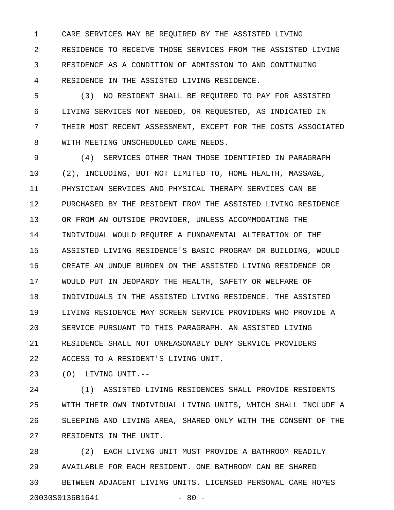1 CARE SERVICES MAY BE REQUIRED BY THE ASSISTED LIVING 2 RESIDENCE TO RECEIVE THOSE SERVICES FROM THE ASSISTED LIVING 3 RESIDENCE AS A CONDITION OF ADMISSION TO AND CONTINUING 4 RESIDENCE IN THE ASSISTED LIVING RESIDENCE.

5 (3) NO RESIDENT SHALL BE REQUIRED TO PAY FOR ASSISTED 6 LIVING SERVICES NOT NEEDED, OR REQUESTED, AS INDICATED IN 7 THEIR MOST RECENT ASSESSMENT, EXCEPT FOR THE COSTS ASSOCIATED 8 WITH MEETING UNSCHEDULED CARE NEEDS.

9 (4) SERVICES OTHER THAN THOSE IDENTIFIED IN PARAGRAPH 10 (2), INCLUDING, BUT NOT LIMITED TO, HOME HEALTH, MASSAGE, 11 PHYSICIAN SERVICES AND PHYSICAL THERAPY SERVICES CAN BE 12 PURCHASED BY THE RESIDENT FROM THE ASSISTED LIVING RESIDENCE 13 OR FROM AN OUTSIDE PROVIDER, UNLESS ACCOMMODATING THE 14 INDIVIDUAL WOULD REQUIRE A FUNDAMENTAL ALTERATION OF THE 15 ASSISTED LIVING RESIDENCE'S BASIC PROGRAM OR BUILDING, WOULD 16 CREATE AN UNDUE BURDEN ON THE ASSISTED LIVING RESIDENCE OR 17 WOULD PUT IN JEOPARDY THE HEALTH, SAFETY OR WELFARE OF 18 INDIVIDUALS IN THE ASSISTED LIVING RESIDENCE. THE ASSISTED 19 LIVING RESIDENCE MAY SCREEN SERVICE PROVIDERS WHO PROVIDE A 20 SERVICE PURSUANT TO THIS PARAGRAPH. AN ASSISTED LIVING 21 RESIDENCE SHALL NOT UNREASONABLY DENY SERVICE PROVIDERS 22 ACCESS TO A RESIDENT'S LIVING UNIT.

23 (O) LIVING UNIT.--

24 (1) ASSISTED LIVING RESIDENCES SHALL PROVIDE RESIDENTS 25 WITH THEIR OWN INDIVIDUAL LIVING UNITS, WHICH SHALL INCLUDE A 26 SLEEPING AND LIVING AREA, SHARED ONLY WITH THE CONSENT OF THE 27 RESIDENTS IN THE UNIT.

28 (2) EACH LIVING UNIT MUST PROVIDE A BATHROOM READILY 29 AVAILABLE FOR EACH RESIDENT. ONE BATHROOM CAN BE SHARED 30 BETWEEN ADJACENT LIVING UNITS. LICENSED PERSONAL CARE HOMES 20030S0136B1641 - 80 -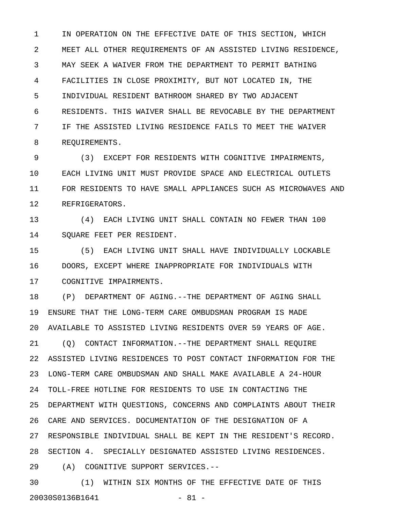1 IN OPERATION ON THE EFFECTIVE DATE OF THIS SECTION, WHICH 2 MEET ALL OTHER REQUIREMENTS OF AN ASSISTED LIVING RESIDENCE, 3 MAY SEEK A WAIVER FROM THE DEPARTMENT TO PERMIT BATHING 4 FACILITIES IN CLOSE PROXIMITY, BUT NOT LOCATED IN, THE 5 INDIVIDUAL RESIDENT BATHROOM SHARED BY TWO ADJACENT 6 RESIDENTS. THIS WAIVER SHALL BE REVOCABLE BY THE DEPARTMENT 7 IF THE ASSISTED LIVING RESIDENCE FAILS TO MEET THE WAIVER 8 REQUIREMENTS.

9 (3) EXCEPT FOR RESIDENTS WITH COGNITIVE IMPAIRMENTS, 10 EACH LIVING UNIT MUST PROVIDE SPACE AND ELECTRICAL OUTLETS 11 FOR RESIDENTS TO HAVE SMALL APPLIANCES SUCH AS MICROWAVES AND 12 REFRIGERATORS.

13 (4) EACH LIVING UNIT SHALL CONTAIN NO FEWER THAN 100 14 SQUARE FEET PER RESIDENT.

15 (5) EACH LIVING UNIT SHALL HAVE INDIVIDUALLY LOCKABLE 16 DOORS, EXCEPT WHERE INAPPROPRIATE FOR INDIVIDUALS WITH 17 COGNITIVE IMPAIRMENTS.

18 (P) DEPARTMENT OF AGING.--THE DEPARTMENT OF AGING SHALL 19 ENSURE THAT THE LONG-TERM CARE OMBUDSMAN PROGRAM IS MADE 20 AVAILABLE TO ASSISTED LIVING RESIDENTS OVER 59 YEARS OF AGE. 21 (Q) CONTACT INFORMATION.--THE DEPARTMENT SHALL REQUIRE 22 ASSISTED LIVING RESIDENCES TO POST CONTACT INFORMATION FOR THE 23 LONG-TERM CARE OMBUDSMAN AND SHALL MAKE AVAILABLE A 24-HOUR 24 TOLL-FREE HOTLINE FOR RESIDENTS TO USE IN CONTACTING THE 25 DEPARTMENT WITH QUESTIONS, CONCERNS AND COMPLAINTS ABOUT THEIR 26 CARE AND SERVICES. DOCUMENTATION OF THE DESIGNATION OF A 27 RESPONSIBLE INDIVIDUAL SHALL BE KEPT IN THE RESIDENT'S RECORD. 28 SECTION 4. SPECIALLY DESIGNATED ASSISTED LIVING RESIDENCES. 29 (A) COGNITIVE SUPPORT SERVICES.--

30 (1) WITHIN SIX MONTHS OF THE EFFECTIVE DATE OF THIS 20030S0136B1641 - 81 -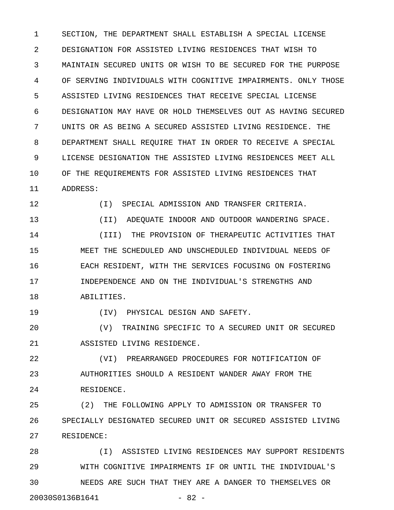1 SECTION, THE DEPARTMENT SHALL ESTABLISH A SPECIAL LICENSE 2 DESIGNATION FOR ASSISTED LIVING RESIDENCES THAT WISH TO 3 MAINTAIN SECURED UNITS OR WISH TO BE SECURED FOR THE PURPOSE 4 OF SERVING INDIVIDUALS WITH COGNITIVE IMPAIRMENTS. ONLY THOSE 5 ASSISTED LIVING RESIDENCES THAT RECEIVE SPECIAL LICENSE 6 DESIGNATION MAY HAVE OR HOLD THEMSELVES OUT AS HAVING SECURED 7 UNITS OR AS BEING A SECURED ASSISTED LIVING RESIDENCE. THE 8 DEPARTMENT SHALL REQUIRE THAT IN ORDER TO RECEIVE A SPECIAL 9 LICENSE DESIGNATION THE ASSISTED LIVING RESIDENCES MEET ALL 10 OF THE REQUIREMENTS FOR ASSISTED LIVING RESIDENCES THAT 11 ADDRESS:

12 (I) SPECIAL ADMISSION AND TRANSFER CRITERIA.

13 (II) ADEQUATE INDOOR AND OUTDOOR WANDERING SPACE.

14 (III) THE PROVISION OF THERAPEUTIC ACTIVITIES THAT 15 MEET THE SCHEDULED AND UNSCHEDULED INDIVIDUAL NEEDS OF 16 EACH RESIDENT, WITH THE SERVICES FOCUSING ON FOSTERING 17 INDEPENDENCE AND ON THE INDIVIDUAL'S STRENGTHS AND 18 ABILITIES.

19 (IV) PHYSICAL DESIGN AND SAFETY.

20 (V) TRAINING SPECIFIC TO A SECURED UNIT OR SECURED 21 ASSISTED LIVING RESIDENCE.

22 (VI) PREARRANGED PROCEDURES FOR NOTIFICATION OF 23 AUTHORITIES SHOULD A RESIDENT WANDER AWAY FROM THE 24 RESIDENCE.

25 (2) THE FOLLOWING APPLY TO ADMISSION OR TRANSFER TO 26 SPECIALLY DESIGNATED SECURED UNIT OR SECURED ASSISTED LIVING 27 RESIDENCE:

28 (I) ASSISTED LIVING RESIDENCES MAY SUPPORT RESIDENTS 29 WITH COGNITIVE IMPAIRMENTS IF OR UNTIL THE INDIVIDUAL'S 30 NEEDS ARE SUCH THAT THEY ARE A DANGER TO THEMSELVES OR 20030S0136B1641 - 82 -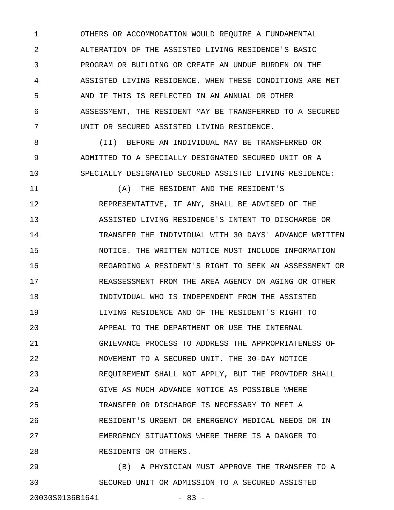1 OTHERS OR ACCOMMODATION WOULD REQUIRE A FUNDAMENTAL 2 ALTERATION OF THE ASSISTED LIVING RESIDENCE'S BASIC 3 PROGRAM OR BUILDING OR CREATE AN UNDUE BURDEN ON THE 4 ASSISTED LIVING RESIDENCE. WHEN THESE CONDITIONS ARE MET 5 AND IF THIS IS REFLECTED IN AN ANNUAL OR OTHER 6 ASSESSMENT, THE RESIDENT MAY BE TRANSFERRED TO A SECURED 7 UNIT OR SECURED ASSISTED LIVING RESIDENCE.

8 (II) BEFORE AN INDIVIDUAL MAY BE TRANSFERRED OR 9 ADMITTED TO A SPECIALLY DESIGNATED SECURED UNIT OR A 10 SPECIALLY DESIGNATED SECURED ASSISTED LIVING RESIDENCE:

11 (A) THE RESIDENT AND THE RESIDENT'S 12 REPRESENTATIVE, IF ANY, SHALL BE ADVISED OF THE 13 ASSISTED LIVING RESIDENCE'S INTENT TO DISCHARGE OR 14 TRANSFER THE INDIVIDUAL WITH 30 DAYS' ADVANCE WRITTEN 15 NOTICE. THE WRITTEN NOTICE MUST INCLUDE INFORMATION 16 REGARDING A RESIDENT'S RIGHT TO SEEK AN ASSESSMENT OR 17 REASSESSMENT FROM THE AREA AGENCY ON AGING OR OTHER 18 INDIVIDUAL WHO IS INDEPENDENT FROM THE ASSISTED 19 LIVING RESIDENCE AND OF THE RESIDENT'S RIGHT TO 20 APPEAL TO THE DEPARTMENT OR USE THE INTERNAL 21 GRIEVANCE PROCESS TO ADDRESS THE APPROPRIATENESS OF 22 MOVEMENT TO A SECURED UNIT. THE 30-DAY NOTICE 23 REQUIREMENT SHALL NOT APPLY, BUT THE PROVIDER SHALL 24 GIVE AS MUCH ADVANCE NOTICE AS POSSIBLE WHERE 25 TRANSFER OR DISCHARGE IS NECESSARY TO MEET A 26 RESIDENT'S URGENT OR EMERGENCY MEDICAL NEEDS OR IN 27 EMERGENCY SITUATIONS WHERE THERE IS A DANGER TO 28 RESIDENTS OR OTHERS.

29 (B) A PHYSICIAN MUST APPROVE THE TRANSFER TO A 30 SECURED UNIT OR ADMISSION TO A SECURED ASSISTED 20030S0136B1641 - 83 -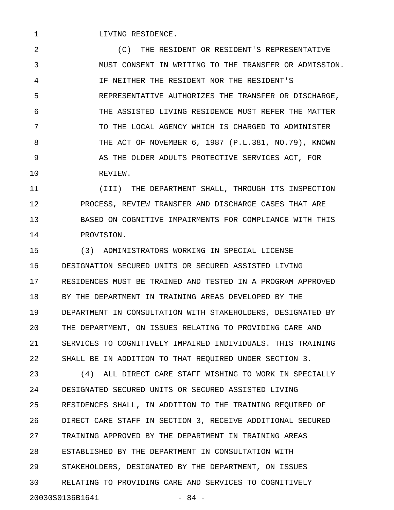1 LIVING RESIDENCE.

2 (C) THE RESIDENT OR RESIDENT'S REPRESENTATIVE 3 MUST CONSENT IN WRITING TO THE TRANSFER OR ADMISSION. 4 IF NEITHER THE RESIDENT NOR THE RESIDENT'S 5 REPRESENTATIVE AUTHORIZES THE TRANSFER OR DISCHARGE, 6 THE ASSISTED LIVING RESIDENCE MUST REFER THE MATTER 7 TO THE LOCAL AGENCY WHICH IS CHARGED TO ADMINISTER 8 THE ACT OF NOVEMBER 6, 1987 (P.L.381, NO.79), KNOWN 9 6 AS THE OLDER ADULTS PROTECTIVE SERVICES ACT, FOR 10 REVIEW.

11 (III) THE DEPARTMENT SHALL, THROUGH ITS INSPECTION 12 PROCESS, REVIEW TRANSFER AND DISCHARGE CASES THAT ARE 13 BASED ON COGNITIVE IMPAIRMENTS FOR COMPLIANCE WITH THIS 14 PROVISION.

15 (3) ADMINISTRATORS WORKING IN SPECIAL LICENSE 16 DESIGNATION SECURED UNITS OR SECURED ASSISTED LIVING 17 RESIDENCES MUST BE TRAINED AND TESTED IN A PROGRAM APPROVED 18 BY THE DEPARTMENT IN TRAINING AREAS DEVELOPED BY THE 19 DEPARTMENT IN CONSULTATION WITH STAKEHOLDERS, DESIGNATED BY 20 THE DEPARTMENT, ON ISSUES RELATING TO PROVIDING CARE AND 21 SERVICES TO COGNITIVELY IMPAIRED INDIVIDUALS. THIS TRAINING 22 SHALL BE IN ADDITION TO THAT REQUIRED UNDER SECTION 3.

23 (4) ALL DIRECT CARE STAFF WISHING TO WORK IN SPECIALLY 24 DESIGNATED SECURED UNITS OR SECURED ASSISTED LIVING 25 RESIDENCES SHALL, IN ADDITION TO THE TRAINING REQUIRED OF 26 DIRECT CARE STAFF IN SECTION 3, RECEIVE ADDITIONAL SECURED 27 TRAINING APPROVED BY THE DEPARTMENT IN TRAINING AREAS 28 ESTABLISHED BY THE DEPARTMENT IN CONSULTATION WITH 29 STAKEHOLDERS, DESIGNATED BY THE DEPARTMENT, ON ISSUES 30 RELATING TO PROVIDING CARE AND SERVICES TO COGNITIVELY 20030S0136B1641 - 84 -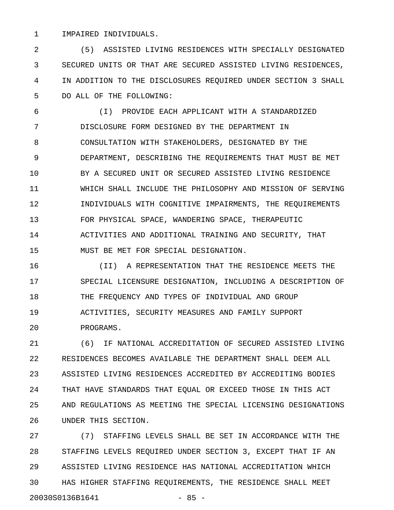## 1 IMPAIRED INDIVIDUALS.

2 (5) ASSISTED LIVING RESIDENCES WITH SPECIALLY DESIGNATED 3 SECURED UNITS OR THAT ARE SECURED ASSISTED LIVING RESIDENCES, 4 IN ADDITION TO THE DISCLOSURES REQUIRED UNDER SECTION 3 SHALL 5 DO ALL OF THE FOLLOWING:

6 (I) PROVIDE EACH APPLICANT WITH A STANDARDIZED 7 DISCLOSURE FORM DESIGNED BY THE DEPARTMENT IN 8 CONSULTATION WITH STAKEHOLDERS, DESIGNATED BY THE 9 DEPARTMENT, DESCRIBING THE REQUIREMENTS THAT MUST BE MET 10 BY A SECURED UNIT OR SECURED ASSISTED LIVING RESIDENCE 11 WHICH SHALL INCLUDE THE PHILOSOPHY AND MISSION OF SERVING 12 **INDIVIDUALS WITH COGNITIVE IMPAIRMENTS, THE REQUIREMENTS** 13 FOR PHYSICAL SPACE, WANDERING SPACE, THERAPEUTIC 14 ACTIVITIES AND ADDITIONAL TRAINING AND SECURITY, THAT 15 MUST BE MET FOR SPECIAL DESIGNATION.

16 (II) A REPRESENTATION THAT THE RESIDENCE MEETS THE 17 SPECIAL LICENSURE DESIGNATION, INCLUDING A DESCRIPTION OF 18 THE FREQUENCY AND TYPES OF INDIVIDUAL AND GROUP 19 ACTIVITIES, SECURITY MEASURES AND FAMILY SUPPORT 20 PROGRAMS.

21 (6) IF NATIONAL ACCREDITATION OF SECURED ASSISTED LIVING 22 RESIDENCES BECOMES AVAILABLE THE DEPARTMENT SHALL DEEM ALL 23 ASSISTED LIVING RESIDENCES ACCREDITED BY ACCREDITING BODIES 24 THAT HAVE STANDARDS THAT EQUAL OR EXCEED THOSE IN THIS ACT 25 AND REGULATIONS AS MEETING THE SPECIAL LICENSING DESIGNATIONS 26 UNDER THIS SECTION.

27 (7) STAFFING LEVELS SHALL BE SET IN ACCORDANCE WITH THE 28 STAFFING LEVELS REQUIRED UNDER SECTION 3, EXCEPT THAT IF AN 29 ASSISTED LIVING RESIDENCE HAS NATIONAL ACCREDITATION WHICH 30 HAS HIGHER STAFFING REQUIREMENTS, THE RESIDENCE SHALL MEET 20030S0136B1641 - 85 -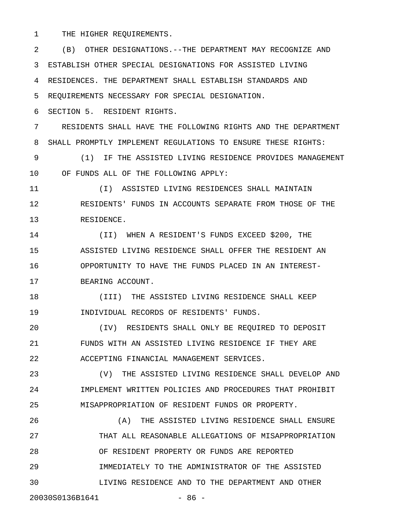1 THE HIGHER REQUIREMENTS.

2 (B) OTHER DESIGNATIONS.--THE DEPARTMENT MAY RECOGNIZE AND 3 ESTABLISH OTHER SPECIAL DESIGNATIONS FOR ASSISTED LIVING 4 RESIDENCES. THE DEPARTMENT SHALL ESTABLISH STANDARDS AND 5 REQUIREMENTS NECESSARY FOR SPECIAL DESIGNATION.

6 SECTION 5. RESIDENT RIGHTS.

7 RESIDENTS SHALL HAVE THE FOLLOWING RIGHTS AND THE DEPARTMENT 8 SHALL PROMPTLY IMPLEMENT REGULATIONS TO ENSURE THESE RIGHTS:

9 (1) IF THE ASSISTED LIVING RESIDENCE PROVIDES MANAGEMENT 10 OF FUNDS ALL OF THE FOLLOWING APPLY:

11 (I) ASSISTED LIVING RESIDENCES SHALL MAINTAIN 12 RESIDENTS' FUNDS IN ACCOUNTS SEPARATE FROM THOSE OF THE 13 RESIDENCE.

14 (II) WHEN A RESIDENT'S FUNDS EXCEED \$200, THE 15 ASSISTED LIVING RESIDENCE SHALL OFFER THE RESIDENT AN 16 OPPORTUNITY TO HAVE THE FUNDS PLACED IN AN INTEREST-17 BEARING ACCOUNT.

18 (III) THE ASSISTED LIVING RESIDENCE SHALL KEEP 19 INDIVIDUAL RECORDS OF RESIDENTS' FUNDS.

20 (IV) RESIDENTS SHALL ONLY BE REQUIRED TO DEPOSIT 21 FUNDS WITH AN ASSISTED LIVING RESIDENCE IF THEY ARE 22 ACCEPTING FINANCIAL MANAGEMENT SERVICES.

23 (V) THE ASSISTED LIVING RESIDENCE SHALL DEVELOP AND 24 IMPLEMENT WRITTEN POLICIES AND PROCEDURES THAT PROHIBIT 25 MISAPPROPRIATION OF RESIDENT FUNDS OR PROPERTY.

26 (A) THE ASSISTED LIVING RESIDENCE SHALL ENSURE 27 THAT ALL REASONABLE ALLEGATIONS OF MISAPPROPRIATION 28 OF RESIDENT PROPERTY OR FUNDS ARE REPORTED 29 IMMEDIATELY TO THE ADMINISTRATOR OF THE ASSISTED 30 LIVING RESIDENCE AND TO THE DEPARTMENT AND OTHER 20030S0136B1641 - 86 -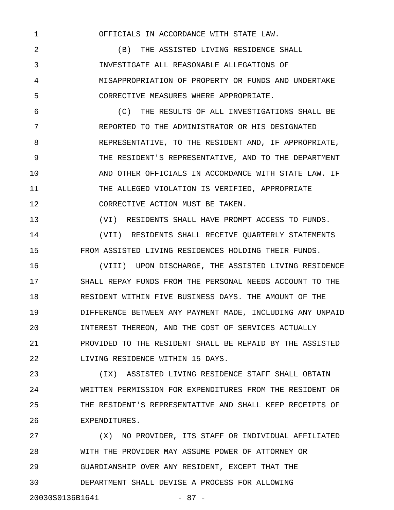1 OFFICIALS IN ACCORDANCE WITH STATE LAW.

2 (B) THE ASSISTED LIVING RESIDENCE SHALL 3 INVESTIGATE ALL REASONABLE ALLEGATIONS OF 4 MISAPPROPRIATION OF PROPERTY OR FUNDS AND UNDERTAKE 5 CORRECTIVE MEASURES WHERE APPROPRIATE.

6 (C) THE RESULTS OF ALL INVESTIGATIONS SHALL BE 7 REPORTED TO THE ADMINISTRATOR OR HIS DESIGNATED 8 REPRESENTATIVE, TO THE RESIDENT AND, IF APPROPRIATE, 9 THE RESIDENT'S REPRESENTATIVE, AND TO THE DEPARTMENT 10 AND OTHER OFFICIALS IN ACCORDANCE WITH STATE LAW. IF 11 THE ALLEGED VIOLATION IS VERIFIED, APPROPRIATE 12 CORRECTIVE ACTION MUST BE TAKEN.

13 (VI) RESIDENTS SHALL HAVE PROMPT ACCESS TO FUNDS.

14 (VII) RESIDENTS SHALL RECEIVE QUARTERLY STATEMENTS 15 FROM ASSISTED LIVING RESIDENCES HOLDING THEIR FUNDS.

16 (VIII) UPON DISCHARGE, THE ASSISTED LIVING RESIDENCE 17 SHALL REPAY FUNDS FROM THE PERSONAL NEEDS ACCOUNT TO THE 18 RESIDENT WITHIN FIVE BUSINESS DAYS. THE AMOUNT OF THE 19 DIFFERENCE BETWEEN ANY PAYMENT MADE, INCLUDING ANY UNPAID 20 INTEREST THEREON, AND THE COST OF SERVICES ACTUALLY 21 PROVIDED TO THE RESIDENT SHALL BE REPAID BY THE ASSISTED 22 LIVING RESIDENCE WITHIN 15 DAYS.

23 (IX) ASSISTED LIVING RESIDENCE STAFF SHALL OBTAIN 24 WRITTEN PERMISSION FOR EXPENDITURES FROM THE RESIDENT OR 25 THE RESIDENT'S REPRESENTATIVE AND SHALL KEEP RECEIPTS OF 26 EXPENDITURES.

27 (X) NO PROVIDER, ITS STAFF OR INDIVIDUAL AFFILIATED 28 WITH THE PROVIDER MAY ASSUME POWER OF ATTORNEY OR 29 GUARDIANSHIP OVER ANY RESIDENT, EXCEPT THAT THE 30 DEPARTMENT SHALL DEVISE A PROCESS FOR ALLOWING 20030S0136B1641 - 87 -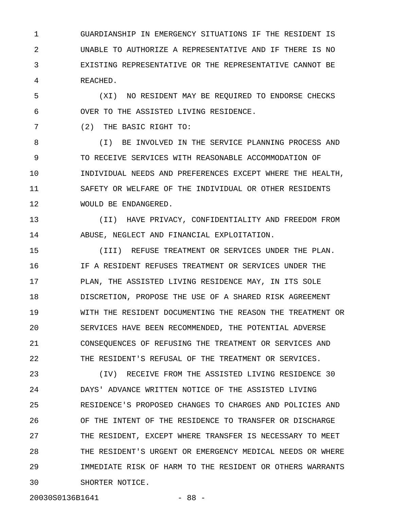1 GUARDIANSHIP IN EMERGENCY SITUATIONS IF THE RESIDENT IS 2 UNABLE TO AUTHORIZE A REPRESENTATIVE AND IF THERE IS NO 3 EXISTING REPRESENTATIVE OR THE REPRESENTATIVE CANNOT BE 4 REACHED.

5 (XI) NO RESIDENT MAY BE REQUIRED TO ENDORSE CHECKS 6 OVER TO THE ASSISTED LIVING RESIDENCE.

7 (2) THE BASIC RIGHT TO:

8 (I) BE INVOLVED IN THE SERVICE PLANNING PROCESS AND 9 TO RECEIVE SERVICES WITH REASONABLE ACCOMMODATION OF 10 **INDIVIDUAL NEEDS AND PREFERENCES EXCEPT WHERE THE HEALTH,** 11 SAFETY OR WELFARE OF THE INDIVIDUAL OR OTHER RESIDENTS 12 WOULD BE ENDANGERED.

13 (II) HAVE PRIVACY, CONFIDENTIALITY AND FREEDOM FROM 14 ABUSE, NEGLECT AND FINANCIAL EXPLOITATION.

15 (III) REFUSE TREATMENT OR SERVICES UNDER THE PLAN. 16 IF A RESIDENT REFUSES TREATMENT OR SERVICES UNDER THE 17 PLAN, THE ASSISTED LIVING RESIDENCE MAY, IN ITS SOLE 18 DISCRETION, PROPOSE THE USE OF A SHARED RISK AGREEMENT 19 WITH THE RESIDENT DOCUMENTING THE REASON THE TREATMENT OR 20 SERVICES HAVE BEEN RECOMMENDED, THE POTENTIAL ADVERSE 21 CONSEQUENCES OF REFUSING THE TREATMENT OR SERVICES AND 22 THE RESIDENT'S REFUSAL OF THE TREATMENT OR SERVICES.

23 (IV) RECEIVE FROM THE ASSISTED LIVING RESIDENCE 30 24 DAYS' ADVANCE WRITTEN NOTICE OF THE ASSISTED LIVING 25 RESIDENCE'S PROPOSED CHANGES TO CHARGES AND POLICIES AND 26 OF THE INTENT OF THE RESIDENCE TO TRANSFER OR DISCHARGE 27 THE RESIDENT, EXCEPT WHERE TRANSFER IS NECESSARY TO MEET 28 THE RESIDENT'S URGENT OR EMERGENCY MEDICAL NEEDS OR WHERE 29 IMMEDIATE RISK OF HARM TO THE RESIDENT OR OTHERS WARRANTS 30 SHORTER NOTICE.

20030S0136B1641 - 88 -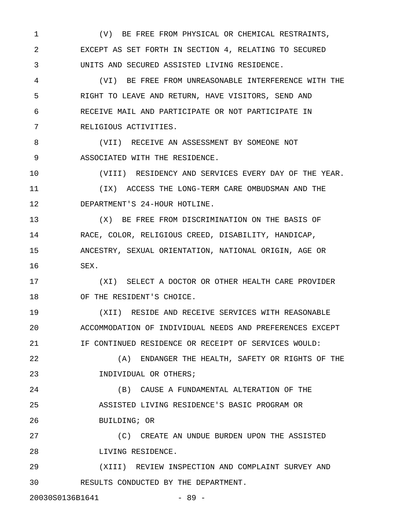1 (V) BE FREE FROM PHYSICAL OR CHEMICAL RESTRAINTS, 2 EXCEPT AS SET FORTH IN SECTION 4, RELATING TO SECURED 3 UNITS AND SECURED ASSISTED LIVING RESIDENCE.

4 (VI) BE FREE FROM UNREASONABLE INTERFERENCE WITH THE 5 RIGHT TO LEAVE AND RETURN, HAVE VISITORS, SEND AND 6 RECEIVE MAIL AND PARTICIPATE OR NOT PARTICIPATE IN 7 RELIGIOUS ACTIVITIES.

8 (VII) RECEIVE AN ASSESSMENT BY SOMEONE NOT 9 ASSOCIATED WITH THE RESIDENCE.

10 (VIII) RESIDENCY AND SERVICES EVERY DAY OF THE YEAR.

11 (IX) ACCESS THE LONG-TERM CARE OMBUDSMAN AND THE 12 DEPARTMENT'S 24-HOUR HOTLINE.

13 (X) BE FREE FROM DISCRIMINATION ON THE BASIS OF 14 RACE, COLOR, RELIGIOUS CREED, DISABILITY, HANDICAP, 15 ANCESTRY, SEXUAL ORIENTATION, NATIONAL ORIGIN, AGE OR 16 SEX.

17 (XI) SELECT A DOCTOR OR OTHER HEALTH CARE PROVIDER 18 OF THE RESIDENT'S CHOICE.

19 (XII) RESIDE AND RECEIVE SERVICES WITH REASONABLE 20 ACCOMMODATION OF INDIVIDUAL NEEDS AND PREFERENCES EXCEPT 21 **IF CONTINUED RESIDENCE OR RECEIPT OF SERVICES WOULD:** 

22 (A) ENDANGER THE HEALTH, SAFETY OR RIGHTS OF THE 23 INDIVIDUAL OR OTHERS;

24 (B) CAUSE A FUNDAMENTAL ALTERATION OF THE 25 ASSISTED LIVING RESIDENCE'S BASIC PROGRAM OR 26 BUILDING; OR

27 (C) CREATE AN UNDUE BURDEN UPON THE ASSISTED 28 LIVING RESIDENCE.

29 (XIII) REVIEW INSPECTION AND COMPLAINT SURVEY AND 30 RESULTS CONDUCTED BY THE DEPARTMENT.

20030S0136B1641 - 89 -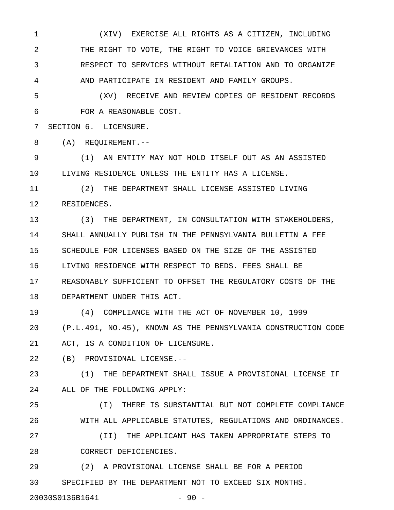1 (XIV) EXERCISE ALL RIGHTS AS A CITIZEN, INCLUDING 2 THE RIGHT TO VOTE, THE RIGHT TO VOICE GRIEVANCES WITH 3 RESPECT TO SERVICES WITHOUT RETALIATION AND TO ORGANIZE 4 AND PARTICIPATE IN RESIDENT AND FAMILY GROUPS.

5 (XV) RECEIVE AND REVIEW COPIES OF RESIDENT RECORDS 6 FOR A REASONABLE COST.

7 SECTION 6. LICENSURE.

8 (A) REQUIREMENT.--

9 (1) AN ENTITY MAY NOT HOLD ITSELF OUT AS AN ASSISTED 10 LIVING RESIDENCE UNLESS THE ENTITY HAS A LICENSE.

11 (2) THE DEPARTMENT SHALL LICENSE ASSISTED LIVING 12 RESIDENCES.

13 (3) THE DEPARTMENT, IN CONSULTATION WITH STAKEHOLDERS, 14 SHALL ANNUALLY PUBLISH IN THE PENNSYLVANIA BULLETIN A FEE 15 SCHEDULE FOR LICENSES BASED ON THE SIZE OF THE ASSISTED 16 LIVING RESIDENCE WITH RESPECT TO BEDS. FEES SHALL BE 17 REASONABLY SUFFICIENT TO OFFSET THE REGULATORY COSTS OF THE 18 DEPARTMENT UNDER THIS ACT.

19 (4) COMPLIANCE WITH THE ACT OF NOVEMBER 10, 1999 20 (P.L.491, NO.45), KNOWN AS THE PENNSYLVANIA CONSTRUCTION CODE 21 ACT, IS A CONDITION OF LICENSURE.

22 (B) PROVISIONAL LICENSE.--

23 (1) THE DEPARTMENT SHALL ISSUE A PROVISIONAL LICENSE IF 24 ALL OF THE FOLLOWING APPLY:

25 (I) THERE IS SUBSTANTIAL BUT NOT COMPLETE COMPLIANCE 26 WITH ALL APPLICABLE STATUTES, REGULATIONS AND ORDINANCES. 27 (II) THE APPLICANT HAS TAKEN APPROPRIATE STEPS TO

28 CORRECT DEFICIENCIES.

29 (2) A PROVISIONAL LICENSE SHALL BE FOR A PERIOD 30 SPECIFIED BY THE DEPARTMENT NOT TO EXCEED SIX MONTHS.

20030S0136B1641 - 90 -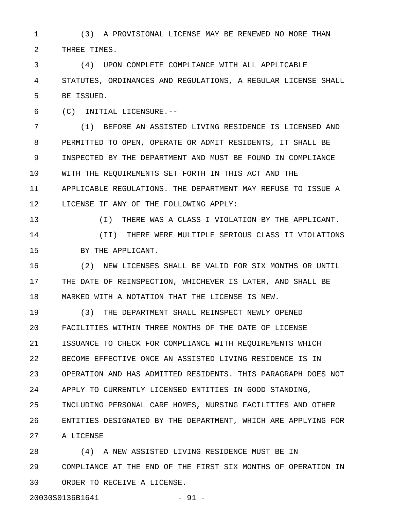1 (3) A PROVISIONAL LICENSE MAY BE RENEWED NO MORE THAN 2 THREE TIMES.

3 (4) UPON COMPLETE COMPLIANCE WITH ALL APPLICABLE 4 STATUTES, ORDINANCES AND REGULATIONS, A REGULAR LICENSE SHALL 5 BE ISSUED.

6 (C) INITIAL LICENSURE.--

7 (1) BEFORE AN ASSISTED LIVING RESIDENCE IS LICENSED AND 8 PERMITTED TO OPEN, OPERATE OR ADMIT RESIDENTS, IT SHALL BE 9 INSPECTED BY THE DEPARTMENT AND MUST BE FOUND IN COMPLIANCE 10 WITH THE REQUIREMENTS SET FORTH IN THIS ACT AND THE 11 APPLICABLE REGULATIONS. THE DEPARTMENT MAY REFUSE TO ISSUE A 12 LICENSE IF ANY OF THE FOLLOWING APPLY:

13 (I) THERE WAS A CLASS I VIOLATION BY THE APPLICANT.

14 (II) THERE WERE MULTIPLE SERIOUS CLASS II VIOLATIONS 15 BY THE APPLICANT.

16 (2) NEW LICENSES SHALL BE VALID FOR SIX MONTHS OR UNTIL 17 THE DATE OF REINSPECTION, WHICHEVER IS LATER, AND SHALL BE 18 MARKED WITH A NOTATION THAT THE LICENSE IS NEW.

19 (3) THE DEPARTMENT SHALL REINSPECT NEWLY OPENED 20 FACILITIES WITHIN THREE MONTHS OF THE DATE OF LICENSE 21 ISSUANCE TO CHECK FOR COMPLIANCE WITH REQUIREMENTS WHICH 22 BECOME EFFECTIVE ONCE AN ASSISTED LIVING RESIDENCE IS IN 23 OPERATION AND HAS ADMITTED RESIDENTS. THIS PARAGRAPH DOES NOT 24 APPLY TO CURRENTLY LICENSED ENTITIES IN GOOD STANDING, 25 INCLUDING PERSONAL CARE HOMES, NURSING FACILITIES AND OTHER 26 ENTITIES DESIGNATED BY THE DEPARTMENT, WHICH ARE APPLYING FOR 27 A LICENSE

28 (4) A NEW ASSISTED LIVING RESIDENCE MUST BE IN 29 COMPLIANCE AT THE END OF THE FIRST SIX MONTHS OF OPERATION IN 30 ORDER TO RECEIVE A LICENSE.

20030S0136B1641 - 91 -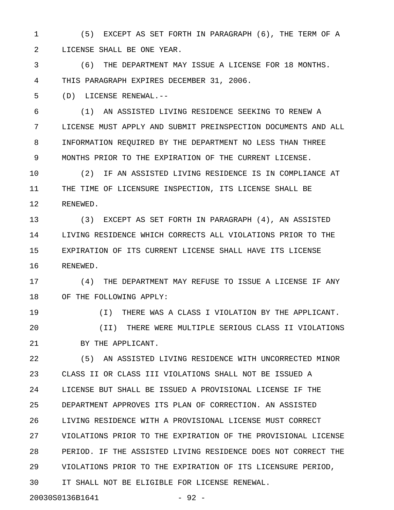1 (5) EXCEPT AS SET FORTH IN PARAGRAPH (6), THE TERM OF A 2 LICENSE SHALL BE ONE YEAR.

3 (6) THE DEPARTMENT MAY ISSUE A LICENSE FOR 18 MONTHS. 4 THIS PARAGRAPH EXPIRES DECEMBER 31, 2006.

5 (D) LICENSE RENEWAL.--

6 (1) AN ASSISTED LIVING RESIDENCE SEEKING TO RENEW A 7 LICENSE MUST APPLY AND SUBMIT PREINSPECTION DOCUMENTS AND ALL 8 INFORMATION REQUIRED BY THE DEPARTMENT NO LESS THAN THREE 9 MONTHS PRIOR TO THE EXPIRATION OF THE CURRENT LICENSE.

10 (2) IF AN ASSISTED LIVING RESIDENCE IS IN COMPLIANCE AT 11 THE TIME OF LICENSURE INSPECTION, ITS LICENSE SHALL BE 12 RENEWED.

13 (3) EXCEPT AS SET FORTH IN PARAGRAPH (4), AN ASSISTED 14 LIVING RESIDENCE WHICH CORRECTS ALL VIOLATIONS PRIOR TO THE 15 EXPIRATION OF ITS CURRENT LICENSE SHALL HAVE ITS LICENSE 16 RENEWED.

17 (4) THE DEPARTMENT MAY REFUSE TO ISSUE A LICENSE IF ANY 18 OF THE FOLLOWING APPLY:

19 (I) THERE WAS A CLASS I VIOLATION BY THE APPLICANT. 20 (II) THERE WERE MULTIPLE SERIOUS CLASS II VIOLATIONS 21 BY THE APPLICANT.

22 (5) AN ASSISTED LIVING RESIDENCE WITH UNCORRECTED MINOR 23 CLASS II OR CLASS III VIOLATIONS SHALL NOT BE ISSUED A 24 LICENSE BUT SHALL BE ISSUED A PROVISIONAL LICENSE IF THE 25 DEPARTMENT APPROVES ITS PLAN OF CORRECTION. AN ASSISTED 26 LIVING RESIDENCE WITH A PROVISIONAL LICENSE MUST CORRECT 27 VIOLATIONS PRIOR TO THE EXPIRATION OF THE PROVISIONAL LICENSE 28 PERIOD. IF THE ASSISTED LIVING RESIDENCE DOES NOT CORRECT THE 29 VIOLATIONS PRIOR TO THE EXPIRATION OF ITS LICENSURE PERIOD, 30 IT SHALL NOT BE ELIGIBLE FOR LICENSE RENEWAL.

20030S0136B1641 - 92 -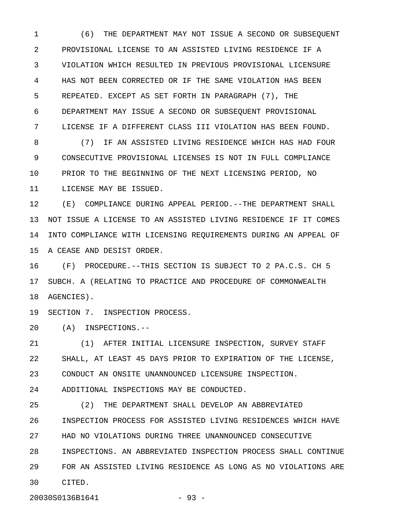1 (6) THE DEPARTMENT MAY NOT ISSUE A SECOND OR SUBSEQUENT 2 PROVISIONAL LICENSE TO AN ASSISTED LIVING RESIDENCE IF A 3 VIOLATION WHICH RESULTED IN PREVIOUS PROVISIONAL LICENSURE 4 HAS NOT BEEN CORRECTED OR IF THE SAME VIOLATION HAS BEEN 5 REPEATED. EXCEPT AS SET FORTH IN PARAGRAPH (7), THE 6 DEPARTMENT MAY ISSUE A SECOND OR SUBSEQUENT PROVISIONAL 7 LICENSE IF A DIFFERENT CLASS III VIOLATION HAS BEEN FOUND.

8 (7) IF AN ASSISTED LIVING RESIDENCE WHICH HAS HAD FOUR 9 CONSECUTIVE PROVISIONAL LICENSES IS NOT IN FULL COMPLIANCE 10 PRIOR TO THE BEGINNING OF THE NEXT LICENSING PERIOD, NO 11 LICENSE MAY BE ISSUED.

12 (E) COMPLIANCE DURING APPEAL PERIOD.--THE DEPARTMENT SHALL 13 NOT ISSUE A LICENSE TO AN ASSISTED LIVING RESIDENCE IF IT COMES 14 INTO COMPLIANCE WITH LICENSING REQUIREMENTS DURING AN APPEAL OF 15 A CEASE AND DESIST ORDER.

16 (F) PROCEDURE.--THIS SECTION IS SUBJECT TO 2 PA.C.S. CH 5 17 SUBCH. A (RELATING TO PRACTICE AND PROCEDURE OF COMMONWEALTH 18 AGENCIES).

19 SECTION 7. INSPECTION PROCESS.

20 (A) INSPECTIONS.--

21 (1) AFTER INITIAL LICENSURE INSPECTION, SURVEY STAFF 22 SHALL, AT LEAST 45 DAYS PRIOR TO EXPIRATION OF THE LICENSE, 23 CONDUCT AN ONSITE UNANNOUNCED LICENSURE INSPECTION.

24 ADDITIONAL INSPECTIONS MAY BE CONDUCTED.

25 (2) THE DEPARTMENT SHALL DEVELOP AN ABBREVIATED 26 INSPECTION PROCESS FOR ASSISTED LIVING RESIDENCES WHICH HAVE 27 HAD NO VIOLATIONS DURING THREE UNANNOUNCED CONSECUTIVE 28 INSPECTIONS. AN ABBREVIATED INSPECTION PROCESS SHALL CONTINUE 29 FOR AN ASSISTED LIVING RESIDENCE AS LONG AS NO VIOLATIONS ARE 30 CITED.

20030S0136B1641 - 93 -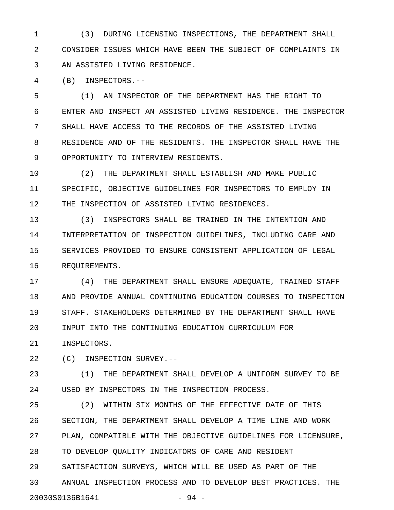1 (3) DURING LICENSING INSPECTIONS, THE DEPARTMENT SHALL 2 CONSIDER ISSUES WHICH HAVE BEEN THE SUBJECT OF COMPLAINTS IN 3 AN ASSISTED LIVING RESIDENCE.

4 (B) INSPECTORS.--

5 (1) AN INSPECTOR OF THE DEPARTMENT HAS THE RIGHT TO 6 ENTER AND INSPECT AN ASSISTED LIVING RESIDENCE. THE INSPECTOR 7 SHALL HAVE ACCESS TO THE RECORDS OF THE ASSISTED LIVING 8 RESIDENCE AND OF THE RESIDENTS. THE INSPECTOR SHALL HAVE THE 9 OPPORTUNITY TO INTERVIEW RESIDENTS.

10 (2) THE DEPARTMENT SHALL ESTABLISH AND MAKE PUBLIC 11 SPECIFIC, OBJECTIVE GUIDELINES FOR INSPECTORS TO EMPLOY IN 12 THE INSPECTION OF ASSISTED LIVING RESIDENCES.

13 (3) INSPECTORS SHALL BE TRAINED IN THE INTENTION AND 14 INTERPRETATION OF INSPECTION GUIDELINES, INCLUDING CARE AND 15 SERVICES PROVIDED TO ENSURE CONSISTENT APPLICATION OF LEGAL 16 REQUIREMENTS.

17 (4) THE DEPARTMENT SHALL ENSURE ADEQUATE, TRAINED STAFF 18 AND PROVIDE ANNUAL CONTINUING EDUCATION COURSES TO INSPECTION 19 STAFF. STAKEHOLDERS DETERMINED BY THE DEPARTMENT SHALL HAVE 20 INPUT INTO THE CONTINUING EDUCATION CURRICULUM FOR

21 INSPECTORS.

22 (C) INSPECTION SURVEY.--

23 (1) THE DEPARTMENT SHALL DEVELOP A UNIFORM SURVEY TO BE 24 USED BY INSPECTORS IN THE INSPECTION PROCESS.

25 (2) WITHIN SIX MONTHS OF THE EFFECTIVE DATE OF THIS 26 SECTION, THE DEPARTMENT SHALL DEVELOP A TIME LINE AND WORK 27 PLAN, COMPATIBLE WITH THE OBJECTIVE GUIDELINES FOR LICENSURE, 28 TO DEVELOP QUALITY INDICATORS OF CARE AND RESIDENT 29 SATISFACTION SURVEYS, WHICH WILL BE USED AS PART OF THE 30 ANNUAL INSPECTION PROCESS AND TO DEVELOP BEST PRACTICES. THE 20030S0136B1641 - 94 -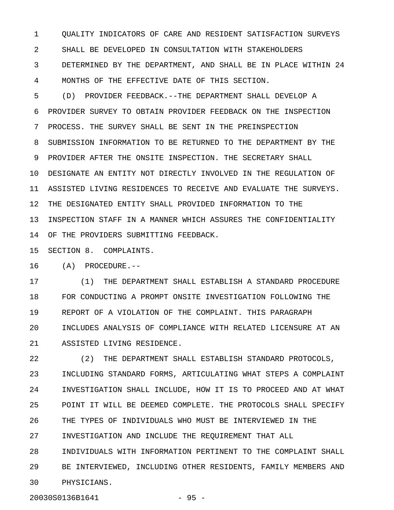1 QUALITY INDICATORS OF CARE AND RESIDENT SATISFACTION SURVEYS 2 SHALL BE DEVELOPED IN CONSULTATION WITH STAKEHOLDERS 3 DETERMINED BY THE DEPARTMENT, AND SHALL BE IN PLACE WITHIN 24

4 MONTHS OF THE EFFECTIVE DATE OF THIS SECTION.

5 (D) PROVIDER FEEDBACK.--THE DEPARTMENT SHALL DEVELOP A 6 PROVIDER SURVEY TO OBTAIN PROVIDER FEEDBACK ON THE INSPECTION 7 PROCESS. THE SURVEY SHALL BE SENT IN THE PREINSPECTION 8 SUBMISSION INFORMATION TO BE RETURNED TO THE DEPARTMENT BY THE 9 PROVIDER AFTER THE ONSITE INSPECTION. THE SECRETARY SHALL 10 DESIGNATE AN ENTITY NOT DIRECTLY INVOLVED IN THE REGULATION OF 11 ASSISTED LIVING RESIDENCES TO RECEIVE AND EVALUATE THE SURVEYS. 12 THE DESIGNATED ENTITY SHALL PROVIDED INFORMATION TO THE 13 INSPECTION STAFF IN A MANNER WHICH ASSURES THE CONFIDENTIALITY 14 OF THE PROVIDERS SUBMITTING FEEDBACK.

15 SECTION 8. COMPLAINTS.

16 (A) PROCEDURE.--

17 (1) THE DEPARTMENT SHALL ESTABLISH A STANDARD PROCEDURE 18 FOR CONDUCTING A PROMPT ONSITE INVESTIGATION FOLLOWING THE 19 REPORT OF A VIOLATION OF THE COMPLAINT. THIS PARAGRAPH 20 INCLUDES ANALYSIS OF COMPLIANCE WITH RELATED LICENSURE AT AN 21 ASSISTED LIVING RESIDENCE.

22 (2) THE DEPARTMENT SHALL ESTABLISH STANDARD PROTOCOLS, 23 INCLUDING STANDARD FORMS, ARTICULATING WHAT STEPS A COMPLAINT 24 INVESTIGATION SHALL INCLUDE, HOW IT IS TO PROCEED AND AT WHAT 25 POINT IT WILL BE DEEMED COMPLETE. THE PROTOCOLS SHALL SPECIFY 26 THE TYPES OF INDIVIDUALS WHO MUST BE INTERVIEWED IN THE 27 INVESTIGATION AND INCLUDE THE REQUIREMENT THAT ALL 28 INDIVIDUALS WITH INFORMATION PERTINENT TO THE COMPLAINT SHALL 29 BE INTERVIEWED, INCLUDING OTHER RESIDENTS, FAMILY MEMBERS AND 30 PHYSICIANS.

20030S0136B1641 - 95 -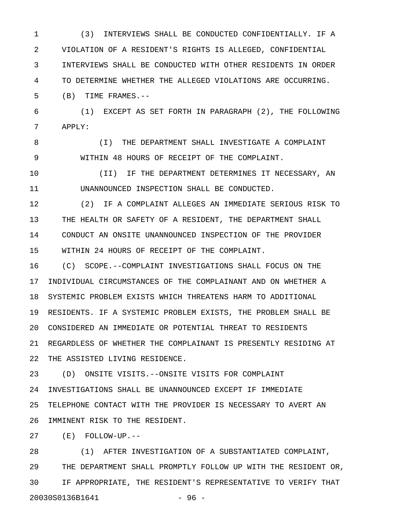1 (3) INTERVIEWS SHALL BE CONDUCTED CONFIDENTIALLY. IF A 2 VIOLATION OF A RESIDENT'S RIGHTS IS ALLEGED, CONFIDENTIAL 3 INTERVIEWS SHALL BE CONDUCTED WITH OTHER RESIDENTS IN ORDER 4 TO DETERMINE WHETHER THE ALLEGED VIOLATIONS ARE OCCURRING.

5 (B) TIME FRAMES.--

6 (1) EXCEPT AS SET FORTH IN PARAGRAPH (2), THE FOLLOWING 7 APPLY:

8 (I) THE DEPARTMENT SHALL INVESTIGATE A COMPLAINT 9 WITHIN 48 HOURS OF RECEIPT OF THE COMPLAINT.

10 (II) IF THE DEPARTMENT DETERMINES IT NECESSARY, AN 11 UNANNOUNCED INSPECTION SHALL BE CONDUCTED.

12 (2) IF A COMPLAINT ALLEGES AN IMMEDIATE SERIOUS RISK TO 13 THE HEALTH OR SAFETY OF A RESIDENT, THE DEPARTMENT SHALL 14 CONDUCT AN ONSITE UNANNOUNCED INSPECTION OF THE PROVIDER 15 WITHIN 24 HOURS OF RECEIPT OF THE COMPLAINT.

16 (C) SCOPE.--COMPLAINT INVESTIGATIONS SHALL FOCUS ON THE 17 INDIVIDUAL CIRCUMSTANCES OF THE COMPLAINANT AND ON WHETHER A 18 SYSTEMIC PROBLEM EXISTS WHICH THREATENS HARM TO ADDITIONAL 19 RESIDENTS. IF A SYSTEMIC PROBLEM EXISTS, THE PROBLEM SHALL BE 20 CONSIDERED AN IMMEDIATE OR POTENTIAL THREAT TO RESIDENTS 21 REGARDLESS OF WHETHER THE COMPLAINANT IS PRESENTLY RESIDING AT 22 THE ASSISTED LIVING RESIDENCE.

23 (D) ONSITE VISITS.--ONSITE VISITS FOR COMPLAINT 24 INVESTIGATIONS SHALL BE UNANNOUNCED EXCEPT IF IMMEDIATE 25 TELEPHONE CONTACT WITH THE PROVIDER IS NECESSARY TO AVERT AN 26 IMMINENT RISK TO THE RESIDENT.

27 (E) FOLLOW-UP.--

28 (1) AFTER INVESTIGATION OF A SUBSTANTIATED COMPLAINT, 29 THE DEPARTMENT SHALL PROMPTLY FOLLOW UP WITH THE RESIDENT OR, 30 IF APPROPRIATE, THE RESIDENT'S REPRESENTATIVE TO VERIFY THAT 20030S0136B1641 - 96 -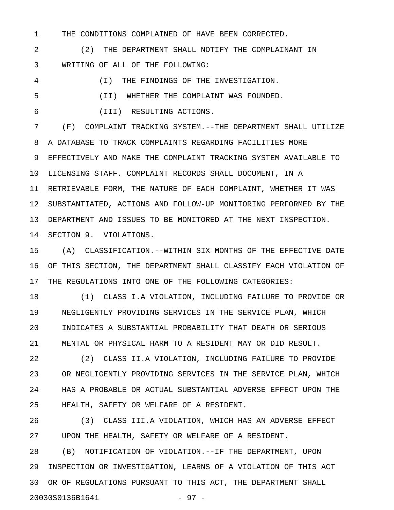1 THE CONDITIONS COMPLAINED OF HAVE BEEN CORRECTED.

2 (2) THE DEPARTMENT SHALL NOTIFY THE COMPLAINANT IN 3 WRITING OF ALL OF THE FOLLOWING:

4 (I) THE FINDINGS OF THE INVESTIGATION.

5 (II) WHETHER THE COMPLAINT WAS FOUNDED.

6 (III) RESULTING ACTIONS.

7 (F) COMPLAINT TRACKING SYSTEM.--THE DEPARTMENT SHALL UTILIZE 8 A DATABASE TO TRACK COMPLAINTS REGARDING FACILITIES MORE 9 EFFECTIVELY AND MAKE THE COMPLAINT TRACKING SYSTEM AVAILABLE TO 10 LICENSING STAFF. COMPLAINT RECORDS SHALL DOCUMENT, IN A 11 RETRIEVABLE FORM, THE NATURE OF EACH COMPLAINT, WHETHER IT WAS 12 SUBSTANTIATED, ACTIONS AND FOLLOW-UP MONITORING PERFORMED BY THE 13 DEPARTMENT AND ISSUES TO BE MONITORED AT THE NEXT INSPECTION. 14 SECTION 9. VIOLATIONS.

15 (A) CLASSIFICATION.--WITHIN SIX MONTHS OF THE EFFECTIVE DATE 16 OF THIS SECTION, THE DEPARTMENT SHALL CLASSIFY EACH VIOLATION OF 17 THE REGULATIONS INTO ONE OF THE FOLLOWING CATEGORIES:

18 (1) CLASS I.A VIOLATION, INCLUDING FAILURE TO PROVIDE OR 19 NEGLIGENTLY PROVIDING SERVICES IN THE SERVICE PLAN, WHICH 20 INDICATES A SUBSTANTIAL PROBABILITY THAT DEATH OR SERIOUS 21 MENTAL OR PHYSICAL HARM TO A RESIDENT MAY OR DID RESULT.

22 (2) CLASS II.A VIOLATION, INCLUDING FAILURE TO PROVIDE 23 OR NEGLIGENTLY PROVIDING SERVICES IN THE SERVICE PLAN, WHICH 24 HAS A PROBABLE OR ACTUAL SUBSTANTIAL ADVERSE EFFECT UPON THE 25 HEALTH, SAFETY OR WELFARE OF A RESIDENT.

26 (3) CLASS III.A VIOLATION, WHICH HAS AN ADVERSE EFFECT 27 UPON THE HEALTH, SAFETY OR WELFARE OF A RESIDENT.

28 (B) NOTIFICATION OF VIOLATION.--IF THE DEPARTMENT, UPON 29 INSPECTION OR INVESTIGATION, LEARNS OF A VIOLATION OF THIS ACT 30 OR OF REGULATIONS PURSUANT TO THIS ACT, THE DEPARTMENT SHALL 20030S0136B1641 - 97 -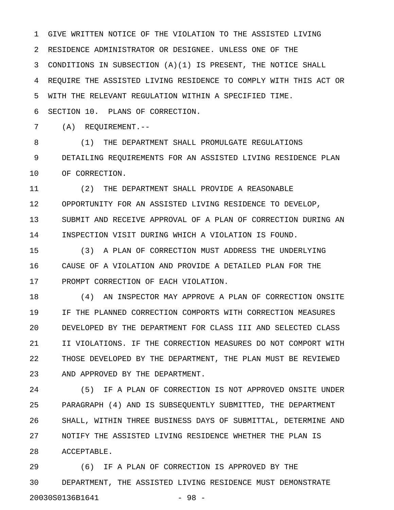1 GIVE WRITTEN NOTICE OF THE VIOLATION TO THE ASSISTED LIVING 2 RESIDENCE ADMINISTRATOR OR DESIGNEE. UNLESS ONE OF THE 3 CONDITIONS IN SUBSECTION (A)(1) IS PRESENT, THE NOTICE SHALL 4 REQUIRE THE ASSISTED LIVING RESIDENCE TO COMPLY WITH THIS ACT OR 5 WITH THE RELEVANT REGULATION WITHIN A SPECIFIED TIME.

6 SECTION 10. PLANS OF CORRECTION.

7 (A) REQUIREMENT.--

8 (1) THE DEPARTMENT SHALL PROMULGATE REGULATIONS 9 DETAILING REQUIREMENTS FOR AN ASSISTED LIVING RESIDENCE PLAN 10 OF CORRECTION.

11 (2) THE DEPARTMENT SHALL PROVIDE A REASONABLE 12 OPPORTUNITY FOR AN ASSISTED LIVING RESIDENCE TO DEVELOP, 13 SUBMIT AND RECEIVE APPROVAL OF A PLAN OF CORRECTION DURING AN 14 INSPECTION VISIT DURING WHICH A VIOLATION IS FOUND.

15 (3) A PLAN OF CORRECTION MUST ADDRESS THE UNDERLYING 16 CAUSE OF A VIOLATION AND PROVIDE A DETAILED PLAN FOR THE 17 PROMPT CORRECTION OF EACH VIOLATION.

18 (4) AN INSPECTOR MAY APPROVE A PLAN OF CORRECTION ONSITE 19 IF THE PLANNED CORRECTION COMPORTS WITH CORRECTION MEASURES 20 DEVELOPED BY THE DEPARTMENT FOR CLASS III AND SELECTED CLASS 21 II VIOLATIONS. IF THE CORRECTION MEASURES DO NOT COMPORT WITH 22 THOSE DEVELOPED BY THE DEPARTMENT, THE PLAN MUST BE REVIEWED 23 AND APPROVED BY THE DEPARTMENT.

24 (5) IF A PLAN OF CORRECTION IS NOT APPROVED ONSITE UNDER 25 PARAGRAPH (4) AND IS SUBSEQUENTLY SUBMITTED, THE DEPARTMENT 26 SHALL, WITHIN THREE BUSINESS DAYS OF SUBMITTAL, DETERMINE AND 27 NOTIFY THE ASSISTED LIVING RESIDENCE WHETHER THE PLAN IS 28 ACCEPTABLE.

29 (6) IF A PLAN OF CORRECTION IS APPROVED BY THE 30 DEPARTMENT, THE ASSISTED LIVING RESIDENCE MUST DEMONSTRATE 20030S0136B1641 - 98 -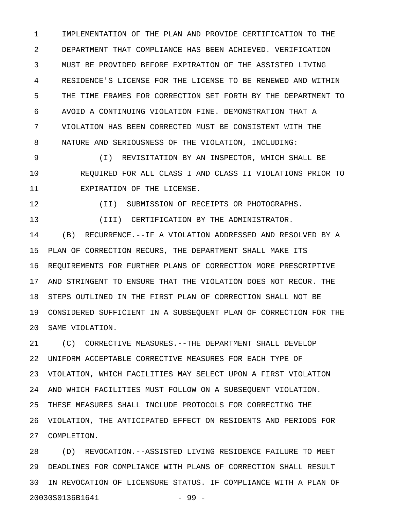1 IMPLEMENTATION OF THE PLAN AND PROVIDE CERTIFICATION TO THE 2 DEPARTMENT THAT COMPLIANCE HAS BEEN ACHIEVED. VERIFICATION 3 MUST BE PROVIDED BEFORE EXPIRATION OF THE ASSISTED LIVING 4 RESIDENCE'S LICENSE FOR THE LICENSE TO BE RENEWED AND WITHIN 5 THE TIME FRAMES FOR CORRECTION SET FORTH BY THE DEPARTMENT TO 6 AVOID A CONTINUING VIOLATION FINE. DEMONSTRATION THAT A 7 VIOLATION HAS BEEN CORRECTED MUST BE CONSISTENT WITH THE 8 NATURE AND SERIOUSNESS OF THE VIOLATION, INCLUDING:

9 (I) REVISITATION BY AN INSPECTOR, WHICH SHALL BE 10 REQUIRED FOR ALL CLASS I AND CLASS II VIOLATIONS PRIOR TO 11 EXPIRATION OF THE LICENSE.

12 (II) SUBMISSION OF RECEIPTS OR PHOTOGRAPHS.

13 (III) CERTIFICATION BY THE ADMINISTRATOR.

14 (B) RECURRENCE.--IF A VIOLATION ADDRESSED AND RESOLVED BY A 15 PLAN OF CORRECTION RECURS, THE DEPARTMENT SHALL MAKE ITS 16 REQUIREMENTS FOR FURTHER PLANS OF CORRECTION MORE PRESCRIPTIVE 17 AND STRINGENT TO ENSURE THAT THE VIOLATION DOES NOT RECUR. THE 18 STEPS OUTLINED IN THE FIRST PLAN OF CORRECTION SHALL NOT BE 19 CONSIDERED SUFFICIENT IN A SUBSEQUENT PLAN OF CORRECTION FOR THE 20 SAME VIOLATION.

21 (C) CORRECTIVE MEASURES.--THE DEPARTMENT SHALL DEVELOP 22 UNIFORM ACCEPTABLE CORRECTIVE MEASURES FOR EACH TYPE OF 23 VIOLATION, WHICH FACILITIES MAY SELECT UPON A FIRST VIOLATION 24 AND WHICH FACILITIES MUST FOLLOW ON A SUBSEQUENT VIOLATION. 25 THESE MEASURES SHALL INCLUDE PROTOCOLS FOR CORRECTING THE 26 VIOLATION, THE ANTICIPATED EFFECT ON RESIDENTS AND PERIODS FOR 27 COMPLETION.

28 (D) REVOCATION.--ASSISTED LIVING RESIDENCE FAILURE TO MEET 29 DEADLINES FOR COMPLIANCE WITH PLANS OF CORRECTION SHALL RESULT 30 IN REVOCATION OF LICENSURE STATUS. IF COMPLIANCE WITH A PLAN OF 20030S0136B1641 - 99 -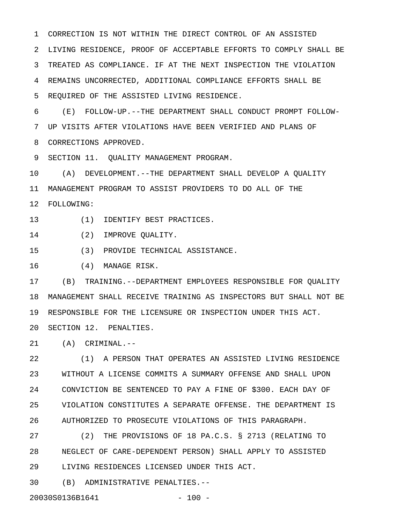1 CORRECTION IS NOT WITHIN THE DIRECT CONTROL OF AN ASSISTED 2 LIVING RESIDENCE, PROOF OF ACCEPTABLE EFFORTS TO COMPLY SHALL BE 3 TREATED AS COMPLIANCE. IF AT THE NEXT INSPECTION THE VIOLATION 4 REMAINS UNCORRECTED, ADDITIONAL COMPLIANCE EFFORTS SHALL BE 5 REQUIRED OF THE ASSISTED LIVING RESIDENCE.

6 (E) FOLLOW-UP.--THE DEPARTMENT SHALL CONDUCT PROMPT FOLLOW-7 UP VISITS AFTER VIOLATIONS HAVE BEEN VERIFIED AND PLANS OF 8 CORRECTIONS APPROVED.

9 SECTION 11. QUALITY MANAGEMENT PROGRAM.

10 (A) DEVELOPMENT.--THE DEPARTMENT SHALL DEVELOP A QUALITY 11 MANAGEMENT PROGRAM TO ASSIST PROVIDERS TO DO ALL OF THE 12 FOLLOWING:

13 (1) IDENTIFY BEST PRACTICES.

14 (2) IMPROVE QUALITY.

15 (3) PROVIDE TECHNICAL ASSISTANCE.

16 (4) MANAGE RISK.

17 (B) TRAINING.--DEPARTMENT EMPLOYEES RESPONSIBLE FOR QUALITY 18 MANAGEMENT SHALL RECEIVE TRAINING AS INSPECTORS BUT SHALL NOT BE 19 RESPONSIBLE FOR THE LICENSURE OR INSPECTION UNDER THIS ACT.

20 SECTION 12. PENALTIES.

21 (A) CRIMINAL.--

22 (1) A PERSON THAT OPERATES AN ASSISTED LIVING RESIDENCE 23 WITHOUT A LICENSE COMMITS A SUMMARY OFFENSE AND SHALL UPON 24 CONVICTION BE SENTENCED TO PAY A FINE OF \$300. EACH DAY OF 25 VIOLATION CONSTITUTES A SEPARATE OFFENSE. THE DEPARTMENT IS 26 AUTHORIZED TO PROSECUTE VIOLATIONS OF THIS PARAGRAPH.

27 (2) THE PROVISIONS OF 18 PA.C.S. § 2713 (RELATING TO 28 NEGLECT OF CARE-DEPENDENT PERSON) SHALL APPLY TO ASSISTED 29 LIVING RESIDENCES LICENSED UNDER THIS ACT.

30 (B) ADMINISTRATIVE PENALTIES.--

20030S0136B1641 - 100 -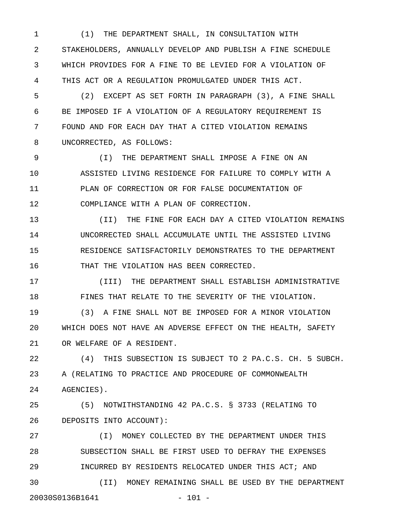1 (1) THE DEPARTMENT SHALL, IN CONSULTATION WITH 2 STAKEHOLDERS, ANNUALLY DEVELOP AND PUBLISH A FINE SCHEDULE 3 WHICH PROVIDES FOR A FINE TO BE LEVIED FOR A VIOLATION OF 4 THIS ACT OR A REGULATION PROMULGATED UNDER THIS ACT.

5 (2) EXCEPT AS SET FORTH IN PARAGRAPH (3), A FINE SHALL 6 BE IMPOSED IF A VIOLATION OF A REGULATORY REQUIREMENT IS 7 FOUND AND FOR EACH DAY THAT A CITED VIOLATION REMAINS 8 UNCORRECTED, AS FOLLOWS:

9 (I) THE DEPARTMENT SHALL IMPOSE A FINE ON AN 10 ASSISTED LIVING RESIDENCE FOR FAILURE TO COMPLY WITH A 11 PLAN OF CORRECTION OR FOR FALSE DOCUMENTATION OF 12 COMPLIANCE WITH A PLAN OF CORRECTION.

13 (II) THE FINE FOR EACH DAY A CITED VIOLATION REMAINS 14 UNCORRECTED SHALL ACCUMULATE UNTIL THE ASSISTED LIVING 15 RESIDENCE SATISFACTORILY DEMONSTRATES TO THE DEPARTMENT 16 THAT THE VIOLATION HAS BEEN CORRECTED.

17 (III) THE DEPARTMENT SHALL ESTABLISH ADMINISTRATIVE 18 FINES THAT RELATE TO THE SEVERITY OF THE VIOLATION.

19 (3) A FINE SHALL NOT BE IMPOSED FOR A MINOR VIOLATION 20 WHICH DOES NOT HAVE AN ADVERSE EFFECT ON THE HEALTH, SAFETY 21 OR WELFARE OF A RESIDENT.

22 (4) THIS SUBSECTION IS SUBJECT TO 2 PA.C.S. CH. 5 SUBCH. 23 A (RELATING TO PRACTICE AND PROCEDURE OF COMMONWEALTH 24 AGENCIES).

25 (5) NOTWITHSTANDING 42 PA.C.S. § 3733 (RELATING TO 26 DEPOSITS INTO ACCOUNT):

27 (I) MONEY COLLECTED BY THE DEPARTMENT UNDER THIS 28 SUBSECTION SHALL BE FIRST USED TO DEFRAY THE EXPENSES 29 INCURRED BY RESIDENTS RELOCATED UNDER THIS ACT; AND 30 (II) MONEY REMAINING SHALL BE USED BY THE DEPARTMENT 20030S0136B1641 - 101 -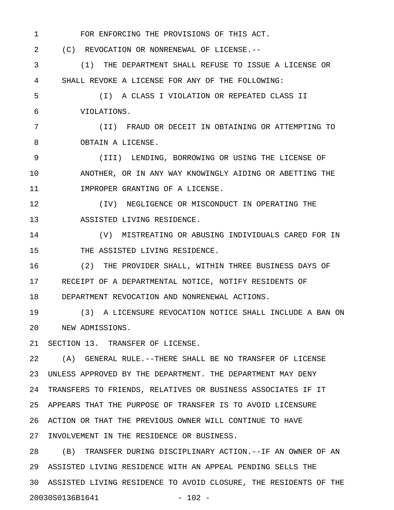1 FOR ENFORCING THE PROVISIONS OF THIS ACT. 2 (C) REVOCATION OR NONRENEWAL OF LICENSE.-- 3 (1) THE DEPARTMENT SHALL REFUSE TO ISSUE A LICENSE OR 4 SHALL REVOKE A LICENSE FOR ANY OF THE FOLLOWING: 5 (I) A CLASS I VIOLATION OR REPEATED CLASS II 6 VIOLATIONS. 7 (II) FRAUD OR DECEIT IN OBTAINING OR ATTEMPTING TO 8 OBTAIN A LICENSE. 9 (III) LENDING, BORROWING OR USING THE LICENSE OF 10 ANOTHER, OR IN ANY WAY KNOWINGLY AIDING OR ABETTING THE 11 **IMPROPER GRANTING OF A LICENSE.** 12 (IV) NEGLIGENCE OR MISCONDUCT IN OPERATING THE 13 ASSISTED LIVING RESIDENCE. 14 (V) MISTREATING OR ABUSING INDIVIDUALS CARED FOR IN 15 THE ASSISTED LIVING RESIDENCE. 16 (2) THE PROVIDER SHALL, WITHIN THREE BUSINESS DAYS OF

17 RECEIPT OF A DEPARTMENTAL NOTICE, NOTIFY RESIDENTS OF 18 DEPARTMENT REVOCATION AND NONRENEWAL ACTIONS.

19 (3) A LICENSURE REVOCATION NOTICE SHALL INCLUDE A BAN ON 20 NEW ADMISSIONS.

21 SECTION 13. TRANSFER OF LICENSE.

22 (A) GENERAL RULE.--THERE SHALL BE NO TRANSFER OF LICENSE 23 UNLESS APPROVED BY THE DEPARTMENT. THE DEPARTMENT MAY DENY 24 TRANSFERS TO FRIENDS, RELATIVES OR BUSINESS ASSOCIATES IF IT 25 APPEARS THAT THE PURPOSE OF TRANSFER IS TO AVOID LICENSURE 26 ACTION OR THAT THE PREVIOUS OWNER WILL CONTINUE TO HAVE 27 INVOLVEMENT IN THE RESIDENCE OR BUSINESS.

28 (B) TRANSFER DURING DISCIPLINARY ACTION.--IF AN OWNER OF AN 29 ASSISTED LIVING RESIDENCE WITH AN APPEAL PENDING SELLS THE 30 ASSISTED LIVING RESIDENCE TO AVOID CLOSURE, THE RESIDENTS OF THE 20030S0136B1641 - 102 -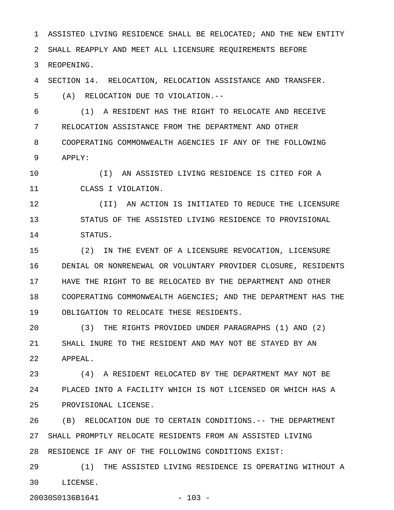1 ASSISTED LIVING RESIDENCE SHALL BE RELOCATED; AND THE NEW ENTITY 2 SHALL REAPPLY AND MEET ALL LICENSURE REQUIREMENTS BEFORE 3 REOPENING.

4 SECTION 14. RELOCATION, RELOCATION ASSISTANCE AND TRANSFER.

5 (A) RELOCATION DUE TO VIOLATION.--

6 (1) A RESIDENT HAS THE RIGHT TO RELOCATE AND RECEIVE 7 RELOCATION ASSISTANCE FROM THE DEPARTMENT AND OTHER 8 COOPERATING COMMONWEALTH AGENCIES IF ANY OF THE FOLLOWING 9 APPLY:

10 (I) AN ASSISTED LIVING RESIDENCE IS CITED FOR A 11 CLASS I VIOLATION.

12 (II) AN ACTION IS INITIATED TO REDUCE THE LICENSURE 13 STATUS OF THE ASSISTED LIVING RESIDENCE TO PROVISIONAL 14 STATUS.

15 (2) IN THE EVENT OF A LICENSURE REVOCATION, LICENSURE 16 DENIAL OR NONRENEWAL OR VOLUNTARY PROVIDER CLOSURE, RESIDENTS 17 HAVE THE RIGHT TO BE RELOCATED BY THE DEPARTMENT AND OTHER 18 COOPERATING COMMONWEALTH AGENCIES; AND THE DEPARTMENT HAS THE 19 OBLIGATION TO RELOCATE THESE RESIDENTS.

20 (3) THE RIGHTS PROVIDED UNDER PARAGRAPHS (1) AND (2) 21 SHALL INURE TO THE RESIDENT AND MAY NOT BE STAYED BY AN 22 APPEAL.

23 (4) A RESIDENT RELOCATED BY THE DEPARTMENT MAY NOT BE 24 PLACED INTO A FACILITY WHICH IS NOT LICENSED OR WHICH HAS A 25 PROVISIONAL LICENSE.

26 (B) RELOCATION DUE TO CERTAIN CONDITIONS.-- THE DEPARTMENT 27 SHALL PROMPTLY RELOCATE RESIDENTS FROM AN ASSISTED LIVING 28 RESIDENCE IF ANY OF THE FOLLOWING CONDITIONS EXIST:

29 (1) THE ASSISTED LIVING RESIDENCE IS OPERATING WITHOUT A 30 LICENSE.

20030S0136B1641 - 103 -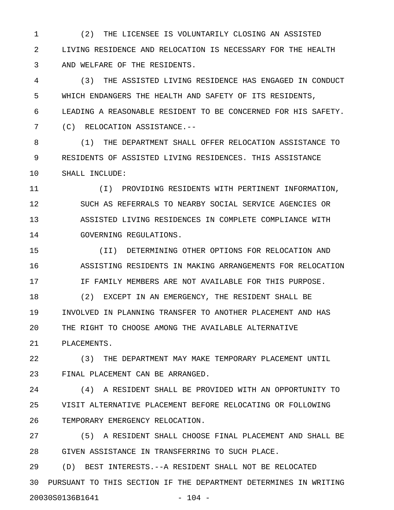1 (2) THE LICENSEE IS VOLUNTARILY CLOSING AN ASSISTED 2 LIVING RESIDENCE AND RELOCATION IS NECESSARY FOR THE HEALTH 3 AND WELFARE OF THE RESIDENTS.

4 (3) THE ASSISTED LIVING RESIDENCE HAS ENGAGED IN CONDUCT 5 WHICH ENDANGERS THE HEALTH AND SAFETY OF ITS RESIDENTS, 6 LEADING A REASONABLE RESIDENT TO BE CONCERNED FOR HIS SAFETY. 7 (C) RELOCATION ASSISTANCE.--

8 (1) THE DEPARTMENT SHALL OFFER RELOCATION ASSISTANCE TO 9 RESIDENTS OF ASSISTED LIVING RESIDENCES. THIS ASSISTANCE 10 SHALL INCLUDE:

11 (I) PROVIDING RESIDENTS WITH PERTINENT INFORMATION, 12 SUCH AS REFERRALS TO NEARBY SOCIAL SERVICE AGENCIES OR 13 ASSISTED LIVING RESIDENCES IN COMPLETE COMPLIANCE WITH 14 GOVERNING REGULATIONS.

15 (II) DETERMINING OTHER OPTIONS FOR RELOCATION AND 16 ASSISTING RESIDENTS IN MAKING ARRANGEMENTS FOR RELOCATION 17 IF FAMILY MEMBERS ARE NOT AVAILABLE FOR THIS PURPOSE.

18 (2) EXCEPT IN AN EMERGENCY, THE RESIDENT SHALL BE 19 INVOLVED IN PLANNING TRANSFER TO ANOTHER PLACEMENT AND HAS 20 THE RIGHT TO CHOOSE AMONG THE AVAILABLE ALTERNATIVE 21 PLACEMENTS.

22 (3) THE DEPARTMENT MAY MAKE TEMPORARY PLACEMENT UNTIL 23 FINAL PLACEMENT CAN BE ARRANGED.

24 (4) A RESIDENT SHALL BE PROVIDED WITH AN OPPORTUNITY TO 25 VISIT ALTERNATIVE PLACEMENT BEFORE RELOCATING OR FOLLOWING 26 TEMPORARY EMERGENCY RELOCATION.

27 (5) A RESIDENT SHALL CHOOSE FINAL PLACEMENT AND SHALL BE 28 GIVEN ASSISTANCE IN TRANSFERRING TO SUCH PLACE.

29 (D) BEST INTERESTS.--A RESIDENT SHALL NOT BE RELOCATED 30 PURSUANT TO THIS SECTION IF THE DEPARTMENT DETERMINES IN WRITING 20030S0136B1641 - 104 -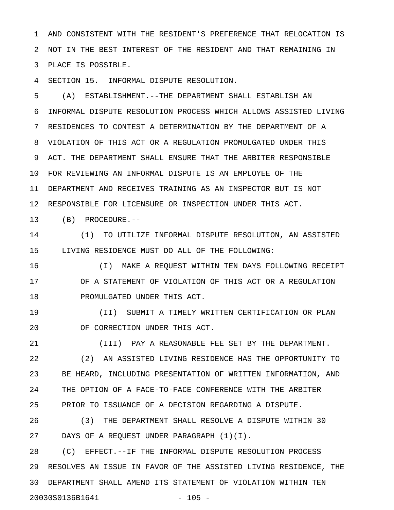1 AND CONSISTENT WITH THE RESIDENT'S PREFERENCE THAT RELOCATION IS 2 NOT IN THE BEST INTEREST OF THE RESIDENT AND THAT REMAINING IN 3 PLACE IS POSSIBLE.

4 SECTION 15. INFORMAL DISPUTE RESOLUTION.

5 (A) ESTABLISHMENT.--THE DEPARTMENT SHALL ESTABLISH AN 6 INFORMAL DISPUTE RESOLUTION PROCESS WHICH ALLOWS ASSISTED LIVING 7 RESIDENCES TO CONTEST A DETERMINATION BY THE DEPARTMENT OF A 8 VIOLATION OF THIS ACT OR A REGULATION PROMULGATED UNDER THIS 9 ACT. THE DEPARTMENT SHALL ENSURE THAT THE ARBITER RESPONSIBLE 10 FOR REVIEWING AN INFORMAL DISPUTE IS AN EMPLOYEE OF THE 11 DEPARTMENT AND RECEIVES TRAINING AS AN INSPECTOR BUT IS NOT 12 RESPONSIBLE FOR LICENSURE OR INSPECTION UNDER THIS ACT.

13 (B) PROCEDURE.--

14 (1) TO UTILIZE INFORMAL DISPUTE RESOLUTION, AN ASSISTED 15 LIVING RESIDENCE MUST DO ALL OF THE FOLLOWING:

16 (I) MAKE A REQUEST WITHIN TEN DAYS FOLLOWING RECEIPT 17 OF A STATEMENT OF VIOLATION OF THIS ACT OR A REGULATION 18 PROMULGATED UNDER THIS ACT.

19 (II) SUBMIT A TIMELY WRITTEN CERTIFICATION OR PLAN 20 OF CORRECTION UNDER THIS ACT.

21 (III) PAY A REASONABLE FEE SET BY THE DEPARTMENT. 22 (2) AN ASSISTED LIVING RESIDENCE HAS THE OPPORTUNITY TO 23 BE HEARD, INCLUDING PRESENTATION OF WRITTEN INFORMATION, AND 24 THE OPTION OF A FACE-TO-FACE CONFERENCE WITH THE ARBITER 25 PRIOR TO ISSUANCE OF A DECISION REGARDING A DISPUTE.

26 (3) THE DEPARTMENT SHALL RESOLVE A DISPUTE WITHIN 30 27 DAYS OF A REQUEST UNDER PARAGRAPH (1)(I).

28 (C) EFFECT.--IF THE INFORMAL DISPUTE RESOLUTION PROCESS 29 RESOLVES AN ISSUE IN FAVOR OF THE ASSISTED LIVING RESIDENCE, THE 30 DEPARTMENT SHALL AMEND ITS STATEMENT OF VIOLATION WITHIN TEN 20030S0136B1641 - 105 -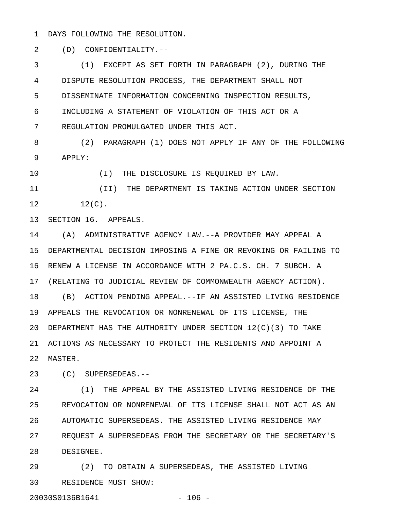1 DAYS FOLLOWING THE RESOLUTION.

2 (D) CONFIDENTIALITY.--

3 (1) EXCEPT AS SET FORTH IN PARAGRAPH (2), DURING THE 4 DISPUTE RESOLUTION PROCESS, THE DEPARTMENT SHALL NOT 5 DISSEMINATE INFORMATION CONCERNING INSPECTION RESULTS, 6 INCLUDING A STATEMENT OF VIOLATION OF THIS ACT OR A 7 REGULATION PROMULGATED UNDER THIS ACT.

8 (2) PARAGRAPH (1) DOES NOT APPLY IF ANY OF THE FOLLOWING 9 APPLY:

10 (I) THE DISCLOSURE IS REQUIRED BY LAW.

11 (II) THE DEPARTMENT IS TAKING ACTION UNDER SECTION  $12$   $12(C)$ .

13 SECTION 16. APPEALS.

14 (A) ADMINISTRATIVE AGENCY LAW.--A PROVIDER MAY APPEAL A 15 DEPARTMENTAL DECISION IMPOSING A FINE OR REVOKING OR FAILING TO 16 RENEW A LICENSE IN ACCORDANCE WITH 2 PA.C.S. CH. 7 SUBCH. A 17 (RELATING TO JUDICIAL REVIEW OF COMMONWEALTH AGENCY ACTION). 18 (B) ACTION PENDING APPEAL.--IF AN ASSISTED LIVING RESIDENCE 19 APPEALS THE REVOCATION OR NONRENEWAL OF ITS LICENSE, THE 20 DEPARTMENT HAS THE AUTHORITY UNDER SECTION 12(C)(3) TO TAKE 21 ACTIONS AS NECESSARY TO PROTECT THE RESIDENTS AND APPOINT A 22 MASTER.

23 (C) SUPERSEDEAS.--

24 (1) THE APPEAL BY THE ASSISTED LIVING RESIDENCE OF THE 25 REVOCATION OR NONRENEWAL OF ITS LICENSE SHALL NOT ACT AS AN 26 AUTOMATIC SUPERSEDEAS. THE ASSISTED LIVING RESIDENCE MAY 27 REQUEST A SUPERSEDEAS FROM THE SECRETARY OR THE SECRETARY'S 28 DESIGNEE.

29 (2) TO OBTAIN A SUPERSEDEAS, THE ASSISTED LIVING 30 RESIDENCE MUST SHOW: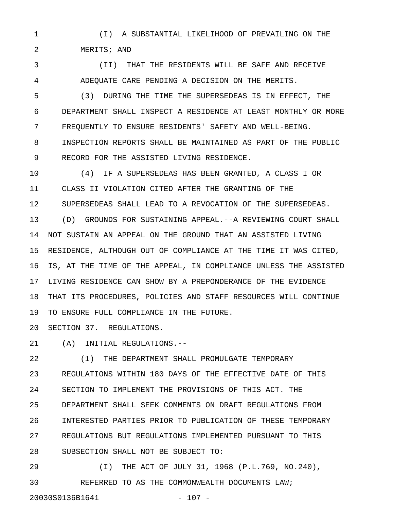1 (I) A SUBSTANTIAL LIKELIHOOD OF PREVAILING ON THE 2 MERITS; AND

3 (II) THAT THE RESIDENTS WILL BE SAFE AND RECEIVE 4 ADEQUATE CARE PENDING A DECISION ON THE MERITS.

5 (3) DURING THE TIME THE SUPERSEDEAS IS IN EFFECT, THE 6 DEPARTMENT SHALL INSPECT A RESIDENCE AT LEAST MONTHLY OR MORE 7 FREQUENTLY TO ENSURE RESIDENTS' SAFETY AND WELL-BEING. 8 INSPECTION REPORTS SHALL BE MAINTAINED AS PART OF THE PUBLIC 9 RECORD FOR THE ASSISTED LIVING RESIDENCE.

10 (4) IF A SUPERSEDEAS HAS BEEN GRANTED, A CLASS I OR 11 CLASS II VIOLATION CITED AFTER THE GRANTING OF THE 12 SUPERSEDEAS SHALL LEAD TO A REVOCATION OF THE SUPERSEDEAS. 13 (D) GROUNDS FOR SUSTAINING APPEAL.--A REVIEWING COURT SHALL 14 NOT SUSTAIN AN APPEAL ON THE GROUND THAT AN ASSISTED LIVING 15 RESIDENCE, ALTHOUGH OUT OF COMPLIANCE AT THE TIME IT WAS CITED, 16 IS, AT THE TIME OF THE APPEAL, IN COMPLIANCE UNLESS THE ASSISTED 17 LIVING RESIDENCE CAN SHOW BY A PREPONDERANCE OF THE EVIDENCE 18 THAT ITS PROCEDURES, POLICIES AND STAFF RESOURCES WILL CONTINUE 19 TO ENSURE FULL COMPLIANCE IN THE FUTURE.

20 SECTION 37. REGULATIONS.

21 (A) INITIAL REGULATIONS.--

22 (1) THE DEPARTMENT SHALL PROMULGATE TEMPORARY 23 REGULATIONS WITHIN 180 DAYS OF THE EFFECTIVE DATE OF THIS 24 SECTION TO IMPLEMENT THE PROVISIONS OF THIS ACT. THE 25 DEPARTMENT SHALL SEEK COMMENTS ON DRAFT REGULATIONS FROM 26 INTERESTED PARTIES PRIOR TO PUBLICATION OF THESE TEMPORARY 27 REGULATIONS BUT REGULATIONS IMPLEMENTED PURSUANT TO THIS 28 SUBSECTION SHALL NOT BE SUBJECT TO:

29 (I) THE ACT OF JULY 31, 1968 (P.L.769, NO.240), 30 REFERRED TO AS THE COMMONWEALTH DOCUMENTS LAW; 20030S0136B1641 - 107 -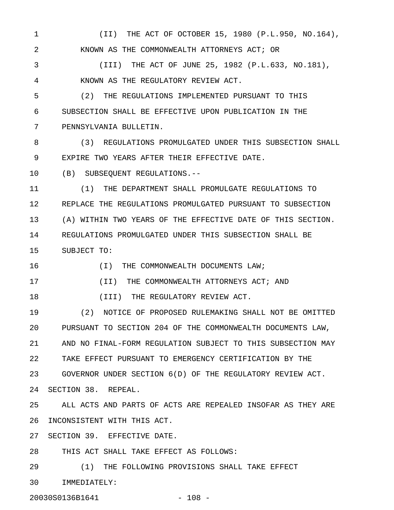1 (II) THE ACT OF OCTOBER 15, 1980 (P.L.950, NO.164), 2 KNOWN AS THE COMMONWEALTH ATTORNEYS ACT; OR

3 (III) THE ACT OF JUNE 25, 1982 (P.L.633, NO.181), 4 KNOWN AS THE REGULATORY REVIEW ACT.

5 (2) THE REGULATIONS IMPLEMENTED PURSUANT TO THIS 6 SUBSECTION SHALL BE EFFECTIVE UPON PUBLICATION IN THE 7 PENNSYLVANIA BULLETIN.

8 (3) REGULATIONS PROMULGATED UNDER THIS SUBSECTION SHALL 9 EXPIRE TWO YEARS AFTER THEIR EFFECTIVE DATE.

10 (B) SUBSEQUENT REGULATIONS.--

11 (1) THE DEPARTMENT SHALL PROMULGATE REGULATIONS TO 12 REPLACE THE REGULATIONS PROMULGATED PURSUANT TO SUBSECTION 13 (A) WITHIN TWO YEARS OF THE EFFECTIVE DATE OF THIS SECTION. 14 REGULATIONS PROMULGATED UNDER THIS SUBSECTION SHALL BE 15 SUBJECT TO:

16 (I) THE COMMONWEALTH DOCUMENTS LAW;

17 (II) THE COMMONWEALTH ATTORNEYS ACT; AND

18 (III) THE REGULATORY REVIEW ACT.

19 (2) NOTICE OF PROPOSED RULEMAKING SHALL NOT BE OMITTED 20 PURSUANT TO SECTION 204 OF THE COMMONWEALTH DOCUMENTS LAW, 21 AND NO FINAL-FORM REGULATION SUBJECT TO THIS SUBSECTION MAY 22 TAKE EFFECT PURSUANT TO EMERGENCY CERTIFICATION BY THE 23 GOVERNOR UNDER SECTION 6(D) OF THE REGULATORY REVIEW ACT. 24 SECTION 38. REPEAL.

25 ALL ACTS AND PARTS OF ACTS ARE REPEALED INSOFAR AS THEY ARE 26 INCONSISTENT WITH THIS ACT.

27 SECTION 39. EFFECTIVE DATE.

28 THIS ACT SHALL TAKE EFFECT AS FOLLOWS:

29 (1) THE FOLLOWING PROVISIONS SHALL TAKE EFFECT 30 IMMEDIATELY:

20030S0136B1641 - 108 -